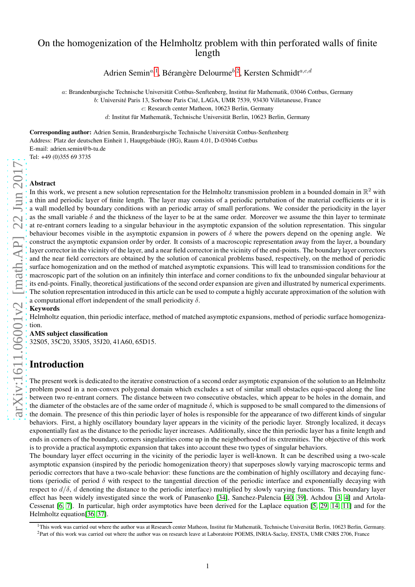# On the homogenization of the Helmholtz problem with thin perforated walls of finite length

Adrien Semin<sup>a, [1](#page-0-0)</sup>, Bérangère Delourme<sup>b, [2](#page-0-1)</sup>, Kersten Schmidt<sup>a, c, d</sup>

a: Brandenburgische Technische Universität Cottbus-Senftenberg, Institut für Mathematik, 03046 Cottbus, Germany

b: Université Paris 13, Sorbone Paris Cité, LAGA, UMR 7539, 93430 Villetaneuse, France

c: Research center Matheon, 10623 Berlin, Germany

d: Institut für Mathematik, Technische Universität Berlin, 10623 Berlin, Germany

Corresponding author: Adrien Semin, Brandenburgische Technische Universität Cottbus-Senftenberg Address: Platz der deutschen Einheit 1, Hauptgebäude (HG), Raum 4.01, D-03046 Cottbus E-mail: adrien.semin@b-tu.de Tel: +49 (0)355 69 3735

#### Abstract

In this work, we present a new solution representation for the Helmholtz transmission problem in a bounded domain in  $\mathbb{R}^2$  with a thin and periodic layer of finite length. The layer may consists of a periodic pertubation of the material coefficients or it is a wall modelled by boundary conditions with an periodic array of small perforations. We consider the periodicity in the layer as the small variable  $\delta$  and the thickness of the layer to be at the same order. Moreover we assume the thin layer to terminate at re-entrant corners leading to a singular behaviour in the asymptotic expansion of the solution representation. This singular behaviour becomes visible in the asymptotic expansion in powers of  $\delta$  where the powers depend on the opening angle. We construct the asymptotic expansion order by order. It consists of a macroscopic representation away from the layer, a boundary layer corrector in the vicinity of the layer, and a near field corrector in the vicinity of the end-points. The boundary layer correctors and the near field correctors are obtained by the solution of canonical problems based, respectively, on the method of periodic surface homogenization and on the method of matched asymptotic expansions. This will lead to transmission conditions for the macroscopic part of the solution on an infinitely thin interface and corner conditions to fix the unbounded singular behaviour at its end-points. Finally, theoretical justifications of the second order expansion are given and illustrated by numerical experiments. The solution representation introduced in this article can be used to compute a highly accurate approximation of the solution with a computational effort independent of the small periodicity  $\delta$ .

#### Keywords

Helmholtz equation, thin periodic interface, method of matched asymptotic expansions, method of periodic surface homogenization.

#### AMS subject classification

32S05, 35C20, 35J05, 35J20, 41A60, 65D15.

## Introduction

The present work is dedicated to the iterative construction of a second order asymptotic expansion of the solution to an Helmholtz problem posed in a non-convex polygonal domain which excludes a set of similar small obstacles equi-spaced along the lin e between two re-entrant corners. The distance between two consecutive obstacles, which appear to be holes in the domain, and the diameter of the obstacles are of the same order of magnitude  $\delta$ , which is supposed to be small compared to the dimensions of the domain. The presence of this thin periodic layer of holes is responsible for the appearance of two different kinds of singular behaviors. First, a highly oscillatory boundary layer appears in the vicinity of the periodic layer. Strongly localized, it decays exponentially fast as the distance to the periodic layer increases. Additionally, since the thin periodic layer has a finite length and ends in corners of the boundary, corners singularities come up in the neighborhood of its extremities. The objective of this work is to provide a practical asymptotic expansion that takes into account these two types of singular behaviors.

The boundary layer effect occurring in the vicinity of the periodic layer is well-known. It can be described using a two-scale asymptotic expansion (inspired by the periodic homogenization theory) that superposes slowly varying macroscopic terms and periodic correctors that have a two-scale behavior: these functions are the combination of highly oscillatory and decaying functions (periodic of period  $\delta$  with respect to the tangential direction of the periodic interface and exponentially decaying with respect to  $d/\delta$ , d denoting the distance to the periodic interface) multiplied by slowly varying functions. This boundary layer effect has been widely investigated since the work of Panasenko [\[34\]](#page-32-0), Sanchez-Palencia [\[40,](#page-32-1) [39\]](#page-32-2), Achdou [\[3,](#page-30-0) [4\]](#page-30-1) and Artola-Cessenat [\[6,](#page-30-2) [7\]](#page-30-3). In particular, high order asymptotics have been derived for the Laplace equation [\[5,](#page-30-4) [29,](#page-31-0) [14,](#page-31-1) [11\]](#page-31-2) and for the Helmholtz equation[\[36,](#page-32-3) [37\]](#page-32-4).

<span id="page-0-1"></span><span id="page-0-0"></span><sup>&</sup>lt;sup>1</sup>This work was carried out where the author was at Research center Matheon, Institut für Mathematik, Technische Universität Berlin, 10623 Berlin, Germany. <sup>2</sup>Part of this work was carried out where the author was on research leave at Laboratoire POEMS, INRIA-Saclay, ENSTA, UMR CNRS 2706, France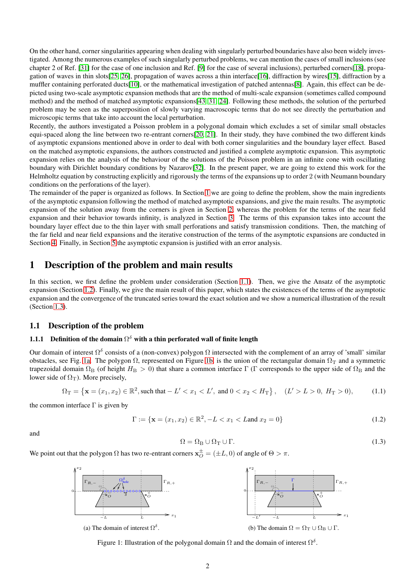On the other hand, corner singularities appearing when dealing with singularly perturbed boundaries have also been widely investigated. Among the numerous examples of such singularly perturbed problems, we can mention the cases of small inclusions (see chapter 2 of Ref. [\[31\]](#page-31-3) for the case of one inclusion and Ref. [\[9\]](#page-31-4) for the case of several inclusions), perturbed corners[\[18\]](#page-31-5), propagation of waves in thin slots[\[25,](#page-31-6) [26\]](#page-31-7), propagation of waves across a thin interface[\[16\]](#page-31-8), diffraction by wires[\[15\]](#page-31-9), diffraction by a muffler containing perforated ducts[\[10\]](#page-31-10), or the mathematical investigation of patched antennas[\[8\]](#page-30-5). Again, this effect can be depicted using two-scale asymptotic expansion methods that are the method of multi-scale expansion (sometimes called compound method) and the method of matched asymptotic expansions[\[43,](#page-32-5) [31,](#page-31-3) [24\]](#page-31-11). Following these methods, the solution of the perturbed problem may be seen as the superposition of slowly varying macroscopic terms that do not see directly the perturbation and microscopic terms that take into account the local perturbation.

Recently, the authors investigated a Poisson problem in a polygonal domain which excludes a set of similar small obstacles equi-spaced along the line between two re-entrant corners[\[20,](#page-31-12) [21\]](#page-31-13). In their study, they have combined the two different kinds of asymptotic expansions mentioned above in order to deal with both corner singularities and the boundary layer effect. Based on the matched asymptotic expansions, the authors constructed and justified a complete asymptotic expansion. This asymptotic expansion relies on the analysis of the behaviour of the solutions of the Poisson problem in an infinite cone with oscillating boundary with Dirichlet boundary conditions by Nazarov[\[32\]](#page-32-6). In the present paper, we are going to extend this work for the Helmholtz equation by constructing explicitly and rigorously the terms of the expansions up to order 2 (with Neumann boundary conditions on the perforations of the layer).

The remainder of the paper is organized as follows. In Section [1](#page-1-0) we are going to define the problem, show the main ingredients of the asymptotic expansion following the method of matched asymptotic expansions, and give the main results. The asymptotic expansion of the solution away from the corners is given in Section [2,](#page-7-0) whereas the problem for the terms of the near field expansion and their behavior towards infinity, is analyzed in Section [3.](#page-11-0) The terms of this expansion takes into account the boundary layer effect due to the thin layer with small perforations and satisfy transmission conditions. Then, the matching of the far field and near field expansions and the iterative construction of the terms of the asymptotic expansions are conducted in Section [4.](#page-13-0) Finally, in Section [5](#page-20-0) the asymptotic expansion is justified with an error analysis.

# <span id="page-1-0"></span>1 Description of the problem and main results

In this section, we first define the problem under consideration (Section [1.1\)](#page-1-1). Then, we give the Ansatz of the asymptotic expansion (Section [1.2\)](#page-3-0). Finally, we give the main result of this paper, which states the existences of the terms of the asymptotic expansion and the convergence of the truncated series toward the exact solution and we show a numerical illustration of the result (Section [1.3\)](#page-6-0).

## <span id="page-1-1"></span>1.1 Description of the problem

### 1.1.1 Definition of the domain  $\Omega^\delta$  with a thin perforated wall of finite length

Our domain of interest  $\Omega^{\delta}$  consists of a (non-convex) polygon  $\Omega$  intersected with the complement of an array of 'small' similar obstacles, see Fig. [1a.](#page-1-2) The polygon  $\Omega$ , represented on Figure [1b,](#page-1-2) is the union of the rectangular domain  $\Omega_T$  and a symmetric trapezoidal domain  $\Omega_B$  (of height  $H_B > 0$ ) that share a common interface Γ (Γ corresponds to the upper side of  $\Omega_B$  and the lower side of  $\Omega$ <sub>T</sub>). More precisely,

$$
\Omega_{\mathcal{T}} = \left\{ \mathbf{x} = (x_1, x_2) \in \mathbb{R}^2, \text{such that } -L' < x_1 < L', \text{ and } 0 < x_2 < H_{\mathcal{T}} \right\}, \quad (L' > L > 0, H_{\mathcal{T}} > 0), \tag{1.1}
$$

the common interface  $\Gamma$  is given by

$$
\Gamma := \{ \mathbf{x} = (x_1, x_2) \in \mathbb{R}^2, -L < x_1 < L \text{ and } x_2 = 0 \} \tag{1.2}
$$

and

$$
f_{\rm{max}}(x)=\frac{1}{2}x^2+\frac{1}{2}x^2+\frac{1}{2}x^2+\frac{1}{2}x^2+\frac{1}{2}x^2+\frac{1}{2}x^2+\frac{1}{2}x^2+\frac{1}{2}x^2+\frac{1}{2}x^2+\frac{1}{2}x^2+\frac{1}{2}x^2+\frac{1}{2}x^2+\frac{1}{2}x^2+\frac{1}{2}x^2+\frac{1}{2}x^2+\frac{1}{2}x^2+\frac{1}{2}x^2+\frac{1}{2}x^2+\frac{1}{2}x^2+\frac{1}{2}x^2+\frac{1}{2}x^2+\frac{1}{2}x^2+\frac{1}{2}x^2+\frac{1}{2}x^2+\frac{1}{2}x^2+\frac{1}{2}x^2+\frac{1}{2}x^2+\frac{1}{2}x^2+\frac{1}{2}x^2+\frac{1}{2}x^2+\frac{1}{2}x^2+\frac{1}{2}x^2+\frac{1}{2}x^2+\frac{1}{2}x^2+\frac{1}{2}x^2+\frac{1}{2}x^2+\frac{1}{2}x^2+\frac{1}{2}x^2+\frac{1}{2}x^2+\frac{1}{2}x^2+\frac{1}{2}x^2+\frac{1}{2}x^2+\frac{1}{2}x^2+\frac{1}{2}x^2+\frac{1}{2}x^2+\frac{1}{2}x^2+\frac{1}{2}x^2+\frac{1}{2}x^2+\frac{1}{2}x^2+\frac{1}{2}x^2+\frac{1}{2}x^2+\frac{1}{2}x^2+\frac{1}{2}x^2+\frac{1}{2}x^2+\frac{1}{2}x^2+\frac{1}{2}x^2+\frac{1}{2}x^2+\frac{1}{2}x^2+\frac{1}{2}x^2+\frac{1}{2}x^2+\frac{1}{2}x^2+\frac{1}{2}x^2+\frac{1}{2}x^2+\frac{1}{2}x^2+\frac{1}{2}x^2+\frac{1}{2}x^2+\frac{1}{2}x^2+\frac{1}{2}x^2+\frac{1}{2}x^2+\frac{1}{2}x^2+\frac{1}{2}x^2+\frac{1}{2}x^2+\frac{1}{2}x^2+\frac{1}{2}x^2+\frac{1}{2}x^
$$

$$
\Omega = \Omega_{\text{B}} \cup \Omega_{\text{T}} \cup \Gamma. \tag{1.3}
$$

<span id="page-1-2"></span>We point out that the polygon  $\Omega$  has two re-entrant corners  $\mathbf{x}^{\pm}_O = (\pm L, 0)$  of angle of  $\Theta > \pi$ .



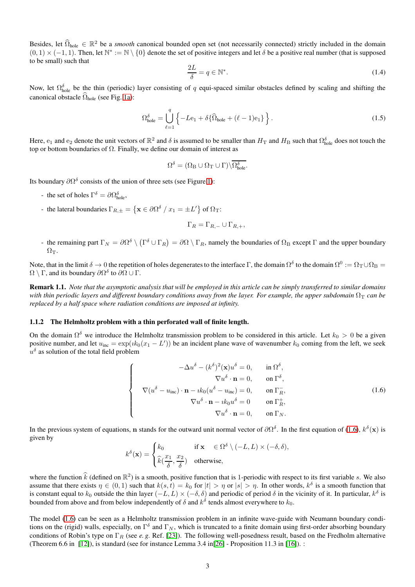Besides, let  $\widehat{\Omega}_{hole} \in \mathbb{R}^2$  be a *smooth* canonical bounded open set (not necessarily connected) strictly included in the domain  $(0, 1) \times (-1, 1)$ . Then, let  $\mathbb{N}^* := \mathbb{N} \setminus \{0\}$  denote the set of positive integers and let  $\delta$  be a positive real number (that is supposed to be small) such that

$$
\frac{2L}{\delta} = q \in \mathbb{N}^*.
$$
\n(1.4)

Now, let  $\Omega_{\text{hole}}^{\delta}$  be the thin (periodic) layer consisting of q equi-spaced similar obstacles defined by scaling and shifting the canonical obstacle  $\widehat{\Omega}_{\text{hole}}$  (see Fig. [1a\)](#page-1-2):

$$
\Omega_{\text{hole}}^{\delta} = \bigcup_{\ell=1}^{q} \left\{ -Le_1 + \delta \{\widehat{\Omega}_{\text{hole}} + (\ell - 1)e_1\} \right\}.
$$
\n(1.5)

Here,  $e_1$  and  $e_2$  denote the unit vectors of  $\mathbb{R}^2$  and  $\delta$  is assumed to be smaller than  $H_T$  and  $H_B$  such that  $\Omega_{\text{hole}}^{\delta}$  does not touch the top or bottom boundaries of Ω. Finally, we define our domain of interest as

$$
\Omega^\delta = (\Omega_{\rm B} \cup \Omega_{\rm T} \cup \Gamma) \backslash \overline{\Omega_{\text{hole}}^\delta}.
$$

Its boundary  $\partial \Omega^{\delta}$  consists of the union of three sets (see Figure [1\)](#page-1-2):

- the set of holes  $\Gamma^{\delta} = \partial \Omega_{\text{hole}}^{\delta}$ ,
- the lateral boundaries  $\Gamma_{R,\pm} = \{ \mathbf{x} \in \partial \Omega^{\delta} / x_1 = \pm L' \}$  of  $\Omega_{\mathrm{T}}$ :

$$
\Gamma_R = \Gamma_{R,-} \cup \Gamma_{R,+},
$$

- the remaining part  $\Gamma_N = \partial \Omega^{\delta} \setminus (\Gamma^{\delta} \cup \Gamma_R) = \partial \Omega \setminus \Gamma_R$ , namely the boundaries of  $\Omega_B$  except  $\Gamma$  and the upper boundary  $\Omega$ T.

Note, that in the limit  $\delta \to 0$  the repetition of holes degenerates to the interface  $\Gamma$ , the domain  $\Omega^{\delta}$  to the domain  $\Omega^{0} := \Omega_{\rm T} \cup \Omega_{\rm B} = \Omega_{\rm T} \cup \Omega_{\rm B}$  $\Omega \setminus \Gamma$ , and its boundary  $\partial \Omega^{\delta}$  to  $\partial \Omega \cup \Gamma$ .

Remark 1.1. *Note that the asymptotic analysis that will be employed in this article can be simply transferred to similar domains with thin periodic layers and different boundary conditions away from the layer. For example, the upper subdomain*  $\Omega_T$  *can be replaced by a half space where radiation conditions are imposed at infinity.*

### 1.1.2 The Helmholtz problem with a thin perforated wall of finite length.

On the domain  $\Omega^{\delta}$  we introduce the Helmholtz transmission problem to be considered in this article. Let  $k_0 > 0$  be a given positive number, and let  $u_{\text{inc}} = \exp(i k_0 (x_1 - L'))$  be an incident plane wave of wavenumber  $k_0$  coming from the left, we seek  $u^{\delta}$  as solution of the total field problem

<span id="page-2-0"></span>
$$
\begin{cases}\n-\Delta u^{\delta} - (k^{\delta})^2(\mathbf{x})u^{\delta} = 0, & \text{in } \Omega^{\delta}, \\
\nabla u^{\delta} \cdot \mathbf{n} = 0, & \text{on } \Gamma^{\delta}, \\
\nabla (u^{\delta} - u_{\text{inc}}) \cdot \mathbf{n} - \imath k_0(u^{\delta} - u_{\text{inc}}) = 0, & \text{on } \Gamma_{R}^{-}, \\
\nabla u^{\delta} \cdot \mathbf{n} - \imath k_0 u^{\delta} = 0 & \text{on } \Gamma_{R}^{+}, \\
\nabla u^{\delta} \cdot \mathbf{n} = 0, & \text{on } \Gamma_{N}.\n\end{cases}
$$
\n(1.6)

In the previous system of equations, n stands for the outward unit normal vector of  $\partial\Omega^\delta$ . In the first equation of [\(1.6\)](#page-2-0),  $k^\delta(\mathbf{x})$  is given by

$$
k^\delta(\mathbf{x}) = \begin{cases} k_0 & \text{if } \mathbf{x} = \Omega^\delta \setminus (-L,L) \times (-\delta,\delta), \\ \widehat{k}(\frac{x_1}{\delta},\frac{x_2}{\delta}) & \text{otherwise}, \end{cases}
$$

where the function  $\hat{k}$  (defined on  $\mathbb{R}^2$ ) is a smooth, positive function that is 1-periodic with respect to its first variable s. We also assume that there exists  $\eta \in (0,1)$  such that  $k(s,t) = k_0$  for  $|t| > \eta$  or  $|s| > \eta$ . In other words,  $k^{\delta}$  is a smooth function that is constant equal to  $k_0$  outside the thin layer  $(-L, L) \times (-\delta, \delta)$  and periodic of period  $\delta$  in the vicinity of it. In particular,  $k^{\delta}$  is bounded from above and from below independently of  $\delta$  and  $k^\delta$  tends almost everywhere to  $k_0$ .

The model [\(1.6\)](#page-2-0) can be seen as a Helmholtz transmission problem in an infinite wave-guide with Neumann boundary conditions on the (rigid) walls, especially, on  $\Gamma^{\delta}$  and  $\Gamma_N$ , which is truncated to a finite domain using first-order absorbing boundary conditions of Robin's type on Γ<sup>R</sup> (see *e. g.* Ref. [\[23\]](#page-31-14)). The following well-posedness result, based on the Fredholm alternative (Theorem 6.6 in [\[12\]](#page-31-15)), is standard (see for instance Lemma 3.4 in[\[26\]](#page-31-7) - Proposition 11.3 in [\[16\]](#page-31-8)). :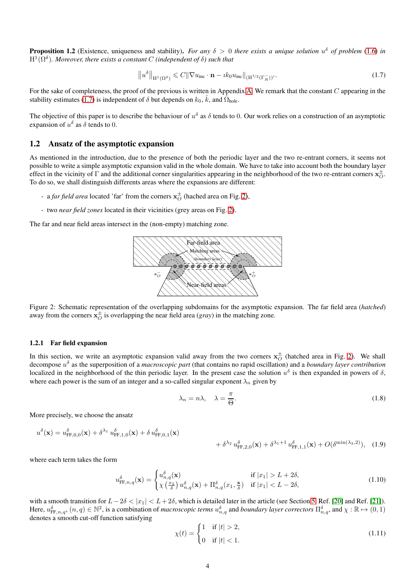<span id="page-3-5"></span>**Proposition 1.2** (Existence, uniqueness and stability). For any  $\delta > 0$  there exists a unique solution  $u^{\delta}$  of problem [\(1.6\)](#page-2-0) in H<sup>1</sup> (Ω<sup>δ</sup> )*. Moreover, there exists a constant* C *(independent of* δ*) such that*

<span id="page-3-1"></span>
$$
\left\|u^{\delta}\right\|_{\mathcal{H}^{1}(\Omega^{\delta})} \leqslant C\|\nabla u_{\text{inc}} \cdot \mathbf{n} - \imath k_{0} u_{\text{inc}}\|_{(\mathcal{H}^{1/2}(\Gamma_{R}^{-}))'}.\tag{1.7}
$$

For the sake of completeness, the proof of the previous is written in Appendix [A.](#page-21-0) We remark that the constant C appearing in the stability estimates [\(1.7\)](#page-3-1) is independent of  $\delta$  but depends on  $k_0$ ,  $\hat{k}$ , and  $\hat{\Omega}_{hole}$ .

The objective of this paper is to describe the behaviour of  $u^{\delta}$  as  $\delta$  tends to 0. Our work relies on a construction of an asymptotic expansion of  $u^{\delta}$  as  $\delta$  tends to 0.

### <span id="page-3-0"></span>1.2 Ansatz of the asymptotic expansion

As mentioned in the introduction, due to the presence of both the periodic layer and the two re-entrant corners, it seems not possible to write a simple asymptotic expansion valid in the whole domain. We have to take into account both the boundary layer effect in the vicinity of  $\Gamma$  and the additional corner singularities appearing in the neighborhood of the two re-entrant corners  $x_C^{\pm}$ . To do so, we shall distinguish differents areas where the expansions are different:

- a *far field area* located 'far' from the corners  $x_O^{\pm}$  (hached area on Fig. [2\)](#page-3-2),
- two *near field zones* located in their vicinities (grey areas on Fig. [2\)](#page-3-2).

<span id="page-3-2"></span>The far and near field areas intersect in the (non-empty) matching zone.



Figure 2: Schematic representation of the overlapping subdomains for the asymptotic expansion. The far field area (*hatched*) away from the corners  $\mathbf{x}_{O}^{\pm}$  is overlapping the near field area (*gray*) in the matching zone.

### 1.2.1 Far field expansion

In this section, we write an asymptotic expansion valid away from the two corners  $x_O^{\pm}$  (hatched area in Fig. [2\)](#page-3-2). We shall decompose u δ as the superposition of a *macroscopic part* (that contains no rapid oscillation) and a *boundary layer contribution* localized in the neighborhood of the thin periodic layer. In the present case the solution  $u^{\delta}$  is then expanded in powers of  $\delta$ , where each power is the sum of an integer and a so-called singular exponent  $\lambda_n$  given by

<span id="page-3-3"></span>
$$
\lambda_n = n\lambda, \quad \lambda = \frac{\pi}{\Theta}.\tag{1.8}
$$

More precisely, we choose the ansatz

$$
u^{\delta}(\mathbf{x}) = u_{\text{FF},0,0}^{\delta}(\mathbf{x}) + \delta^{\lambda_1} u_{\text{FF},1,0}^{\delta}(\mathbf{x}) + \delta u_{\text{FF},0,1}^{\delta}(\mathbf{x}) + \delta^{\lambda_2} u_{\text{FF},2,0}^{\delta}(\mathbf{x}) + \delta^{\lambda_1+1} u_{\text{FF},1,1}^{\delta}(\mathbf{x}) + O(\delta^{\min(\lambda_3,2)}), \quad (1.9)
$$

where each term takes the form

$$
u_{\text{FF},n,q}^{\delta}(\mathbf{x}) = \begin{cases} u_{n,q}^{\delta}(\mathbf{x}) & \text{if } |x_1| > L + 2\delta, \\ \chi\left(\frac{x_2}{\delta}\right)u_{n,q}^{\delta}(\mathbf{x}) + \Pi_{n,q}^{\delta}(x_1, \frac{\mathbf{x}}{\delta}) & \text{if } |x_1| < L - 2\delta, \end{cases}
$$
(1.10)

with a smooth transition for  $L-2\delta < |x_1| < L+2\delta$ , which is detailed later in the article (see Section [5,](#page-20-0) Ref. [\[20\]](#page-31-12) and Ref. [\[21\]](#page-31-13)). Here,  $u^{\delta}_{\text{FF},n,q}$ ,  $(n,q) \in \mathbb{N}^2$ , is a combination of *macroscopic terms*  $u^{\delta}_{n,q}$  and *boundary layer correctors*  $\Pi^{\delta}_{n,q}$ , and  $\chi : \mathbb{R} \mapsto (0,1)$ denotes a smooth cut-off function satisfying

<span id="page-3-4"></span>
$$
\chi(t) = \begin{cases} 1 & \text{if } |t| > 2, \\ 0 & \text{if } |t| < 1. \end{cases}
$$
 (1.11)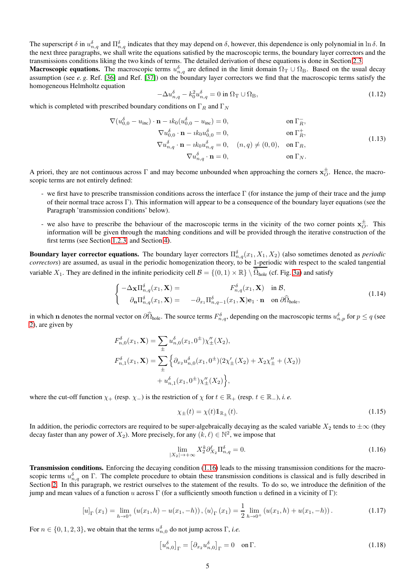The superscript  $\delta$  in  $u_{n,q}^{\delta}$  and  $\Pi_{n,q}^{\delta}$  indicates that they may depend on  $\delta$ , however, this dependence is only polynomial in  $\ln \delta$ . In the next three paragraphs, we shall write the equations satisfied by the macroscopic terms, the boundary layer correctors and the transmissions conditions liking the two kinds of terms. The detailed derivation of these equations is done in Section [2.3.](#page-8-0) **Macroscopic equations.** The macroscopic terms  $u_{n,q}^{\delta}$  are defined in the limit domain  $\Omega_T \cup \Omega_B$ . Based on the usual decay

assumption (see *e. g.* Ref. [\[36\]](#page-32-3) and Ref. [\[37\]](#page-32-4)) on the boundary layer correctors we find that the macroscopic terms satisfy the homogeneous Helmholtz equation

<span id="page-4-3"></span><span id="page-4-2"></span>
$$
-\Delta u_{n,q}^{\delta} - k_0^2 u_{n,q}^{\delta} = 0 \text{ in } \Omega_{\text{T}} \cup \Omega_{\text{B}},\tag{1.12}
$$

which is completed with prescribed boundary conditions on  $\Gamma_R$  and  $\Gamma_N$ 

$$
\nabla(u_{0,0}^{\delta} - u_{\text{inc}}) \cdot \mathbf{n} - ik_0(u_{0,0}^{\delta} - u_{\text{inc}}) = 0, \qquad \text{on } \Gamma_R^-,
$$
  
\n
$$
\nabla u_{0,0}^{\delta} \cdot \mathbf{n} - ik_0u_{0,0}^{\delta} = 0, \qquad \text{on } \Gamma_R^+,
$$
  
\n
$$
\nabla u_{n,q}^{\delta} \cdot \mathbf{n} - ik_0u_{n,q}^{\delta} = 0, \quad (n,q) \neq (0,0), \quad \text{on } \Gamma_R,
$$
  
\n
$$
\nabla u_{n,q}^{\delta} \cdot \mathbf{n} = 0, \qquad \text{on } \Gamma_N.
$$
  
\n(1.13)

A priori, they are not continuous across  $\Gamma$  and may become unbounded when approaching the corners  $x_0^{\pm}$ . Hence, the macroscopic terms are not entirely defined:

- we first have to prescribe transmission conditions across the interface  $\Gamma$  (for instance the jump of their trace and the jump of their normal trace across Γ). This information will appear to be a consequence of the boundary layer equations (see the Paragraph 'transmission conditions' below).
- we also have to prescribe the behaviour of the macroscopic terms in the vicinity of the two corner points  $x_0^{\pm}$ . This information will be given through the matching conditions and will be provided through the iterative construction of the first terms (see Section [1.2.3,](#page-6-1) and Section [4\)](#page-13-0).

**Boundary layer corrector equations.** The boundary layer correctors  $\Pi_{n,q}^{\delta}(x_1, X_1, X_2)$  (also sometimes denoted as *periodic correctors*) are assumed, as usual in the periodic homogenization theory, to be 1-periodic with respect to the scaled tangential variable  $X_1$ . They are defined in the infinite periodicity cell  $\mathcal{B} = \{(0,1) \times \mathbb{R}\}\setminus \widehat{\Omega}_{hole}$  (cf. Fig. [3a\)](#page-5-0) and satisfy

$$
\begin{cases}\n-\Delta_{\mathbf{X}}\Pi_{n,q}^{\delta}(x_1,\mathbf{X}) = & F_{n,q}^{\delta}(x_1,\mathbf{X}) \text{ in } \mathcal{B}, \\
\partial_{\mathbf{n}}\Pi_{n,q}^{\delta}(x_1,\mathbf{X}) = & -\partial_{x_1}\Pi_{n,q-1}^{\delta}(x_1,\mathbf{X})\mathbf{e}_1 \cdot \mathbf{n} \text{ on } \partial\widehat{\Omega}_{\text{hole}},\n\end{cases}
$$
\n(1.14)

in which  ${\bf n}$  denotes the normal vector on  $\partial\widehat\Omega_{\rm hole}.$  The source terms  $F_{n,q}^\delta,$  depending on the macroscopic terms  $u_{n,p}^\delta$  for  $p\leq q$  (see [2\)](#page-7-0), are given by

$$
F_{n,0}^{\delta}(x_1, \mathbf{X}) = \sum_{\pm} u_{n,0}^{\delta}(x_1, 0^{\pm}) \chi_{\pm}''(X_2),
$$
  

$$
F_{n,1}^{\delta}(x_1, \mathbf{X}) = \sum_{\pm} \left\{ \partial_{x_2} u_{n,0}^{\delta}(x_1, 0^{\pm}) (2 \chi_{\pm}'(X_2) + X_2 \chi_{\pm}'' + (X_2)) + u_{n,1}^{\delta}(x_1, 0^{\pm}) \chi_{\pm}''(X_2) \right\},
$$

where the cut-off function  $\chi_+$  (resp.  $\chi_-$ ) is the restriction of  $\chi$  for  $t \in \mathbb{R}_+$  (resp.  $t \in \mathbb{R}_-$ ), *i. e.* 

<span id="page-4-5"></span><span id="page-4-1"></span><span id="page-4-0"></span>
$$
\chi_{\pm}(t) = \chi(t) \mathbb{1}_{\mathbb{R}_{\pm}}(t). \tag{1.15}
$$

In addition, the periodic correctors are required to be super-algebraically decaying as the scaled variable  $X_2$  tends to  $\pm \infty$  (they decay faster than any power of  $X_2$ ). More precisely, for any  $(k, \ell) \in \mathbb{N}^2$ , we impose that

$$
\lim_{|X_2| \to +\infty} X_2^k \partial_{X_2}^{\ell} \Pi_{n,q}^{\delta} = 0. \tag{1.16}
$$

Transmission conditions. Enforcing the decaying condition [\(1.16\)](#page-4-0) leads to the missing transmission conditions for the macroscopic terms  $u_{n,q}^{\delta}$  on  $\Gamma$ . The complete procedure to obtain these transmission conditions is classical and is fully described in Section [2.](#page-7-0) In this paragraph, we restrict ourselves to the statement of the results. To do so, we introduce the definition of the jump and mean values of a function u across  $\Gamma$  (for a sufficiently smooth function u defined in a vicinity of  $\Gamma$ ):

$$
[u]_{\Gamma}(x_1) = \lim_{h \to 0^+} (u(x_1, h) - u(x_1, -h)), \langle u \rangle_{\Gamma}(x_1) = \frac{1}{2} \lim_{h \to 0^+} (u(x_1, h) + u(x_1, -h)). \tag{1.17}
$$

For  $n \in \{0, 1, 2, 3\}$ , we obtain that the terms  $u_{n,0}^{\delta}$  do not jump across  $\Gamma$ , *i.e.* 

<span id="page-4-4"></span>
$$
\left[u_{n,0}^{\delta}\right]_{\Gamma} = \left[\partial_{x_2}u_{n,0}^{\delta}\right]_{\Gamma} = 0 \quad \text{on } \Gamma. \tag{1.18}
$$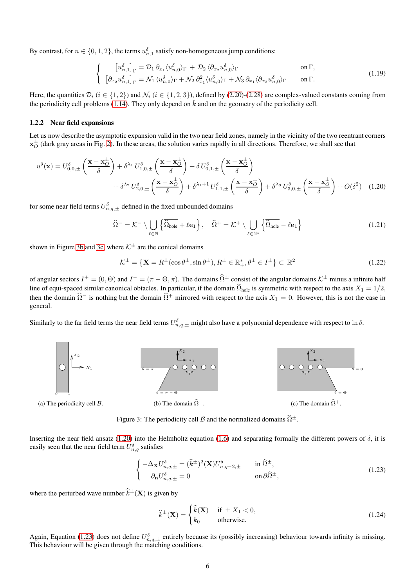By contrast, for  $n \in \{0, 1, 2\}$ , the terms  $u_{n,1}^{\delta}$  satisfy non-homogeneous jump conditions:

<span id="page-5-3"></span>
$$
\begin{cases}\n\left[u_{n,1}^{\delta}\right]_{\Gamma} = \mathcal{D}_1 \,\partial_{x_1} \langle u_{n,0}^{\delta}\rangle_{\Gamma} + \mathcal{D}_2 \,\langle \partial_{x_2} u_{n,0}^{\delta}\rangle_{\Gamma} & \text{on } \Gamma, \\
\left[\partial_{x_2} u_{n,1}^{\delta}\right]_{\Gamma} = \mathcal{N}_1 \,\langle u_{n,0}^{\delta}\rangle_{\Gamma} + \mathcal{N}_2 \,\partial_{x_1}^2 \langle u_{n,0}^{\delta}\rangle_{\Gamma} + \mathcal{N}_3 \,\partial_{x_1} \langle \partial_{x_2} u_{n,0}^{\delta}\rangle_{\Gamma} & \text{on } \Gamma.\n\end{cases} \tag{1.19}
$$

Here, the quantities  $\mathcal{D}_i$  ( $i \in \{1,2\}$ ) and  $\mathcal{N}_i$  ( $i \in \{1,2,3\}$ ), defined by [\(2.20\)](#page-10-0)-[\(2.28\)](#page-11-1) are complex-valued constants coming from the periodicity cell problems [\(1.14\)](#page-4-1). They only depend on  $\hat{k}$  and on the geometry of the periodicity cell.

#### 1.2.2 Near field expansions

Let us now describe the asymptotic expansion valid in the two near field zones, namely in the vicinity of the two reentrant corners  $x_O^{\pm}$  (dark gray areas in Fig. [2\)](#page-3-2). In these areas, the solution varies rapidly in all directions. Therefore, we shall see that

$$
u^{\delta}(\mathbf{x}) = U_{0,0,\pm}^{\delta} \left( \frac{\mathbf{x} - \mathbf{x}_{\mathcal{O}}^{\pm}}{\delta} \right) + \delta^{\lambda_1} U_{1,0,\pm}^{\delta} \left( \frac{\mathbf{x} - \mathbf{x}_{\mathcal{O}}^{\pm}}{\delta} \right) + \delta U_{0,1,\pm}^{\delta} \left( \frac{\mathbf{x} - \mathbf{x}_{\mathcal{O}}^{\pm}}{\delta} \right) + \delta^{\lambda_2} U_{2,0,\pm}^{\delta} \left( \frac{\mathbf{x} - \mathbf{x}_{\mathcal{O}}^{\pm}}{\delta} \right) + \delta^{\lambda_1+1} U_{1,1,\pm}^{\delta} \left( \frac{\mathbf{x} - \mathbf{x}_{\mathcal{O}}^{\pm}}{\delta} \right) + \delta^{\lambda_3} U_{3,0,\pm}^{\delta} \left( \frac{\mathbf{x} - \mathbf{x}_{\mathcal{O}}^{\pm}}{\delta} \right) + O(\delta^2) \quad (1.20)
$$

for some near field terms  $U_{n,q,\pm}^{\delta}$  defined in the fixed unbounded domains

<span id="page-5-1"></span>
$$
\widehat{\Omega}^{-} = \mathcal{K}^{-} \setminus \bigcup_{\ell \in \mathbb{N}} \left\{ \overline{\widehat{\Omega}_{\text{hole}}} + \ell \mathbf{e}_{1} \right\}, \quad \widehat{\Omega}^{+} = \mathcal{K}^{+} \setminus \bigcup_{\ell \in \mathbb{N}^{*}} \left\{ \overline{\widehat{\Omega}_{\text{hole}}} - \ell \mathbf{e}_{1} \right\}
$$
\n(1.21)

shown in Figure [3b](#page-5-0) and [3c,](#page-5-0) where  $K^{\pm}$  are the conical domains

$$
\mathcal{K}^{\pm} = \left\{ \mathbf{X} = R^{\pm}(\cos \theta^{\pm}, \sin \theta^{\pm}), R^{\pm} \in \mathbb{R}_+^*, \theta^{\pm} \in I^{\pm} \right\} \subset \mathbb{R}^2 \tag{1.22}
$$

of angular sectors  $I^+ = (0, \Theta)$  and  $I^- = (\pi - \Theta, \pi)$ . The domains  $\Omega^{\pm}$  consist of the angular domains  $\mathcal{K}^{\pm}$  minus a infinite half line of equi-spaced similar canonical obtacles. In particular, if the domain  $\hat{\Omega}_{hole}$  is symmetric with respect to the axis  $X_1 = 1/2$ , then the domain  $\hat{\Omega}$ <sup>−</sup> is nothing but the domain  $\hat{\Omega}$ <sup>+</sup> mirrored with respect to the axis  $X_1 = 0$ . However, this is not the case in general.

<span id="page-5-0"></span>Similarly to the far field terms the near field terms  $U_{n,q,\pm}^{\delta}$  might also have a polynomial dependence with respect to  $\ln \delta$ .



Figure 3: The periodicity cell B and the normalized domains  $\widehat{\Omega}^{\pm}$ .

Inserting the near field ansatz [\(1.20\)](#page-5-1) into the Helmholtz equation [\(1.6\)](#page-2-0) and separating formally the different powers of  $\delta$ , it is easily seen that the near field term  $U_{n,q}^{\delta}$  satisfies

<span id="page-5-2"></span>
$$
\begin{cases}\n-\Delta_{\mathbf{X}} U_{n,q,\pm}^{\delta} = (\hat{k}^{\pm})^2 (\mathbf{X}) U_{n,q-2,\pm}^{\delta} & \text{in } \Omega^{\pm}, \\
\partial_{\mathbf{n}} U_{n,q,\pm}^{\delta} = 0 & \text{on } \partial \Omega^{\pm},\n\end{cases}
$$
\n(1.23)

where the perturbed wave number  $\widehat{k}^{\pm}(\mathbf{X})$  is given by

$$
\widehat{k}^{\pm}(\mathbf{X}) = \begin{cases} \widehat{k}(\mathbf{X}) & \text{if } \pm X_1 < 0, \\ k_0 & \text{otherwise.} \end{cases} \tag{1.24}
$$

Again, Equation [\(1.23\)](#page-5-2) does not define  $U_{n,q,\pm}^{\delta}$  entirely because its (possibly increasing) behaviour towards infinity is missing. This behaviour will be given through the matching conditions.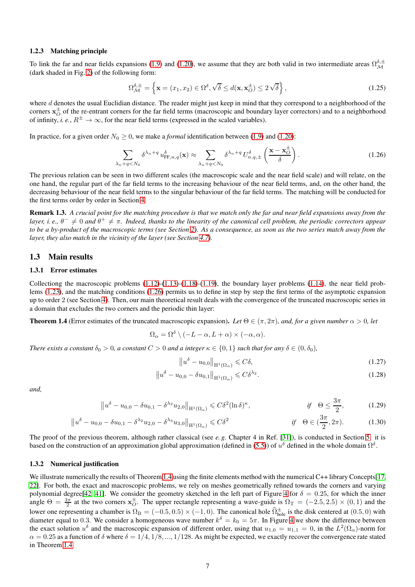### <span id="page-6-1"></span>1.2.3 Matching principle

To link the far and near fields expansions [\(1.9\)](#page-3-3) and [\(1.20\)](#page-5-1), we assume that they are both valid in two intermediate areas  $\Omega_{\mathcal{M}}^{\delta,\pm}$ (dark shaded in Fig. [2\)](#page-3-2) of the following form:

<span id="page-6-2"></span>
$$
\Omega_{\mathcal{M}}^{\delta,\pm} = \left\{ \mathbf{x} = (x_1, x_2) \in \Omega^{\delta}, \sqrt{\delta} \le d(\mathbf{x}, \mathbf{x}_O^{\pm}) \le 2\sqrt{\delta} \right\},\tag{1.25}
$$

where d denotes the usual Euclidian distance. The reader might just keep in mind that they correspond to a neighborhood of the corners  $x_0^{\pm}$  of the re-entrant corners for the far field terms (macroscopic and boundary layer correctors) and to a neighborhood of infinity, *i. e.*,  $R^{\pm} \to \infty$ , for the near field terms (expressed in the scaled variables).

In practice, for a given order  $N_0 \ge 0$ , we make a *formal* identification between [\(1.9\)](#page-3-3) and [\(1.20\)](#page-5-1):

$$
\sum_{\lambda_n+q
$$

The previous relation can be seen in two different scales (the macroscopic scale and the near field scale) and will relate, on the one hand, the regular part of the far field terms to the increasing behaviour of the near field terms, and, on the other hand, the decreasing behaviour of the near field terms to the singular behaviour of the far field terms. The matching will be conducted for the first terms order by order in Section [4.](#page-13-0)

Remark 1.3. *A crucial point for the matching procedure is that we match only the far and near field expansions away from the* layer, i. e.,  $\theta^- \neq 0$  and  $\theta^+ \neq \pi$ . Indeed, thanks to the linearity of the canonical cell problem, the periodic correctors appear *to be a by-product of the macroscopic terms (see Section [2\)](#page-7-0). As a consequence, as soon as the two series match away from the layer, they also match in the vicinity of the layer (see Section [4.7\)](#page-19-0).*

### <span id="page-6-0"></span>1.3 Main results

### 1.3.1 Error estimates

Collectiong the macroscopic problems  $(1.12)-(1.13)-(1.18)-(1.19)$  $(1.12)-(1.13)-(1.18)-(1.19)$  $(1.12)-(1.13)-(1.18)-(1.19)$  $(1.12)-(1.13)-(1.18)-(1.19)$  $(1.12)-(1.13)-(1.18)-(1.19)$  $(1.12)-(1.13)-(1.18)-(1.19)$ , the boundary layer problems  $(1.14)$ , the near field problems [\(1.23\)](#page-5-2), and the matching conditions [\(1.26\)](#page-6-2) permits us to define in step by step the first terms of the asymptotic expansion up to order 2 (see Section [4\)](#page-13-0). Then, our main theoretical result deals with the convergence of the truncated macroscopic series in a domain that excludes the two corners and the periodic thin layer:

<span id="page-6-3"></span>**Theorem 1.4** (Error estimates of the truncated macroscopic expansion). Let  $\Theta \in (\pi, 2\pi)$ , and, for a given number  $\alpha > 0$ , let

$$
\Omega_{\alpha} = \Omega^{\delta} \setminus (-L - \alpha, L + \alpha) \times (-\alpha, \alpha).
$$

*There exists a constant*  $\delta_0 > 0$ *, a constant*  $C > 0$  *and a integer*  $\kappa \in \{0, 1\}$  *such that for any*  $\delta \in (0, \delta_0)$ *,* 

$$
\left\|u^{\delta}-u_{0,0}\right\|_{\mathcal{H}^{1}(\Omega_{\alpha})} \leqslant C\delta,
$$
\n(1.27)

 $\mathbf{\hat{a}}$ 

$$
\left\|u^{\delta}-u_{0,0}-\delta u_{0,1}\right\|_{\mathcal{H}^{1}(\Omega_{\alpha})}\leqslant C\delta^{\lambda_{2}}.
$$
\n(1.28)

*and,*

$$
\|u^{\delta}-u_{0,0}-\delta u_{0,1}-\delta^{\lambda_2}u_{2,0}\|_{\mathcal{H}^1(\Omega_{\alpha})}\leqslant C\delta^2(\ln \delta)^{\kappa},\qquad \qquad \text{if} \quad \Theta\leq\frac{3\pi}{2},\qquad (1.29)
$$

$$
\|u^{\delta} - u_{0,0} - \delta u_{0,1} - \delta^{\lambda_2} u_{2,0} - \delta^{\lambda_3} u_{3,0}\|_{H^1(\Omega_\alpha)} \leq C\delta^2 \qquad \qquad \text{if} \quad \Theta \in (\frac{3\pi}{2}, 2\pi). \tag{1.30}
$$

The proof of the previous theorem, although rather classical (see *e. g.* Chapter 4 in Ref. [\[31\]](#page-31-3)), is conducted in Section [5:](#page-20-0) it is based on the construction of an approximation global approximation (defined in [\(5.5\)](#page-21-1)) of  $u^\delta$  defined in the whole domain  $\Omega^\delta$ .

#### 1.3.2 Numerical justification

We illustrate numerically the results of Theorem [1.4](#page-6-3) using the finite elements method with the numerical C++ library Concepts[\[17,](#page-31-16) [22\]](#page-31-17). For both, the exact and macroscopic problems, we rely on meshes geometrically refined towards the corners and varying polynomial degree[\[42,](#page-32-7) [41\]](#page-32-8). We consider the geometry sketched in the left part of Figure [4](#page-7-1) for  $\delta = 0.25$ , for which the inner angle  $\Theta = \frac{3\pi}{2}$  at the two corners  $x_0^{\pm}$ . The upper rectangle representing a wave-guide is  $\Omega_T = (-2.5, 2.5) \times (0, 1)$  and the lower one representing a chamber is  $\Omega_{\rm B} = (-0.5, 0.5) \times (-1, 0)$ . The canonical hole  $\widehat{\Omega}^{\pm}_{\rm hole}$  is the disk centered at  $(0.5, 0)$  with diameter equal to 0.3. We consider a homogeneous wave number  $k^{\delta} = k_0 = 5\pi$ . In Figure [4](#page-7-1) we show the difference between the exact solution  $u^{\delta}$  and the macroscopic expansion of different order, using that  $u_{1,0} = u_{1,1} = 0$ , in the  $L^2(\Omega_\alpha)$ -norm for  $\alpha = 0.25$  as a function of  $\delta$  where  $\delta = 1/4, 1/8, ..., 1/128$ . As might be expected, we exactly recover the convergence rate stated in Theorem [1.4.](#page-6-3)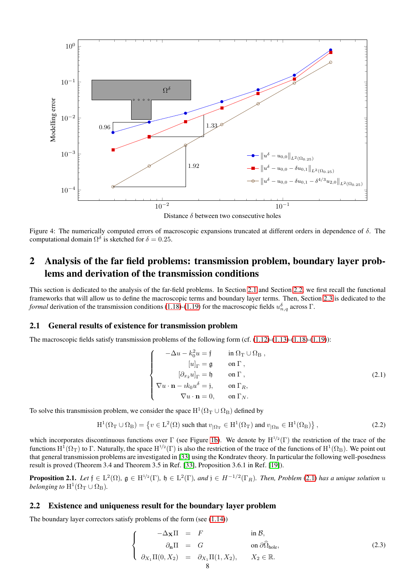<span id="page-7-1"></span>

Distance  $\delta$  between two consecutive holes

Figure 4: The numerically computed errors of macroscopic expansions truncated at different orders in dependence of δ. The computational domain  $\Omega^{\delta}$  is sketched for  $\delta = 0.25$ .

# <span id="page-7-0"></span>2 Analysis of the far field problems: transmission problem, boundary layer problems and derivation of the transmission conditions

This section is dedicated to the analysis of the far-field problems. In Section [2.1](#page-7-2) and Section [2.2,](#page-7-3) we first recall the functional frameworks that will allow us to define the macroscopic terms and boundary layer terms. Then, Section [2.3](#page-8-0) is dedicated to the *formal* derivation of the transmission conditions [\(1.18\)](#page-4-4)-[\(1.19\)](#page-5-3) for the macroscopic fields  $u_{n,q}^{\delta}$  across Γ.

## <span id="page-7-2"></span>2.1 General results of existence for transmission problem

The macroscopic fields satisfy transmission problems of the following form (cf.  $(1.12)-(1.13)-(1.18)-(1.19)$  $(1.12)-(1.13)-(1.18)-(1.19)$  $(1.12)-(1.13)-(1.18)-(1.19)$  $(1.12)-(1.13)-(1.18)-(1.19)$  $(1.12)-(1.13)-(1.18)-(1.19)$  $(1.12)-(1.13)-(1.18)-(1.19)$ ):

<span id="page-7-4"></span>
$$
\begin{cases}\n-\Delta u - k_0^2 u = \mathfrak{f} & \text{in } \Omega_{\mathrm{T}} \cup \Omega_{\mathrm{B}} ,\\ \n[u]_{\Gamma} = \mathfrak{g} & \text{on } \Gamma ,\\ \n[\partial_{x_2} u]_{\Gamma} = \mathfrak{h} & \text{on } \Gamma ,\\ \nabla u \cdot \mathbf{n} - i k_0 u^{\delta} = \mathfrak{j}, & \text{on } \Gamma_R,\\ \nabla u \cdot \mathbf{n} = 0, & \text{on } \Gamma_N .\n\end{cases} (2.1)
$$

To solve this transmission problem, we consider the space  $\rm H^{1}(\Omega_{T}\cup\Omega_{B})$  defined by

$$
H^{1}(\Omega_{T} \cup \Omega_{B}) = \left\{ v \in L^{2}(\Omega) \text{ such that } v_{|\Omega_{T}} \in H^{1}(\Omega_{T}) \text{ and } v_{|\Omega_{B}} \in H^{1}(\Omega_{B}) \right\},\tag{2.2}
$$

which incorporates discontinuous functions over  $\Gamma$  (see Figure [1b\)](#page-1-2). We denote by  $H^{1/2}(\Gamma)$  the restriction of the trace of the functions  $\rm H^{1}(\Omega_{T})$  to  $\Gamma$ . Naturally, the space  $\rm H^{1/2}(\Gamma)$  is also the restriction of the trace of the functions of  $\rm H^{1}(\Omega_{B})$ . We point out that general transmission problems are investigated in [\[33\]](#page-32-9) using the Kondratev theory. In particular the following well-posedness result is proved (Theorem 3.4 and Theorem 3.5 in Ref. [\[33\]](#page-32-9), Proposition 3.6.1 in Ref. [\[19\]](#page-31-18)).

<span id="page-7-6"></span>**Proposition 2.1.** Let  $f \in L^2(\Omega)$ ,  $g \in H^{1/2}(\Gamma)$ ,  $h \in L^2(\Gamma)$ , and  $j \in H^{-1/2}(\Gamma_R)$ . Then, Problem [\(2.1\)](#page-7-4) has a unique solution u *belonging to*  $H^1(\Omega_T \cup \Omega_B)$ .

### <span id="page-7-3"></span>2.2 Existence and uniqueness result for the boundary layer problem

The boundary layer correctors satisfy problems of the form (see [\(1.14\)](#page-4-1))

<span id="page-7-5"></span>
$$
\begin{cases}\n-\Delta_{\mathbf{X}}\Pi = F & \text{in }\mathcal{B}, \\
\partial_{\mathbf{n}}\Pi = G & \text{on }\partial\hat{\Omega}_{\text{hole}}, \\
\partial_{X_1}\Pi(0, X_2) = \partial_{X_1}\Pi(1, X_2), & X_2 \in \mathbb{R}.\n\end{cases}
$$
\n(2.3)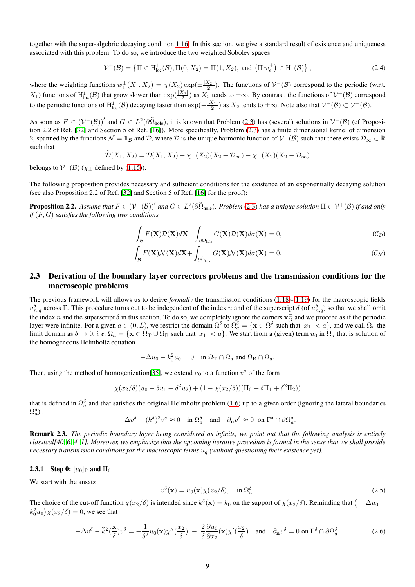together with the super-algebric decaying condition [1.16.](#page-4-0) In this section, we give a standard result of existence and uniqueness associated with this problem. To do so, we introduce the two weighted Sobolev spaces

$$
\mathcal{V}^{\pm}(\mathcal{B}) = \left\{ \Pi \in H_{loc}^{1}(\mathcal{B}), \Pi(0, X_{2}) = \Pi(1, X_{2}), \text{ and } \left( \Pi w_{e}^{\pm} \right) \in H^{1}(\mathcal{B}) \right\},\tag{2.4}
$$

where the weighting functions  $w_e^{\pm}(X_1, X_2) = \chi(X_2) \exp(\pm \frac{|X_2|}{2})$  $\frac{\chi_{2}}{2}$ ). The functions of  $V^-(B)$  correspond to the periodic (w.r.t.  $(X_1)$  functions of  $\mathrm{H}^1_{\mathrm{loc}}(\mathcal{B})$  that grow slower than  $\exp(\frac{|X_2|}{2})$  as  $X_2$  tends to  $\pm\infty$ . By contrast, the functions of  $\mathcal{V}^+(\mathcal{B})$  correspond to the periodic functions of  $\mathrm{H}^{1}_{\mathrm{loc}}(\mathcal{B})$  decaying faster than  $\exp(-\frac{|X_2|}{2})$  $\frac{X_2|}{2}$  as  $X_2$  tends to  $\pm \infty$ . Note also that  $\mathcal{V}^+(\mathcal{B}) \subset \mathcal{V}^-(\mathcal{B})$ .

As soon as  $F \in (\mathcal{V}^-(\mathcal{B}))'$  and  $G \in L^2(\partial \widehat{\Omega}_{\text{hole}})$ , it is known that Problem [\(2.3\)](#page-7-5) has (several) solutions in  $\mathcal{V}^-(\mathcal{B})$  (cf Proposition 2.2 of Ref. [\[32\]](#page-32-6) and Section 5 of Ref. [\[16\]](#page-31-8)). More specifically, Problem [\(2.3\)](#page-7-5) has a finite dimensional kernel of dimension 2, spanned by the functions  $\mathcal{N} = \mathbb{1}_{\mathcal{B}}$  and  $\mathcal{D}$ , where  $\mathcal{D}$  is the unique harmonic function of  $\mathcal{V}^-(\mathcal{B})$  such that there exists  $\mathcal{D}_{\infty} \in \mathbb{R}$ such that

$$
\widetilde{\mathcal{D}}(X_1, X_2) = \mathcal{D}(X_1, X_2) - \chi_+(X_2)(X_2 + \mathcal{D}_{\infty}) - \chi_-(X_2)(X_2 - \mathcal{D}_{\infty})
$$

belongs to  $\mathcal{V}^+(\mathcal{B})$  ( $\chi_{\pm}$  defined by [\(1.15\)](#page-4-5)).

The following proposition provides necessary and sufficient conditions for the existence of an exponentially decaying solution (see also Proposition 2.2 of Ref. [\[32\]](#page-32-6) and Section 5 of Ref. [\[16\]](#page-31-8) for the proof):

<span id="page-8-2"></span>**Proposition 2.2.** Assume that  $F \in (\mathcal{V}^-(\mathcal{B}))'$  and  $G \in L^2(\partial \widehat{\Omega}_{\text{hole}})$ . Problem [\(2.3\)](#page-7-5) has a unique solution  $\Pi \in \mathcal{V}^+(\mathcal{B})$  if and only *if* (F, G) *satisfies the following two conditions*

$$
\int_{\mathcal{B}} F(\mathbf{X}) \mathcal{D}(\mathbf{X}) d\mathbf{X} + \int_{\partial \widehat{\Omega}_{\text{hole}}} G(\mathbf{X}) \mathcal{D}(\mathbf{X}) d\sigma(\mathbf{X}) = 0, \tag{CD}
$$

$$
\int_{\mathcal{B}} F(\mathbf{X}) \mathcal{N}(\mathbf{X}) d\mathbf{X} + \int_{\partial \widehat{\Omega}_{\text{hole}}} G(\mathbf{X}) \mathcal{N}(\mathbf{X}) d\sigma(\mathbf{X}) = 0.
$$
\n(C<sub>N</sub>)

## <span id="page-8-0"></span>2.3 Derivation of the boundary layer correctors problems and the transmission conditions for the macroscopic problems

The previous framework will allows us to derive *formally* the transmission conditions [\(1.18\)](#page-4-4)-[\(1.19\)](#page-5-3) for the macroscopic fields  $u_{n,q}^{\delta}$  across  $\Gamma$ . This procedure turns out to be independent of the index n and of the superscript  $\delta$  (of  $u_{n,q}^{\delta}$ ) so that we shall omit the index *n* and the superscript  $\delta$  in this section. To do so, we completely ignore the corners  $x_0^{\pm}$  and we proceed as if the periodic layer were infinite. For a given  $a \in (0, L)$ , we restrict the domain  $\Omega^{\delta}$  to  $\Omega^{\delta}_a = \{ \mathbf{x} \in \Omega^{\delta} \text{ such that } |x_1| < a \}$ , and we call  $\Omega_a$  the limit domain as  $\delta \to 0$ , *i. e.*  $\Omega_a = {\mathbf{x} \in \Omega_T \cup \Omega_B}$  such that  $|x_1| < a$ . We start from a (given) term  $u_0$  in  $\Omega_a$  that is solution of the homogeneous Helmholtz equation

$$
-\Delta u_0 - k_0^2 u_0 = 0 \quad \text{in } \Omega_\text{T} \cap \Omega_a \text{ and } \Omega_\text{B} \cap \Omega_a.
$$

Then, using the method of homogenization[\[35\]](#page-32-10), we extend  $u_0$  to a function  $v^{\delta}$  of the form

$$
\chi(x_2/\delta)(u_0 + \delta u_1 + \delta^2 u_2) + (1 - \chi(x_2/\delta))(\Pi_0 + \delta \Pi_1 + \delta^2 \Pi_2))
$$

that is defined in  $\Omega_a^{\delta}$  and that satisfies the original Helmholtz problem [\(1.6\)](#page-2-0) up to a given order (ignoring the lateral boundaries  $\Omega_a^\delta)$  :

$$
-\Delta v^{\delta} - (k^{\delta})^2 v^{\delta} \approx 0 \quad \text{in } \Omega_a^{\delta} \quad \text{and} \quad \partial_{\mathbf{n}} v^{\delta} \approx 0 \quad \text{on } \Gamma^{\delta} \cap \partial \Omega_a^{\delta}.
$$

Remark 2.3. *The periodic boundary layer being considered as infinite, we point out that the following analysis is entirely classical[\[40,](#page-32-1) [6,](#page-30-2) [4,](#page-30-1) [1\]](#page-30-6). Moreover, we emphasize that the upcoming iterative procedure is formal in the sense that we shall provide necessary transmission conditions for the macroscopic terms*  $u_q$  *(without questioning their existence yet).* 

#### **2.3.1** Step 0:  $[u_0]_T$  and  $\Pi_0$

We start with the ansatz

$$
v^{\delta}(\mathbf{x}) = u_0(\mathbf{x}) \chi(x_2/\delta), \quad \text{in } \Omega_a^{\delta}.
$$
 (2.5)

The choice of the cut-off function  $\chi(x_2/\delta)$  is intended since  $k^{\delta}(\mathbf{x}) = k_0$  on the support of  $\chi(x_2/\delta)$ . Reminding that  $(-\Delta u_0 - \Delta u_0)$  $k_0^2 u_0 \big) \chi(x_2/\delta) = 0$ , we see that

<span id="page-8-1"></span>
$$
-\Delta v^{\delta} - \hat{k}^{2}(\frac{\mathbf{x}}{\delta})v^{\delta} = -\frac{1}{\delta^{2}}u_{0}(\mathbf{x})\chi''(\frac{x_{2}}{\delta}) - \frac{2}{\delta}\frac{\partial u_{0}}{\partial x_{2}}(\mathbf{x})\chi'(\frac{x_{2}}{\delta}) \text{ and } \partial_{\mathbf{n}}v^{\delta} = 0 \text{ on } \Gamma^{\delta} \cap \partial\Omega_{a}^{\delta}.
$$
 (2.6)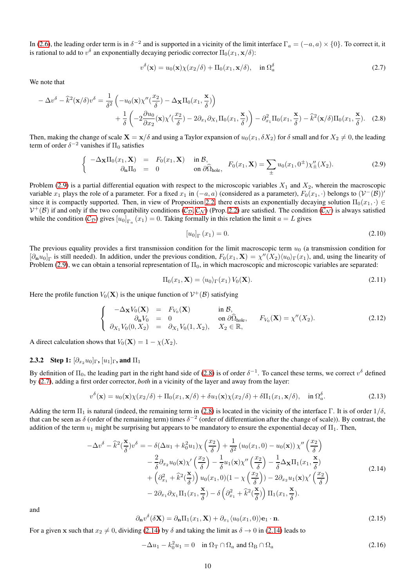In [\(2.6\)](#page-8-1), the leading order term is in  $\delta^{-2}$  and is supported in a vicinity of the limit interface  $\Gamma_a = (-a, a) \times \{0\}$ . To correct it, it is rational to add to  $v^{\delta}$  an exponentially decaying periodic corrector  $\Pi_0(x_1, \mathbf{x}/\delta)$ :

<span id="page-9-2"></span>
$$
v^{\delta}(\mathbf{x}) = u_0(\mathbf{x}) \chi(x_2/\delta) + \Pi_0(x_1, \mathbf{x}/\delta), \quad \text{in } \Omega_a^{\delta}
$$
 (2.7)

We note that

$$
-\Delta v^{\delta} - \hat{k}^{2}(\mathbf{x}/\delta)v^{\delta} = \frac{1}{\delta^{2}} \left( -u_{0}(\mathbf{x})\chi''(\frac{x_{2}}{\delta}) - \Delta_{\mathbf{x}}\Pi_{0}(x_{1}, \frac{\mathbf{x}}{\delta}) \right) + \frac{1}{\delta} \left( -2\frac{\partial u_{0}}{\partial x_{2}}(\mathbf{x})\chi'(\frac{x_{2}}{\delta}) - 2\partial_{x_{1}}\partial_{x_{1}}\Pi_{0}(x_{1}, \frac{\mathbf{x}}{\delta}) \right) - \partial_{x_{1}}^{2}\Pi_{0}(x_{1}, \frac{\mathbf{x}}{\delta}) - \hat{k}^{2}(\mathbf{x}/\delta)\Pi_{0}(x_{1}, \frac{\mathbf{x}}{\delta}).
$$
 (2.8)

Then, making the change of scale  $X = x/\delta$  and using a Taylor expansion of  $u_0(x_1, \delta X_2)$  for  $\delta$  small and for  $X_2 \neq 0$ , the leading term of order  $\delta^{-2}$  vanishes if  $\Pi_0$  satisfies

<span id="page-9-0"></span>
$$
\begin{cases}\n-\Delta_{\mathbf{X}}\Pi_{0}(x_{1},\mathbf{X}) = F_{0}(x_{1},\mathbf{X}) & \text{in }\mathcal{B}, \\
\partial_{\mathbf{n}}\Pi_{0} = 0 & \text{on }\partial\widehat{\Omega}_{\text{hole}},\n\end{cases}\nF_{0}(x_{1},\mathbf{X}) = \sum_{\pm} u_{0}(x_{1},0^{\pm})\chi_{\pm}''(X_{2}).
$$
\n(2.9)

Problem [\(2.9\)](#page-9-0) is a partial differential equation with respect to the microscopic variables  $X_1$  and  $X_2$ , wherein the macroscopic variable  $x_1$  plays the role of a parameter. For a fixed  $x_1$  in  $(-a, a)$  (considered as a parameter),  $F_0(x_1, \cdot)$  belongs to  $(\mathcal{V}^{-}(\mathcal{B}))'$ since it is compactly supported. Then, in view of Proposition [2.2,](#page-8-2) there exists an exponentially decaying solution  $\Pi_0(x_1, \cdot) \in$  $V^+(B)$  if and only if the two compatibility conditions  $(C_{\mathcal{D}}, C_{\mathcal{N}})$  $(C_{\mathcal{D}}, C_{\mathcal{N}})$  $(C_{\mathcal{D}}, C_{\mathcal{N}})$  $(C_{\mathcal{D}}, C_{\mathcal{N}})$  $(C_{\mathcal{D}}, C_{\mathcal{N}})$  (Prop. [2.2\)](#page-8-2) are satisfied. The condition  $(C_{\mathcal{N}})$  is always satisfied while the condition  $(\mathcal{C}_{\mathcal{D}})$  $(\mathcal{C}_{\mathcal{D}})$  $(\mathcal{C}_{\mathcal{D}})$  gives  $[u_0]_{\Gamma_a}(x_1) = 0$ . Taking formally in this relation the limit  $a = L$  gives

<span id="page-9-7"></span><span id="page-9-1"></span>
$$
[u_0]_{\Gamma}(x_1) = 0. \t\t(2.10)
$$

The previous equality provides a first transmission condition for the limit macroscopic term  $u_0$  (a transmission condition for  $[\partial_{\mathbf{n}} u_0]_\Gamma$  is still needed). In addition, under the previous condition,  $F_0(x_1, \mathbf{X}) = \chi''(X_2) \langle u_0 \rangle_\Gamma(x_1)$ , and, using the linearity of Problem [\(2.9\)](#page-9-0), we can obtain a tensorial representation of  $\Pi_0$ , in which macroscopic and microscopic variables are separated:

<span id="page-9-6"></span><span id="page-9-5"></span>
$$
\Pi_0(x_1, \mathbf{X}) = \langle u_0 \rangle_{\Gamma}(x_1) V_0(\mathbf{X}). \tag{2.11}
$$

Here the profile function  $V_0(\mathbf{X})$  is the unique function of  $\mathcal{V}^+(\mathcal{B})$  satisfying

$$
\begin{cases}\n-\Delta_{\mathbf{X}}V_0(\mathbf{X}) = F_{V_0}(\mathbf{X}) & \text{in } \mathcal{B}, \\
\partial_{\mathbf{n}}V_0 = 0 & \text{on } \partial\widehat{\Omega}_{\text{hole}}, \\
\partial_{X_1}V_0(0, X_2) = \partial_{X_1}V_0(1, X_2), & X_2 \in \mathbb{R},\n\end{cases} \quad F_{V_0}(\mathbf{X}) = \chi''(X_2).
$$
\n(2.12)

A direct calculation shows that  $V_0(\mathbf{X}) = 1 - \chi(X_2)$ .

### 2.3.2 Step 1:  $[\partial_{x_2} u_0]_{\Gamma}$ ,  $[u_1]_{\Gamma}$ , and  $\Pi_1$

By definition of  $\Pi_0$ , the leading part in the right hand side of [\(2.8\)](#page-9-1) is of order  $\delta^{-1}$ . To cancel these terms, we correct  $v^\delta$  defined by [\(2.7\)](#page-9-2), adding a first order corrector, *both* in a vicinity of the layer and away from the layer:

$$
v^{\delta}(\mathbf{x}) = u_0(\mathbf{x}) \chi(x_2/\delta) + \Pi_0(x_1, \mathbf{x}/\delta) + \delta u_1(\mathbf{x}) \chi(x_2/\delta) + \delta \Pi_1(x_1, \mathbf{x}/\delta), \quad \text{in } \Omega_a^{\delta}.
$$
 (2.13)

Adding the term  $\Pi_1$  is natural (indeed, the remaining term in [\(2.8\)](#page-9-1) is located in the vicinity of the interface Γ. It is of order  $1/\delta$ , that can be seen as  $\delta$  (order of the remaining term) times  $\delta^{-2}$  (order of differentiation after the change of scale)). By contrast, the addition of the term  $u_1$  might be surprising but appears to be mandatory to ensure the exponential decay of  $\Pi_1$ . Then,

$$
-\Delta v^{\delta} - \hat{\kappa}^{2}(\frac{\mathbf{x}}{\delta})v^{\delta} = -\delta(\Delta u_{1} + k_{0}^{2}u_{1})\chi\left(\frac{x_{2}}{\delta}\right) + \frac{1}{\delta^{2}}\left(u_{0}(x_{1},0) - u_{0}(\mathbf{x})\right)\chi''\left(\frac{x_{2}}{\delta}\right)
$$

$$
-\frac{2}{\delta}\partial_{x_{2}}u_{0}(\mathbf{x})\chi'\left(\frac{x_{2}}{\delta}\right) - \frac{1}{\delta}u_{1}(\mathbf{x})\chi''\left(\frac{x_{2}}{\delta}\right) - \frac{1}{\delta}\Delta_{\mathbf{x}}\Pi_{1}(x_{1},\frac{\mathbf{x}}{\delta})
$$

$$
+\left(\partial_{x_{1}}^{2} + \hat{\kappa}^{2}(\frac{\mathbf{x}}{\delta})\right)u_{0}(x_{1},0)(1 - \chi\left(\frac{x_{2}}{\delta}\right)) - 2\partial_{x_{2}}u_{1}(\mathbf{x})\chi'\left(\frac{x_{2}}{\delta}\right)
$$

$$
-2\partial_{x_{1}}\partial_{x_{1}}\Pi_{1}(x_{1},\frac{\mathbf{x}}{\delta}) - \delta\left(\partial_{x_{1}}^{2} + \hat{\kappa}^{2}(\frac{\mathbf{x}}{\delta})\right)\Pi_{1}(x_{1},\frac{\mathbf{x}}{\delta}).
$$
(2.14)

<span id="page-9-4"></span>and

<span id="page-9-3"></span>
$$
\partial_{\mathbf{n}}v^{\delta}(\delta \mathbf{X}) = \partial_{\mathbf{n}}\Pi_1(x_1, \mathbf{X}) + \partial_{x_1}\langle u_0(x_1, 0) \rangle \mathbf{e}_1 \cdot \mathbf{n}.\tag{2.15}
$$

For a given x such that  $x_2 \neq 0$ , dividing [\(2.14\)](#page-9-3) by  $\delta$  and taking the limit as  $\delta \rightarrow 0$  in [\(2.14\)](#page-9-3) leads to

$$
-\Delta u_1 - k_0^2 u_1 = 0 \quad \text{in } \Omega_\mathcal{T} \cap \Omega_a \text{ and } \Omega_\mathcal{B} \cap \Omega_a \tag{2.16}
$$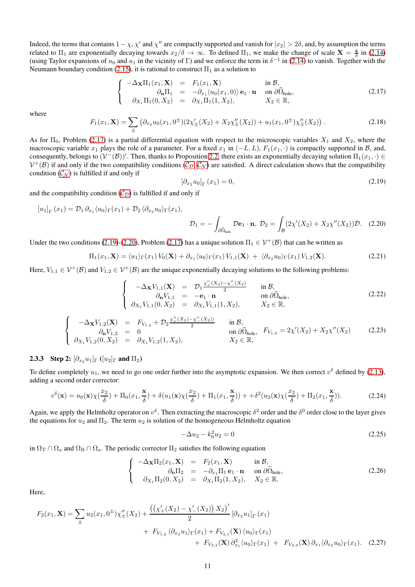Indeed, the terms that contains  $1 - \chi$ ,  $\chi'$  and  $\chi''$  are compactly supported and vanish for  $|x_2| > 2\delta$ , and, by assumption the terms related to  $\Pi_1$  are exponentially decaying towards  $x_2/\delta \to \infty$ . To defined  $\Pi_1$ , we make the change of scale  $\mathbf{X} = \frac{\mathbf{x}}{\delta}$  $\frac{\mathbf{x}}{\delta}$  in [\(2.14\)](#page-9-3) (using Taylor expansions of  $u_0$  and  $u_1$  in the vicinity of  $\Gamma$ ) and we enforce the term in  $\delta^{-1}$  in [\(2.14\)](#page-9-3) to vanish. Together with the Neumann boundary condition [\(2.15\)](#page-9-4), it is rational to construct  $\Pi_1$  as a solution to

$$
\begin{cases}\n-\Delta_{\mathbf{X}}\Pi_{1}(x_{1},\mathbf{X}) = F_{1}(x_{1},\mathbf{X}) & \text{in }\mathcal{B}, \\
\partial_{\mathbf{n}}\Pi_{1} = -\partial_{x_{1}}\langle u_{0}(x_{1},0)\rangle \mathbf{e}_{1} \cdot \mathbf{n} & \text{on }\partial\widehat{\Omega}_{\text{hole}}, \\
\partial_{X_{1}}\Pi_{1}(0,X_{2}) = \partial_{X_{1}}\Pi_{1}(1,X_{2}), & X_{2} \in \mathbb{R},\n\end{cases}
$$
\n(2.17)

where

$$
F_1(x_1, \mathbf{X}) = \sum_{\pm} \left( \partial_{x_2} u_0(x_1, 0^{\pm}) (2\chi'_{\pm}(X_2) + X_2 \chi''_{\pm}(X_2)) + u_1(x_1, 0^{\pm}) \chi''_{\pm}(X_2) \right).
$$
 (2.18)

As for  $\Pi_0$ , Problem [\(2.17\)](#page-10-1) is a partial differential equation with respect to the microscopic variables  $X_1$  and  $X_2$ , where the macroscopic variable  $x_1$  plays the role of a parameter. For a fixed  $x_1$  in  $(-L, L)$ ,  $F_1(x_1, \cdot)$  is compactly supported in  $\mathcal{B}$ , and, consequently, belongs to  $(\mathcal{V}^-(\mathcal{B}))'$ . Then, thanks to Proposition [2.2,](#page-8-2) there exists an exponentially decaying solution  $\Pi_1(x_1, \cdot) \in$  $V^+(B)$  if and only if the two compatibility conditions ( $C_{\mathcal{D}}$  $C_{\mathcal{D}}$  $C_{\mathcal{D}}$ ,  $C_{\mathcal{N}}$  $C_{\mathcal{N}}$  $C_{\mathcal{N}}$ ) are satisfied. A direct calculation shows that the compatibility condition  $(C_N)$  $(C_N)$  $(C_N)$  is fulfilled if and only if

<span id="page-10-5"></span><span id="page-10-2"></span><span id="page-10-1"></span><span id="page-10-0"></span>
$$
\left[\partial_{x_2}u_0\right]_{\Gamma}(x_1)=0,\tag{2.19}
$$

and the compatibility condition  $(\mathcal{C}_{\mathcal{D}})$  $(\mathcal{C}_{\mathcal{D}})$  $(\mathcal{C}_{\mathcal{D}})$  is fulfilled if and only if

$$
[u_1]_{\Gamma}(x_1) = \mathcal{D}_1 \partial_{x_1} \langle u_0 \rangle_{\Gamma}(x_1) + \mathcal{D}_2 \langle \partial_{x_2} u_0 \rangle_{\Gamma}(x_1),
$$
  

$$
\mathcal{D}_1 = -\int_{\partial \widehat{\Omega}_{\text{hole}}} \mathcal{D} \mathbf{e}_1 \cdot \mathbf{n}, \ \mathcal{D}_2 = \int_{\mathcal{B}} (2\chi'(X_2) + X_2 \chi''(X_2)) \mathcal{D}. \tag{2.20}
$$

Under the two conditions [\(2.19\)](#page-10-2)-[\(2.20\)](#page-10-0), Problem [\(2.17\)](#page-10-1) has a unique solution  $\Pi_1 \in \mathcal{V}^+(\mathcal{B})$  that can be written as

$$
\Pi_1(x_1, \mathbf{X}) = \langle u_1 \rangle_{\Gamma}(x_1) V_0(\mathbf{X}) + \partial_{x_1} \langle u_0 \rangle_{\Gamma}(x_1) V_{1,1}(\mathbf{X}) + \langle \partial_{x_2} u_0 \rangle_{\Gamma}(x_1) V_{1,2}(\mathbf{X}). \tag{2.21}
$$

Here,  $V_{1,1} \in \mathcal{V}^+(\mathcal{B})$  and  $V_{1,2} \in \mathcal{V}^+(\mathcal{B})$  are the unique exponentially decaying solutions to the following problems:

$$
\begin{cases}\n-\Delta_{\mathbf{X}}V_{1,1}(\mathbf{X}) = \mathcal{D}_1 \frac{\chi_+^{\prime\prime}(X_2) - \chi_-^{\prime\prime}(X_2)}{2} & \text{in } \mathcal{B}, \\
\frac{\partial_{\mathbf{n}}V_{1,1}}{\partial_{X_1}V_{1,1}(0,X_2)} = \partial_{X_1}V_{1,1}(1,X_2), & X_2 \in \mathbb{R},\n\end{cases}
$$
\n(2.22)

<span id="page-10-3"></span>
$$
\begin{cases}\n-\Delta_{\mathbf{X}}V_{1,2}(\mathbf{X}) = F_{V_{1,2}} + \mathcal{D}_2 \frac{\chi_+''(X_2) - \chi_-''(X_2))}{2} & \text{in } \mathcal{B}, \\
\partial_{\mathbf{n}}V_{1,2} = 0 & \text{on } \partial \widehat{\Omega}_{\text{hole}}, \quad F_{V_{1,2}} = 2\chi'(X_2) + X_2\chi''(X_2) \\
\partial_{X_1}V_{1,2}(0,X_2) = \partial_{X_1}V_{1,2}(1,X_2), & X_2 \in \mathbb{R},\n\end{cases}
$$
\n(2.23)

## 2.3.3 Step 2:  $[\partial_{x_2} u_1]_{\Gamma}$  ( $[u_2]_{\Gamma}$  and  $\Pi_2$ )

To define completely  $u_1$ , we need to go one order further into the asymptotic expansion. We then correct  $v^{\delta}$  defined by [\(2.13\)](#page-9-5), adding a second order corrector:

$$
v^{\delta}(\mathbf{x}) = u_0(\mathbf{x}) \chi(\frac{x_2}{\delta}) + \Pi_0(x_1, \frac{\mathbf{x}}{\delta}) + \delta(u_1(\mathbf{x}) \chi(\frac{x_2}{\delta}) + \Pi_1(x_1, \frac{\mathbf{x}}{\delta})) + \delta^2(u_2(\mathbf{x}) \chi(\frac{x_2}{\delta}) + \Pi_2(x_1, \frac{\mathbf{x}}{\delta})).
$$
\n(2.24)

Again, we apply the Helmholtz operator on  $v^{\delta}$ . Then extracting the macroscopic  $\delta^2$  order and the  $\delta^0$  order close to the layer gives the equations for  $u_2$  and  $\Pi_2$ . The term  $u_2$  is solution of the homogeneous Helmholtz equation

<span id="page-10-4"></span>
$$
-\Delta u_2 - k_0^2 u_2 = 0 \tag{2.25}
$$

in  $\Omega_{\rm T} \cap \Omega_a$  and  $\Omega_{\rm B} \cap \Omega_a$ . The periodic corrector  $\Pi_2$  satisfies the following equation

$$
\begin{cases}\n-\Delta_{\mathbf{X}}\Pi_{2}(x_{1}, \mathbf{X}) = F_{2}(x_{1}, \mathbf{X}) & \text{in } \mathcal{B}, \\
\partial_{\mathbf{n}}\Pi_{2} = -\partial_{x_{1}}\Pi_{1} \mathbf{e}_{1} \cdot \mathbf{n} & \text{on } \partial\widehat{\Omega}_{\text{hole}}, \\
\partial_{X_{1}}\Pi_{2}(0, X_{2}) = \partial_{X_{1}}\Pi_{2}(1, X_{2}), & X_{2} \in \mathbb{R}.\n\end{cases}
$$
\n(2.26)

Here,

$$
F_2(x_1, \mathbf{X}) = \sum_{\pm} u_2(x_1, 0^{\pm}) \chi''_{\pm}(X_2) + \frac{\left( \left( \chi'_{+}(X_2) - \chi'_{-}(X_2) \right) X_2 \right)'}{2} \left[ \partial_{x_2} u_1 \right]_{\Gamma}(x_1) + F_{V_{1,2}} \left\langle \partial_{x_2} u_1 \right\rangle_{\Gamma}(x_1) + F_{V_{2,1}}(\mathbf{X}) \left\langle u_0 \right\rangle_{\Gamma}(x_1) + F_{V_{2,3}}(\mathbf{X}) \partial_{x_1} \left\langle \partial_{x_2} u_0 \right\rangle_{\Gamma}(x_1). \tag{2.27}
$$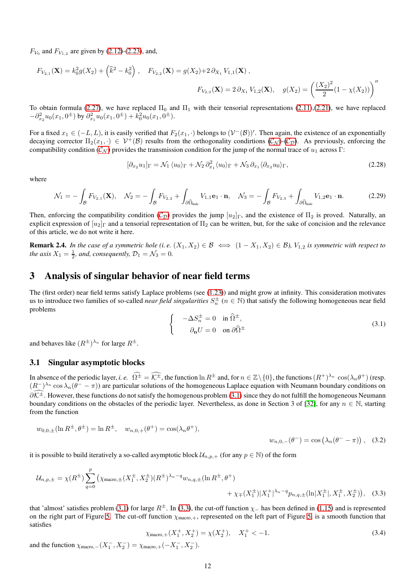$F_{V_0}$  and  $F_{V_{1,2}}$  are given by [\(2.12\)](#page-9-6)-[\(2.23\)](#page-10-3), and,

$$
F_{V_{2,1}}(\mathbf{X}) = k_0^2 g(X_2) + (\hat{k}^2 - k_0^2), \quad F_{V_{2,2}}(\mathbf{X}) = g(X_2) + 2 \partial_{X_1} V_{1,1}(\mathbf{X}),
$$

$$
F_{V_{2,3}}(\mathbf{X}) = 2 \partial_{X_1} V_{1,2}(\mathbf{X}), \quad g(X_2) = \left(\frac{(X_2)^2}{2}(1 - \chi(X_2))\right)^{\prime\prime}
$$

To obtain formula [\(2.27\)](#page-10-4), we have replaced  $\Pi_0$  and  $\Pi_1$  with their tensorial representations [\(2.11\)](#page-9-7),[\(2.21\)](#page-10-5), we have replaced  $-\partial_{x_2}^2 u_0(x_1, 0^{\pm})$  by  $\partial_{x_1}^2 u_0(x_1, 0^{\pm}) + k_0^2 u_0(x_1, 0^{\pm})$ .

For a fixed  $x_1 \in (-L, L)$ , it is easily verified that  $F_2(x_1, \cdot)$  belongs to  $(\mathcal{V}^-(\mathcal{B}))'$ . Then again, the existence of an exponentially decaying corrector  $\Pi_2(x_1, \cdot) \in \mathcal{V}^+(\mathcal{B})$  results from the orthogonality condirtions  $(\mathcal{C}_\mathcal{N})$  $(\mathcal{C}_\mathcal{N})$  $(\mathcal{C}_\mathcal{N})$ - $(\mathcal{C}_\mathcal{D})$  $(\mathcal{C}_\mathcal{D})$  $(\mathcal{C}_\mathcal{D})$ . As previously, enforcing the compatibility condition ( $C_N$  $C_N$ ) provides the transmission condition for the jump of the normal trace of  $u_1$  across Γ:

<span id="page-11-1"></span>
$$
[\partial_{x_2} u_1]_\Gamma = \mathcal{N}_1 \langle u_0 \rangle_\Gamma + \mathcal{N}_2 \partial_{x_1}^2 \langle u_0 \rangle_\Gamma + \mathcal{N}_3 \partial_{x_1} \langle \partial_{x_2} u_0 \rangle_\Gamma, \tag{2.28}
$$

where

$$
\mathcal{N}_1 = -\int_{\mathcal{B}} F_{V_{2,1}}(\mathbf{X}), \quad \mathcal{N}_2 = -\int_{\mathcal{B}} F_{V_{2,2}} + \int_{\partial \widehat{\Omega}_{hole}} V_{1,1} \mathbf{e}_1 \cdot \mathbf{n}, \quad \mathcal{N}_3 = -\int_{\mathcal{B}} F_{V_{2,3}} + \int_{\partial \widehat{\Omega}_{hole}} V_{1,2} \mathbf{e}_1 \cdot \mathbf{n}.
$$
 (2.29)

Then, enforcing the compatibility condition ( $C_{\mathcal{D}}$  $C_{\mathcal{D}}$  $C_{\mathcal{D}}$ ) provides the jump  $[u_2]_\Gamma$ , and the existence of  $\Pi_2$  is proved. Naturally, an explicit expression of  $[u_2]$ <sub>Γ</sub> and a tensorial representation of  $\Pi_2$  can be written, but, for the sake of concision and the relevance of this article, we do not write it here.

**Remark 2.4.** In the case of a symmetric hole (i.e.  $(X_1, X_2) \in \mathcal{B} \iff (1 - X_1, X_2) \in \mathcal{B}$ ),  $V_{1,2}$  is symmetric with respect to *the axis*  $X_1 = \frac{1}{2}$ *, and, consequently,*  $\mathcal{D}_1 = \mathcal{N}_3 = 0$ *.* 

## <span id="page-11-0"></span>3 Analysis of singular behavior of near field terms

<span id="page-11-2"></span>The (first order) near field terms satisfy Laplace problems (see [\(1.23\)](#page-5-2)) and might grow at infinity. This consideration motivates us to introduce two families of so-called *near field singularities*  $S_n^{\pm}$  ( $n \in \mathbb{N}$ ) that satisfy the following homogeneous near field problems

<span id="page-11-4"></span>
$$
\begin{cases}\n-\Delta S_n^{\pm} = 0 & \text{in } \hat{\Omega}^{\pm}, \\
\partial_{\mathbf{n}} U = 0 & \text{on } \partial \hat{\Omega}^{\pm}\n\end{cases}
$$
\n(3.1)

and behaves like  $(R^{\pm})^{\lambda_n}$  for large  $R^{\pm}$ .

### 3.1 Singular asymptotic blocks

In absence of the periodic layer, *i. e.*  $\Omega^{\pm} = \widehat{\mathcal{K}^{\pm}}$ , the function  $\ln R^{\pm}$  and, for  $n \in \mathbb{Z} \setminus \{0\}$ , the functions  $(R^+)^{\lambda_n} \cos(\lambda_n \theta^+)$  (resp.  $(R^{-})^{\lambda_n}$  cos  $\lambda_n(\theta^{-}-\pi)$ ) are particular solutions of the homogeneous Laplace equation with Neumann boundary conditions on  $\partial \mathcal{K}^{\pm}$ . However, these functions do not satisfy the homogenous problem [\(3.1\)](#page-11-2) since they do not fulfill the homogeneous Neumann boundary conditions on the obstacles of the periodic layer. Nevertheless, as done in Section 3 of [\[32\]](#page-32-6), for any  $n \in \mathbb{N}$ , starting from the function

$$
w_{0,0,\pm}(\ln R^{\pm},\theta^{\pm}) = \ln R^{\pm}, \quad w_{n,0,+}(\theta^+) = \cos(\lambda_n \theta^+),
$$
  

$$
w_{n,0,-}(\theta^-) = \cos(\lambda_n (\theta^- - \pi)), \quad (3.2)
$$

it is possible to build iteratively a so-called asymptotic block  $\mathcal{U}_{n,p,+}$  (for any  $p \in \mathbb{N}$ ) of the form

$$
\mathcal{U}_{n,p,\pm} = \chi(R^{\pm}) \sum_{q=0}^{p} \left( \chi_{\text{macro},\pm}(X_1^{\pm}, X_2^{\pm}) (R^{\pm})^{\lambda_n-q} w_{n,q,\pm}(\ln R^{\pm}, \theta^+) + \chi_{\mp}(X_1^{\pm}) |X_1^{\pm}|^{\lambda_n-q} p_{n,q,\pm}(\ln |X_1^{\pm}|, X_1^{\pm}, X_2^{\pm}) \right), \quad (3.3)
$$

<span id="page-11-5"></span>that 'almost' satisfies problem [\(3.1\)](#page-11-2) for large  $R^{\pm}$ . In [\(3.3\)](#page-11-3), the cut-off function  $\chi$  – has been defined in [\(1.15\)](#page-4-5) and is represented on the right part of Figure [5.](#page-12-0) The cut-off function  $\chi_{\text{macro},+}$ , represented on the left part of Figure [5,](#page-12-0) is a smooth function that satisfies

<span id="page-11-3"></span>
$$
\chi_{\text{macro},+}(X_1^+, X_2^+) = \chi(X_2^+), \quad X_1^+ < -1. \tag{3.4}
$$

and the function  $\chi_{\text{macro},-}(X_1^-, X_2^-) = \chi_{\text{macro},+}(-X_1^-, X_2^-)$ .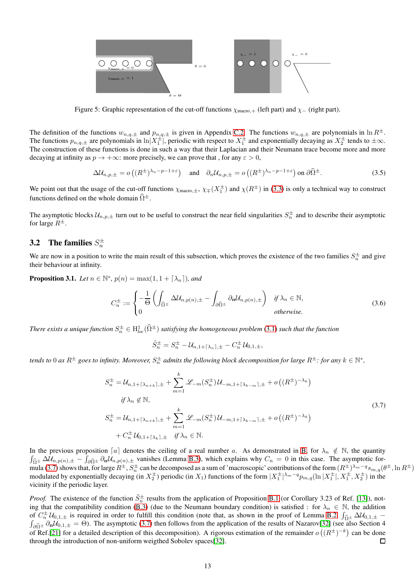<span id="page-12-0"></span>

Figure 5: Graphic representation of the cut-off functions  $\chi_{\text{macro},+}$  (left part) and  $\chi_{-}$  (right part).

The definition of the functions  $w_{n,q,\pm}$  and  $p_{n,q,\pm}$  is given in Appendix [C.2.](#page-29-0) The functions  $w_{n,q,\pm}$  are polynomials in  $\ln R^{\pm}$ . The functions  $p_{n,q,\pm}$  are polynomials in  $\ln |X_1^{\pm}|$ , periodic with respect to  $X_1^{\pm}$  and exponentially decaying as  $X_2^{\pm}$  tends to  $\pm \infty$ . The construction of these functions is done in such a way that their Laplacian and their Neumann trace become more and more decaying at infinity as  $p \to +\infty$ : more precisely, we can prove that, for any  $\varepsilon > 0$ ,

$$
\Delta \mathcal{U}_{n,p,\pm} = o\left( (R^{\pm})^{\lambda_n - p - 1 + \varepsilon} \right) \quad \text{and} \quad \partial_n \mathcal{U}_{n,p,\pm} = o\left( (R^{\pm})^{\lambda_n - p - 1 + \varepsilon} \right) \text{ on } \partial \widehat{\Omega}^{\pm}.
$$

We point out that the usage of the cut-off functions  $\chi_{\text{macro},\pm}$ ,  $\chi_{\mp}(X_1^{\pm})$  and  $\chi(R^{\pm})$  in [\(3.3\)](#page-11-3) is only a technical way to construct functions defined on the whole domain  $\Omega^{\pm}$ .

The asymptotic blocks  $\mathcal{U}_{n,p,\pm}$  turn out to be useful to construct the near field singularities  $S_n^{\pm}$  and to describe their asymptotic for large  $R^{\pm}$ .

#### **3.2** The families  $S_n^{\pm}$ n

We are now in a position to write the main result of this subsection, which proves the existence of the two families  $S_n^{\pm}$  and give their behaviour at infinity.

<span id="page-12-2"></span>**Proposition 3.1.** *Let*  $n \in \mathbb{N}^*$ ,  $p(n) = \max(1, 1 + \lceil \lambda_n \rceil)$ *, and* 

$$
C_n^{\pm} := \begin{cases} -\frac{1}{\Theta} \left( \int_{\widehat{\Omega}^{\pm}} \Delta \mathcal{U}_{n, p(n), \pm} - \int_{\partial \widehat{\Omega}^{\pm}} \partial_n \mathcal{U}_{n, p(n), \pm} \right) & \text{if } \lambda_n \in \mathbb{N}, \\ 0 & \text{otherwise.} \end{cases}
$$
(3.6)

*There exists a unique function*  $S_n^{\pm}\in H^1_{loc}(\widehat{\Omega}^{\pm})$  *satisfying the homogeneous problem* [\(3.1\)](#page-11-2) *such that the function* 

<span id="page-12-1"></span> $\tilde{S}_n^{\pm} = S_n^{\pm} - \mathcal{U}_{n,1+\lceil \lambda_n \rceil,\pm} - C_n^{\pm} \mathcal{U}_{0,1,\pm},$ 

tends to 0 as  $R^\pm$  goes to infinity. Moreover,  $S^\pm_n$  admits the following block decomposition for large  $R^\pm$ : for any  $k\in\mathbb{N}^*,$ 

$$
S_{n}^{\pm} = \mathcal{U}_{n,1+\lceil \lambda_{n+k} \rceil, \pm} + \sum_{m=1}^{k} \mathcal{L}_{-m}(S_{n}^{\pm}) \mathcal{U}_{-m,1+\lceil \lambda_{k-m} \rceil, \pm} + o\left((R^{\pm})^{-\lambda_{k}}\right)
$$
  
\n
$$
if \lambda_{n} \notin \mathbb{N},
$$
  
\n
$$
S_{n}^{\pm} = \mathcal{U}_{n,1+\lceil \lambda_{n+k} \rceil, \pm} + \sum_{m=1}^{k} \mathcal{L}_{-m}(S_{n}^{\pm}) \mathcal{U}_{-m,1+\lceil \lambda_{k-m} \rceil, \pm} + o\left((R^{\pm})^{-\lambda_{k}}\right)
$$
  
\n
$$
+ C_{n}^{\pm} \mathcal{U}_{0,1+\lceil \lambda_{k} \rceil, \pm} \quad if \lambda_{n} \in \mathbb{N}.
$$
  
\n(3.7)

In the previous proposition [a] denotes the ceiling of a real number a. As demonstrated in [B,](#page-22-0) for  $\lambda_n \notin \mathbb{N}$ , the quantity  $\int_{\hat{\Omega}^{\pm}} \Delta \mathcal{U}_{n,p(n),\pm} - \int_{\partial \hat{\Omega}^{\pm}} \partial_{\bf n} \mathcal{U}_{n,p(n),\pm}$  vanishes (Lemma [B.3\)](#page-23-0), which explains why  $C_n = 0$  in this case. The asymptotic for-mula [\(3.7\)](#page-12-1) shows that, for large  $R^\pm$ ,  $S^\pm_n$  can be decomposed as a sum of 'macroscopic' contributions of the form  $(R^\pm)^{\lambda_m-q}s_{m,q}(\theta^\pm,\ln R^\pm)$ modulated by exponentially decaying (in  $X_2^{\pm}$ ) periodic (in  $X_1$ ) functions of the form  $|X_1^{\pm}|^{\lambda_m-q}p_{m,q}(\ln |X_1^{\pm}|, X_1^{\pm}, X_2^{\pm})$  in the vicinity if the periodic layer.

*Proof.* The existence of the function  $\tilde{S}_n^{\pm}$  results from the application of Proposition [B.1](#page-22-1) (or Corollary 3.23 of Ref. [\[13\]](#page-31-19)), not-ing that the compatibility condition [\(B.3\)](#page-22-2) (due to the Neumann boundary condition) is satisfied : for  $\lambda_n \in \mathbb{N}$ , the addition of  $C_n^{\pm} \mathcal{U}_{0,1,\pm}$  is required in order to fulfill this condition (note that, as shown in the proof of Lemma [B.2,](#page-23-1)  $\int_{\Omega^{\pm}} \Delta \mathcal{U}_{0,1,\pm}$  $\int_{\partial \Omega} \hat{\theta}_{\mu} \partial_{\mu} u_{0,1,\pm} = \Theta$ ). The asymptotic [\(3.7\)](#page-12-1) then follows from the application of the results of Nazarov[\[32\]](#page-32-6) (see also Section 4 of Ref.[\[21\]](#page-31-13) for a detailed description of this decomposition). A rigorous estimation of the remainder  $o((R^{\pm})^{-k})$  can be done through the introduction of non-uniform weigthed Sobolev spaces[\[32\]](#page-32-6).  $\Box$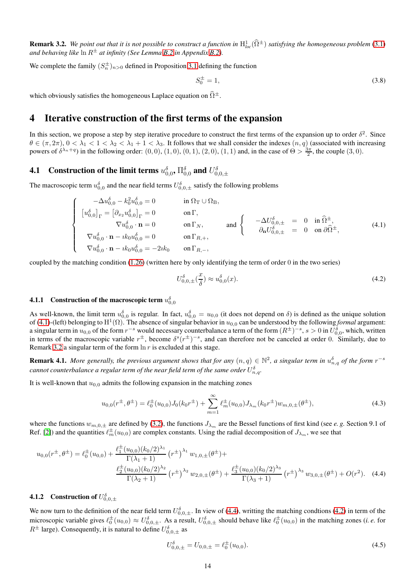<span id="page-13-2"></span>**Remark 3.2.** We point out that it is not possible to construct a function in  $H_{loc}^1(\hat{\Omega}^{\pm})$  satisfying the homogeneous problem [\(3.1\)](#page-11-2) and behaving like  $\ln R^{\pm}$  at infinity (See Lemma [B.2](#page-23-1) in Appendix [B.2\)](#page-22-3).

We complete the family  $(S_n^{\pm})_{n>0}$  defined in Proposition [3.1](#page-12-2) defining the function

<span id="page-13-1"></span>
$$
S_0^{\pm} = 1,\tag{3.8}
$$

which obviously satisfies the homogeneous Laplace equation on  $\widehat{\Omega}^{\pm}$ .

# <span id="page-13-0"></span>4 Iterative construction of the first terms of the expansion

In this section, we propose a step by step iterative procedure to construct the first terms of the expansion up to order  $\delta^2$ . Since  $\theta \in (\pi, 2\pi)$ ,  $0 < \lambda_1 < 1 < \lambda_2 < \lambda_1 + 1 < \lambda_3$ . It follows that we shall consider the indexes  $(n, q)$  (associated with increasing powers of  $\delta^{\lambda_n+q}$ ) in the following order:  $(0,0)$ ,  $(1,0)$ ,  $(0,1)$ ,  $(2,0)$ ,  $(1,1)$  and, in the case of  $\Theta > \frac{3\pi}{2}$ , the couple  $(3,0)$ .

# <span id="page-13-6"></span>**4.1** Construction of the limit terms  $u_{0,0}^{\delta}$ ,  $\Pi_{0,0}^{\delta}$  and  $U_{0,0,\pm}^{\delta}$

The macroscopic term  $u_{0,0}^{\delta}$  and the near field terms  $U_{0,0,\pm}^{\delta}$  satisfy the following problems

$$
\begin{cases}\n-\Delta u_{0,0}^{\delta} - k_0^2 u_{0,0}^{\delta} = 0 & \text{in } \Omega_T \cup \Omega_B, \\
\left[u_{0,0}^{\delta}\right]_{\Gamma} = \left[\partial_{x_2} u_{0,0}^{\delta}\right]_{\Gamma} = 0 & \text{on } \Gamma, \\
\nabla u_{0,0}^{\delta} \cdot \mathbf{n} = 0 & \text{on } \Gamma_N, \\
\nabla u_{0,0}^{\delta} \cdot \mathbf{n} - i k_0 u_{0,0}^{\delta} = 0 & \text{on } \Gamma_{R,+}, \\
\nabla u_{0,0}^{\delta} \cdot \mathbf{n} - i k_0 u_{0,0}^{\delta} = -2ik_0 & \text{on } \Gamma_{R,-},\n\end{cases}\n\text{ and }\n\begin{cases}\n-\Delta U_{0,0,\pm}^{\delta} = 0 & \text{in } \Omega^{\pm}, \\
\partial_{\mathbf{n}} U_{0,0,\pm}^{\delta} = 0 & \text{on } \partial \Omega^{\pm}, \\
\partial_{\mathbf{n}} U_{0,0,\pm}^{\delta} = 0 & \text{on } \partial \Omega^{\pm},\n\end{cases}\n\tag{4.1}
$$

coupled by the matching condition [\(1.26\)](#page-6-2) (written here by only identifying the term of order 0 in the two series)

<span id="page-13-8"></span><span id="page-13-4"></span>
$$
U_{0,0,\pm}^{\delta}(\frac{x}{\delta}) \approx u_{0,0}^{\delta}(x). \tag{4.2}
$$

## **4.1.1** Construction of the macroscopic term  $u_{0,0}^{\delta}$

As well-known, the limit term  $u_{0,0}^{\delta}$  is regular. In fact,  $u_{0,0}^{\delta} = u_{0,0}$  (it does not depend on  $\delta$ ) is defined as the unique solution of [\(4.1\)](#page-13-1)-(left) belonging to  $H^1(\Omega)$ . The absence of singular behavior in  $u_{0,0}$  can be understood by the following *formal* argument: a singular term in  $u_{0,0}$  of the form  $r^{-s}$  would necessary counterbalance a term of the form  $(R^{\pm})^{-s}$ ,  $s>0$  in  $U_{0,0}^{\delta}$ , which, written in terms of the macroscopic variable  $r^{\pm}$ , become  $\delta^s(r^{\pm})^{-s}$ , and can therefore not be canceled at order 0. Similarly, due to Remark [3.2](#page-13-2) a singular term of the form  $\ln r$  is excluded at this stage.

<span id="page-13-7"></span>**Remark 4.1.** More generally, the previous argument shows that for any  $(n,q) \in \mathbb{N}^2$ , a singular term in  $u_{n,q}^{\delta}$  of the form  $r^{-s}$ cannot counterbalance a regular term of the near field term of the same order  $U_{n,q}^\delta.$ 

It is well-known that  $u_{0,0}$  admits the following expansion in the matching zones

$$
u_{0,0}(r^{\pm},\theta^{\pm}) = \ell_0^{\pm}(u_{0,0})J_0(k_0r^{\pm}) + \sum_{m=1}^{\infty} \ell_m^{\pm}(u_{0,0})J_{\lambda_m}(k_0r^{\pm})w_{m,0,\pm}(\theta^{\pm}),
$$
\n(4.3)

where the functions  $w_{m,0,\pm}$  are defined by [\(3.2\)](#page-11-4), the functions  $J_{\lambda_m}$  are the Bessel functions of first kind (see *e. g.* Section 9.1 of Ref. [\[2\]](#page-30-7)) and the quantities  $\ell_m^{\pm}(u_{0,0})$  are complex constants. Using the radial decomposition of  $J_{\lambda_m}$ , we see that

$$
u_{0,0}(r^{\pm},\theta^{\pm}) = \ell_0^{\pm}(u_{0,0}) + \frac{\ell_1^{\pm}(u_{0,0})(k_0/2)^{\lambda_1}}{\Gamma(\lambda_1+1)}(r^{\pm})^{\lambda_1} w_{1,0,\pm}(\theta^{\pm}) +
$$
  

$$
\frac{\ell_2^{\pm}(u_{0,0})(k_0/2)^{\lambda_2}}{\Gamma(\lambda_2+1)}(r^{\pm})^{\lambda_2} w_{2,0,\pm}(\theta^{\pm}) + \frac{\ell_3^{\pm}(u_{0,0})(k_0/2)^{\lambda_3}}{\Gamma(\lambda_3+1)}(r^{\pm})^{\lambda_3} w_{3,0,\pm}(\theta^{\pm}) + O(r^2).
$$
 (4.4)

## **4.1.2** Construction of  $U_{0,0,\pm}^{\delta}$

We now turn to the definition of the near field term  $U_{0,0,\pm}^{\delta}$ . In view of [\(4.4\)](#page-13-3), writting the matching condtions [\(4.2\)](#page-13-4) in term of the microscopic variable gives  $\ell_0^{\pm}(u_{0,0}) \approx U_{0,0,\pm}^{\delta}$ . As a result,  $U_{0,0,\pm}^{\delta}$  should behave like  $\ell_0^{\pm}(u_{0,0})$  in the matching zones (*i. e.* for  $R^{\pm}$  large). Consequently, it is natural to define  $U_{0,0,\pm}^{\delta}$  as

<span id="page-13-5"></span><span id="page-13-3"></span>
$$
U_{0,0,\pm}^{\delta} = U_{0,0,\pm} = \ell_0^{\pm}(u_{0,0}).
$$
\n(4.5)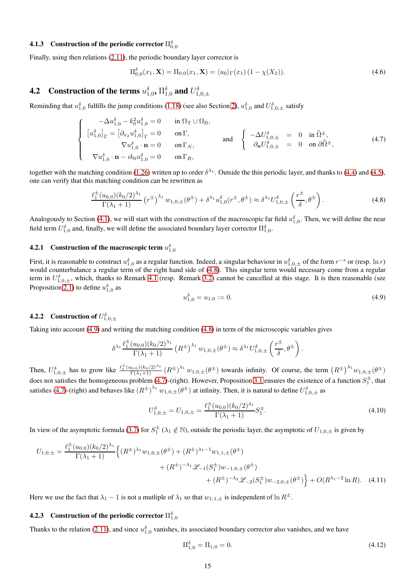## 4.1.3 Construction of the periodic corrector  $\Pi_{0,0}^\delta$

Finally, using then relations [\(2.11\)](#page-9-7), the periodic boundary layer corrector is

<span id="page-14-2"></span>
$$
\Pi_{0,0}^{\delta}(x_1, \mathbf{X}) = \Pi_{0,0}(x_1, \mathbf{X}) = \langle u_0 \rangle_{\Gamma}(x_1) (1 - \chi(X_2)).
$$
\n(4.6)

# <span id="page-14-4"></span>**4.2** Construction of the terms  $u_{1,0}^{\delta}$ ,  $\Pi_{1,0}^{\delta}$  and  $U_{1,0,\pm}^{\delta}$

Reminding that  $u_{1,0}^{\delta}$  fulfills the jump conditions [\(1.18\)](#page-4-4) (see also Section [2\)](#page-7-0),  $u_{1,0}^{\delta}$  and  $U_{1,0,\pm}^{\delta}$  satisfy

$$
\begin{cases}\n-\Delta u_{1,0}^{\delta} - k_0^2 u_{1,0}^{\delta} = 0 & \text{in } \Omega_{\mathcal{T}} \cup \Omega_{\mathcal{B}}, \\
\left[u_{1,0}^{\delta}\right]_{\mathcal{F}} = \left[\partial_{x_2} u_{1,0}^{\delta}\right]_{\mathcal{F}} = 0 & \text{on } \Gamma, \\
\nabla u_{1,0}^{\delta} \cdot \mathbf{n} = 0 & \text{on } \Gamma_{N}, \\
\nabla u_{1,0}^{\delta} \cdot \mathbf{n} - i k_0 u_{1,0}^{\delta} = 0 & \text{on } \Gamma_{R},\n\end{cases}\n\text{ and }\n\begin{cases}\n-\Delta U_{1,0,\pm}^{\delta} = 0 & \text{in } \Omega^{\pm}, \\
\partial_{\mathbf{n}} U_{1,0,\pm}^{\delta} = 0 & \text{on } \partial \Omega^{\pm}, \\
0 & \text{on } \partial \Omega^{\pm},\n\end{cases}\n\tag{4.7}
$$

together with the matching condition [\(1.26\)](#page-6-2) written up to order  $\delta^{\lambda_1}$ . Outside the thin periodic layer, and thanks to [\(4.4\)](#page-13-3) and [\(4.5\)](#page-13-5), one can verify that this matching condition can be rewritten as

<span id="page-14-0"></span>
$$
\frac{\ell_1^{\pm}(u_{0,0})(k_0/2)^{\lambda_1}}{\Gamma(\lambda_1+1)}\left(r^{\pm}\right)^{\lambda_1}w_{1,0,\pm}(\theta^{\pm})+\delta^{\lambda_1}u_{1,0}^{\delta}(r^{\pm},\theta^{\pm})\approx\delta^{\lambda_1}U_{1,0,\pm}^{\delta}\left(\frac{r^{\pm}}{\delta},\theta^{\pm}\right).
$$
\n(4.8)

Analogously to Section [\(4.1\)](#page-13-6), we will start with the construction of the macroscopic far field  $u_{1,0}^{\delta}$ . Then, we will define the near field term  $U_{1,0}^{\delta}$  and, finally, we will define the associated boundary layer corrector  $\Pi_{1,0}^{\delta}$ .

## **4.2.1** Construction of the macroscopic term  $u_{1,0}^{\delta}$

First, it is reasonable to construct  $u_{1,0}^{\delta}$  as a regular function. Indeed, a singular behaviour in  $u_{1,0,\pm}^{\delta}$  of the form  $r^{-s}$  or (resp.  $\ln r$ ) would counterbalance a regular term of the right hand side of [\(4.8\)](#page-14-0). This singular term would necessary come from a regular term in  $U_{1,0,\pm}^{\delta}$ , which, thanks to Remark [4.1](#page-13-7) (resp. Remark [3.2\)](#page-13-2) cannot be cancelled at this stage. It is then reasonable (see Proposition [2.1\)](#page-7-6) to define  $u_{1,0}^{\delta}$  as

<span id="page-14-5"></span>
$$
u_{1,0}^{\delta} = u_{1,0} := 0. \tag{4.9}
$$

## **4.2.2** Construction of  $U_{1,0,\pm}^{\delta}$

Taking into account [\(4.9\)](#page-14-1) and writing the matching condition [\(4.8\)](#page-14-0) in term of the microscopic variables gives

<span id="page-14-1"></span>
$$
\delta^{\lambda_1} \frac{\ell_1^{\pm}(u_{0,0})(k_0/2)^{\lambda_1}}{\Gamma(\lambda_1+1)} \left(R^{\pm}\right)^{\lambda_1} w_{1,0,\pm}(\theta^{\pm}) \approx \delta^{\lambda_1} U_{1,0,\pm}^{\delta} \left(\frac{r^{\pm}}{\delta}, \theta^{\pm}\right).
$$

Then,  $U_{1,0,\pm}^{\delta}$  has to grow like  $\frac{\ell_1^{\pm}(u_{0,0})(k_0/2)^{\lambda_1}}{\Gamma(\lambda_1+1)}$   $(R^{\pm})^{\lambda_1}$   $w_{1,0,\pm}(\theta^{\pm})$  towards infinity. Of course, the term  $(R^{\pm})^{\lambda_1}$  $w_{1,0,\pm}(\theta^{\pm})$ does not satisfies the homogeneous problem [\(4.7\)](#page-14-2)-(right). However, Proposition [3.1](#page-12-2) ensures the existence of a function  $S_1^{\pm}$ , that satisfies [\(4.7\)](#page-14-2)-(right) and behaves like  $(R^{\pm})^{\lambda_1}w_{1,0,\pm}(\theta^{\pm})$  at infinity. Then, it is natural to define  $U_{1,0,\pm}^{\delta}$  as

$$
U_{1,0,\pm}^{\delta} = U_{1,0,\pm} = \frac{\ell_1^{\pm}(u_{0,0})(k_0/2)^{\lambda_1}}{\Gamma(\lambda_1 + 1)} S_1^{\pm}.
$$
\n(4.10)

In view of the asymptotic formula [\(3.7\)](#page-12-1) for  $S_1^{\pm}$  ( $\lambda_1 \notin \mathbb{N}$ ), outside the periodic layer, the asymptotic of  $U_{1,0,\pm}$  is given by

$$
U_{1,0,\pm} = \frac{\ell_1^{\pm}(u_{0,0})(k_0/2)^{\lambda_1}}{\Gamma(\lambda_1+1)} \Big\{ (R^{\pm})^{\lambda_1}w_{1,0,\pm}(\theta^{\pm}) + (R^{\pm})^{\lambda_1-1}w_{1,1,\pm}(\theta^{\pm}) + (R^{\pm})^{-\lambda_1}\mathscr{L}_{-1}(S_1^{\pm})w_{-1,0,\pm}(\theta^{\pm}) + (R^{\pm})^{-\lambda_2}\mathscr{L}_{-2}(S_1^{\pm})w_{-2,0,\pm}(\theta^{\pm}) \Big\} + O(R^{\lambda_1-2}\ln R). \tag{4.11}
$$

Here we use the fact that  $\lambda_1 - 1$  is not a mutliple of  $\lambda_1$  so that  $w_{1,1,\pm}$  is independent of  $\ln R^{\pm}$ .

## 4.2.3 Construction of the periodic corrector  $\Pi_{1,0}^\delta$

Thanks to the relation [\(2.11\)](#page-9-7), and since  $u_{1,0}^{\delta}$  vanishes, its associated boundary corrector also vanishes, and we have

<span id="page-14-3"></span>
$$
\Pi_{1,0}^{\delta} = \Pi_{1,0} = 0. \tag{4.12}
$$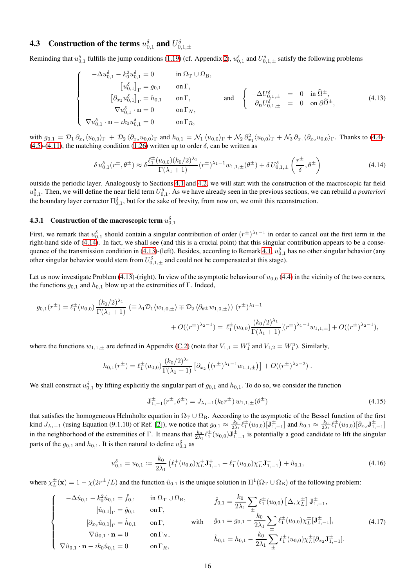# <span id="page-15-2"></span>**4.3** Construction of the terms  $u_{0,1}^{\delta}$  and  $U_{0,1,\pm}^{\delta}$

Reminding that  $u_{0,1}^{\delta}$  fulfills the jump conditions [\(1.19\)](#page-5-3) (cf. Appendix [2\)](#page-7-0),  $u_{0,1}^{\delta}$  and  $U_{0,1,\pm}^{\delta}$  satisfy the following problems

<span id="page-15-1"></span>
$$
\begin{cases}\n-\Delta u_{0,1}^{\delta} - k_0^2 u_{0,1}^{\delta} = 0 & \text{in } \Omega_{\text{T}} \cup \Omega_{\text{B}}, \\
[u_{0,1}^{\delta}]_{\Gamma} = g_{0,1} & \text{on } \Gamma, \\
[\partial_{x_2} u_{0,1}^{\delta}]_{\Gamma} = h_{0,1} & \text{on } \Gamma, \\
\nabla u_{0,1}^{\delta} \cdot \mathbf{n} = 0 & \text{on } \Gamma_{N}, \\
\nabla u_{0,1}^{\delta} \cdot \mathbf{n} - ik_0 u_{0,1}^{\delta} = 0 & \text{on } \Gamma_{R},\n\end{cases}\n\text{ and }\n\begin{cases}\n-\Delta U_{0,1,\pm}^{\delta} = 0 & \text{in } \Omega^{\pm}, \\
\partial_{\mathbf{n}} U_{0,1,\pm}^{\delta} = 0 & \text{on } \partial \Omega^{\pm}, \\
0 & \text{on } \partial \Omega^{\pm},\n\end{cases}\n\tag{4.13}
$$

with  $g_{0,1} = \mathcal{D}_1 \partial_{x_1} \langle u_{0,0} \rangle_{\Gamma} + \mathcal{D}_2 \langle \partial_{x_2} u_{0,0} \rangle_{\Gamma}$  and  $h_{0,1} = \mathcal{N}_1 \langle u_{0,0} \rangle_{\Gamma} + \mathcal{N}_2 \partial_{x_1}^2 \langle u_{0,0} \rangle_{\Gamma} + \mathcal{N}_3 \partial_{x_1} \langle \partial_{x_2} u_{0,0} \rangle_{\Gamma}$ . Thanks to [\(4.4\)](#page-13-3)-[\(4.5\)](#page-13-5)-[\(4.11\)](#page-14-3), the matching condition [\(1.26\)](#page-6-2) written up to order  $\delta$ , can be written as

<span id="page-15-0"></span>
$$
\delta u_{0,1}^{\delta}(r^{\pm},\theta^{\pm}) \approx \delta \frac{\ell_1^{\pm}(u_{0,0})(k_0/2)^{\lambda_1}}{\Gamma(\lambda_1+1)}(r^{\pm})^{\lambda_1-1}w_{1,1,\pm}(\theta^{\pm}) + \delta U_{0,1,\pm}^{\delta}\left(\frac{r^{\pm}}{\delta},\theta^{\pm}\right)
$$
(4.14)

outside the periodic layer. Analogously to Sections [4.1](#page-13-6) and [4.2,](#page-14-4) we will start with the construction of the macroscopic far field  $u_{0,1}^{\delta}$ . Then, we will define the near field term  $U_{0,1}^{\delta}$ . As we have already seen in the previous sections, we can rebuild *a posteriori* the boundary layer corrector  $\Pi_{0,1}^{\delta}$ , but for the sake of brevity, from now on, we omit this reconstruction.

## **4.3.1** Construction of the macroscopic term  $u_{0,1}^{\delta}$

First, we remark that  $u_{0,1}^{\delta}$  should contain a singular contribution of order  $(r^{\pm})^{\lambda_1-1}$  in order to cancel out the first term in the right-hand side of [\(4.14\)](#page-15-0). In fact, we shall see (and this is a crucial point) that this singular contribution appears to be a conse-quence of the transmission condition in [\(4.13\)](#page-15-1)-(left). Besides, according to Remark [4.1,](#page-13-7)  $u_{0,1}^{\delta}$  has no other singular behavior (any other singular behavior would stem from  $U_{0,1,\pm}^{\delta}$  and could not be compensated at this stage).

Let us now investigate Problem [\(4.13\)](#page-15-1)-(right). In view of the asymptotic behaviour of  $u_{0,0}$  [\(4.4\)](#page-13-3) in the vicinity of the two corners, the functions  $g_{0,1}$  and  $h_{0,1}$  blow up at the extremities of Γ. Indeed,

$$
g_{0,1}(r^{\pm}) = \ell_1^{\pm}(u_{0,0}) \frac{(k_0/2)^{\lambda_1}}{\Gamma(\lambda_1+1)} \left( \mp \lambda_1 \mathcal{D}_1 \langle w_{1,0,\pm} \rangle \mp \mathcal{D}_2 \langle \partial_{\theta^{\pm}} w_{1,0,\pm} \rangle \right) (r^{\pm})^{\lambda_1-1} + O((r^{\pm})^{\lambda_2-1}) = \ell_1^{\pm}(u_{0,0}) \frac{(k_0/2)^{\lambda_1}}{\Gamma(\lambda_1+1)} [(r^{\pm})^{\lambda_1-1} w_{1,1,\pm}] + O((r^{\pm})^{\lambda_2-1}),
$$

where the functions  $w_{1,1,\pm}$  are defined in Appendix [\(C.2\)](#page-29-0) (note that  $V_{1,1} = W_1^{\dagger}$  and  $V_{1,2} = W_1^{\dagger}$ ). Similarly,

$$
h_{0,1}(r^{\pm}) = \ell_1^{\pm}(u_{0,0}) \frac{(k_0/2)^{\lambda_1}}{\Gamma(\lambda_1+1)} \left[ \partial_{x_2} \left( (r^{\pm})^{\lambda_1-1} w_{1,1,\pm} \right) \right] + O((r^{\pm})^{\lambda_2-2}).
$$

We shall construct  $u_{0,1}^{\delta}$  by lifting explicitly the singular part of  $g_{0,1}$  and  $h_{0,1}$ . To do so, we consider the function

<span id="page-15-3"></span>
$$
\mathbf{J}_{1,-1}^{\pm}(r^{\pm},\theta^{\pm}) = J_{\lambda_1-1}(k_0 r^{\pm}) w_{1,1,\pm}(\theta^{\pm})
$$
\n(4.15)

that satisfies the homogeneous Helmholtz equation in  $\Omega_T \cup \Omega_B$ . According to the asymptotic of the Bessel function of the first kind  $J_{\lambda_1-1}$  (using Equation (9.1.10) of Ref. [\[2\]](#page-30-7)), we notice that  $g_{0,1} \approx \frac{k_0}{2\lambda_1} \ell_1^{\pm}(u_{0,0}) [\mathbf{J}_{1,-1}^{\pm}]$  and  $h_{0,1} \approx \frac{k_0}{2\lambda_1} \ell_1^{\pm}(u_{0,0}) [\partial_{x_2} \mathbf{J}_{1,-1}^{\pm}]$ in the neighborhood of the extremities of  $\Gamma$ . It means that  $\frac{k_0}{2\lambda_1}\ell_1^{\pm}(u_{0,0})\mathbf{J}_{1,-1}^{\pm}$  is potentially a good candidate to lift the singular parts of the  $g_{0,1}$  and  $h_{0,1}$ . It is then natural to define  $u_{0,1}^{\delta}$  as

$$
u_{0,1}^{\delta} = u_{0,1} := \frac{k_0}{2\lambda_1} \left( \ell_1^+(u_{0,0}) \chi_L^+ \mathbf{J}_{1,-1}^+ + \ell_1^-(u_{0,0}) \chi_L^- \mathbf{J}_{1,-1}^- \right) + \hat{u}_{0,1},\tag{4.16}
$$

where  $\chi_L^{\pm}(\mathbf{x}) = 1 - \chi(2r^{\pm}/L)$  and the function  $\hat{u}_{0,1}$  is the unique solution in  $\mathrm{H}^1(\Omega_T \cup \Omega_B)$  of the following problem:

$$
\begin{cases}\n-\Delta \hat{u}_{0,1} - k_0^2 \hat{u}_{0,1} = \hat{f}_{0,1} & \text{in } \Omega_{\text{T}} \cup \Omega_{\text{B}}, \\
[\hat{u}_{0,1}]_{\Gamma} = \hat{g}_{0,1} & \text{on } \Gamma, \\
[\partial_{x_2} \hat{u}_{0,1}]_{\Gamma} = \hat{h}_{0,1} & \text{on } \Gamma, \\
\nabla \hat{u}_{0,1} \cdot \mathbf{n} = 0 & \text{on } \Gamma_{N}, \\
\nabla \hat{u}_{0,1} \cdot \mathbf{n} - \imath k_0 \hat{u}_{0,1} = 0 & \text{on } \Gamma_{R},\n\end{cases}\n\quad \text{with} \quad\n\begin{aligned}\n\hat{f}_{0,1} &= \frac{k_0}{2\lambda_1} \sum_{\pm} \ell_1^{\pm}(u_{0,0}) \left[\Delta, \chi_L^{\pm}\right] \mathbf{J}_{1,-1}^{\pm}, \\
\hat{g}_{0,1} &= g_{0,1} - \frac{k_0}{2\lambda_1} \sum_{\pm} \ell_1^{\pm}(u_{0,0}) \chi_L^{\pm} [\mathbf{J}_{1,-1}^{\pm}], \\
\frac{k_0}{2\lambda_1} \sum_{\pm} \ell_1^{\pm}(u_{0,0}) \chi_L^{\pm} [\mathbf{J}_{1,-1}^{\pm}].\n\end{aligned}\n\quad (4.17)
$$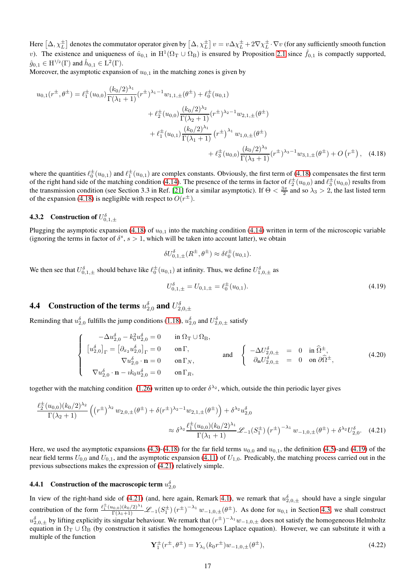Here  $[\Delta, \chi_L^{\pm}]$  denotes the commutator operator given by  $[\Delta, \chi_L^{\pm}] v = v \Delta \chi_L^{\pm} + 2 \nabla \chi_L^{\pm} \cdot \nabla v$  (for any sufficiently smooth function v). The existence and uniqueness of  $\hat{u}_{0,1}$  in  $\mathrm{H}^1(\Omega_T \cup \Omega_B)$  is ensured by Proposition [2.1](#page-7-6) since  $\hat{f}_{0,1}$  is compactly supported,  $\hat{g}_{0,1} \in \mathrm{H}^{1/2}(\Gamma)$  and  $\hat{h}_{0,1} \in \mathrm{L}^{2}(\Gamma)$ .

Moreover, the asymptotic expansion of  $u_{0,1}$  in the matching zones is given by

$$
u_{0,1}(r^{\pm},\theta^{\pm}) = \ell_1^{\pm}(u_{0,0}) \frac{(k_0/2)^{\lambda_1}}{\Gamma(\lambda_1+1)} (r^{\pm})^{\lambda_1-1} w_{1,1,\pm}(\theta^{\pm}) + \ell_0^{\pm}(u_{0,1}) + \ell_2^{\pm}(u_{0,0}) \frac{(k_0/2)^{\lambda_2}}{\Gamma(\lambda_2+1)} (r^{\pm})^{\lambda_2-1} w_{2,1,\pm}(\theta^{\pm}) + \ell_1^{\pm}(u_{0,1}) \frac{(k_0/2)^{\lambda_1}}{\Gamma(\lambda_1+1)} (r^{\pm})^{\lambda_1} w_{1,0,\pm}(\theta^{\pm}) + \ell_3^{\pm}(u_{0,0}) \frac{(k_0/2)^{\lambda_3}}{\Gamma(\lambda_3+1)} (r^{\pm})^{\lambda_3-1} w_{3,1,\pm}(\theta^{\pm}) + O(r^{\pm}), \quad (4.18)
$$

where the quantities  $\ell_0^{\pm}(u_{0,1})$  and  $\ell_1^{\pm}(u_{0,1})$  are complex constants. Obviously, the first term of [\(4.18\)](#page-16-0) compensates the first term of the right hand side of the matching condition [\(4.14\)](#page-15-0). The presence of the terms in factor of  $\ell_2^{\pm}(u_{0,0})$  and  $\ell_3^{\pm}(u_{0,0})$  results from the transmission condition (see Section 3.3 in Ref. [\[21\]](#page-31-13) for a similar asymptotic). If  $\Theta < \frac{3\pi}{2}$  and so  $\lambda_3 > 2$ , the last listed term of the expansion [\(4.18\)](#page-16-0) is negligible with respect to  $O(r^{\pm})$ .

## **4.3.2** Construction of  $U_{0,1,\pm}^{\delta}$

Plugging the asymptotic expansion [\(4.18\)](#page-16-0) of  $u_{0,1}$  into the matching condition [\(4.14\)](#page-15-0) written in term of the microscopic variable (ignoring the terms in factor of  $\delta^s$ ,  $s > 1$ , which will be taken into account latter), we obtain

<span id="page-16-0"></span>
$$
\delta U_{0,1,\pm}^{\delta}(R^{\pm},\theta^{\pm}) \approx \delta \ell_0^{\pm}(u_{0,1}).
$$

We then see that  $U_{0,1,\pm}^{\delta}$  should behave like  $\ell_0^{\pm}(u_{0,1})$  at infinity. Thus, we define  $U_{1,0,\pm}^{\delta}$  as

<span id="page-16-3"></span><span id="page-16-1"></span>
$$
U_{0,1,\pm}^{\delta} = U_{0,1,\pm} = \ell_0^{\pm}(u_{0,1}).
$$
\n(4.19)

# <span id="page-16-5"></span>**4.4** Construction of the terms  $u_{2,0}^{\delta}$  and  $U_{2,0,\pm}^{\delta}$

Reminding that  $u_{2,0}^{\delta}$  fulfills the jump conditions [\(1.18\)](#page-4-4),  $u_{2,0}^{\delta}$  and  $U_{2,0,\pm}^{\delta}$  satisfy

$$
\begin{cases}\n-\Delta u_{2,0}^{\delta} - k_0^2 u_{2,0}^{\delta} = 0 & \text{in } \Omega_{\text{T}} \cup \Omega_{\text{B}}, \\
\left[u_{2,0}^{\delta}\right]_{\Gamma} = \left[\partial_{x_2} u_{2,0}^{\delta}\right]_{\Gamma} = 0 & \text{on } \Gamma, \\
\nabla u_{2,0}^{\delta} \cdot \mathbf{n} = 0 & \text{on } \Gamma_{N}, \\
\nabla u_{2,0}^{\delta} \cdot \mathbf{n} - i k_0 u_{2,0}^{\delta} = 0 & \text{on } \Gamma_{R},\n\end{cases}\n\text{ and }\n\begin{cases}\n-\Delta U_{2,0,\pm}^{\delta} = 0 & \text{in } \Omega^{\pm}, \\
\partial_{\mathbf{n}} U_{2,0,\pm}^{\delta} = 0 & \text{on } \partial \Omega^{\pm}, \\
\partial_{\mathbf{n}} U_{2,0,\pm}^{\delta} = 0 & \text{on } \partial \Omega^{\pm},\n\end{cases}\n\tag{4.20}
$$

together with the matching condition [\(1.26\)](#page-6-2) written up to order  $\delta^{\lambda_2}$ , which, outside the thin periodic layer gives

$$
\frac{\ell_2^{\pm}(u_{0,0})(k_0/2)^{\lambda_2}}{\Gamma(\lambda_2+1)} \left( \left( r^{\pm} \right)^{\lambda_2} w_{2,0,\pm}(\theta^{\pm}) + \delta(r^{\pm})^{\lambda_2-1} w_{2,1,\pm}(\theta^{\pm}) \right) + \delta^{\lambda_2} u_{2,0}^{\delta}
$$
\n
$$
\approx \delta^{\lambda_2} \frac{\ell_1^{\pm}(u_{0,0})(k_0/2)^{\lambda_1}}{\Gamma(\lambda_1+1)} \mathscr{L}_{-1}(S_1^{\pm}) \left( r^{\pm} \right)^{-\lambda_1} w_{-1,0,\pm}(\theta^{\pm}) + \delta^{\lambda_2} U_{2,0}^{\delta}. \tag{4.21}
$$

Here, we used the asymptotic expansions [\(4.3\)](#page-13-8)-[\(4.18\)](#page-16-0) for the far field terms  $u_{0,0}$  and  $u_{0,1}$ , the definition [\(4.5\)](#page-13-5)-and [\(4.19\)](#page-16-1) of the near field terms  $U_{0,0}$  and  $U_{0,1}$ , and the asymptotic expansion [\(4.11\)](#page-14-3) of  $U_{1,0}$ . Predicably, the matching process carried out in the previous subsections makes the expression of [\(4.21\)](#page-16-2) relatively simple.

## **4.4.1** Construction of the macroscopic term  $u_{2,0}^{\delta}$

In view of the right-hand side of [\(4.21\)](#page-16-2) (and, here again, Remark [4.1\)](#page-13-7), we remark that  $u_{2,0,\pm}^{\delta}$  should have a single singular contribution of the form  $\frac{\ell_1^{\pm}(u_{0,0})(k_0/2)^{\lambda_1}}{\Gamma(\lambda_1+1)}\mathscr{L}_{-1}(S_1^{\pm})\left(r^{\pm}\right)^{-\lambda_1}w_{-1,0,\pm}(\theta^{\pm})$ . As done for  $u_{0,1}$  in Section [4.3,](#page-15-2) we shall construct  $u_{2,0,\pm}^{\delta}$  by lifting explicitly its singular behaviour. We remark that  $(r^{\pm})^{-\lambda_1}w_{-1,0,\pm}$  does not satisfy the homogeneous Helmholtz equation in  $\Omega_{\rm T} \cup \Omega_{\rm B}$  (by construction it satisfies the homogeneous Laplace equation). However, we can substitute it with a multiple of the function

<span id="page-16-4"></span><span id="page-16-2"></span>
$$
\mathbf{Y}_{1}^{\pm}(r^{\pm},\theta^{\pm})=Y_{\lambda_{1}}(k_{0}r^{\pm})w_{-1,0,\pm}(\theta^{\pm}), \qquad (4.22)
$$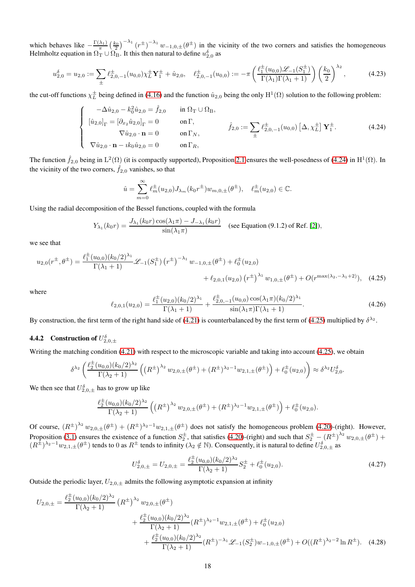which behaves like  $-\frac{\Gamma(\lambda_1)}{\pi}$  $\frac{\lambda_1}{\pi} \left(\frac{k_0}{2}\right)^{-\lambda_1} \left(r^{\pm}\right)^{-\lambda_1} w_{-1,0,\pm}(\theta^{\pm})$  in the vicinity of the two corners and satisfies the homogeneous Helmholtz equation in  $\Omega_{\rm T} \cup \Omega_{\rm B}$ . It this then natural to define  $u_{2,0}^{\delta}$  as

$$
u_{2,0}^{\delta} = u_{2,0} := \sum_{\pm} \ell_{2,0,-1}^{\pm}(u_{0,0}) \chi_L^{\pm} \mathbf{Y}_1^{\pm} + \hat{u}_{2,0}, \quad \ell_{2,0,-1}^{\pm}(u_{0,0}) := -\pi \left( \frac{\ell_1^{\pm}(u_{0,0}) \mathscr{L}_{-1}(S_1^{\pm})}{\Gamma(\lambda_1)\Gamma(\lambda_1 + 1)} \right) \left( \frac{k_0}{2} \right)^{\lambda_2},\tag{4.23}
$$

the cut-off functions  $\chi_L^{\pm}$  being defined in [\(4.16\)](#page-15-3) and the function  $\hat{u}_{2,0}$  being the only  $\mathrm{H}^1(\Omega)$  solution to the following problem:

$$
\begin{cases}\n-\Delta \hat{u}_{2,0} - k_0^2 \hat{u}_{2,0} = \hat{f}_{2,0} & \text{in } \Omega_{\text{T}} \cup \Omega_{\text{B}}, \\
[\hat{u}_{2,0}]_{\Gamma} = [\partial_{x_2} \hat{u}_{2,0}]_{\Gamma} = 0 & \text{on } \Gamma, \\
\nabla \hat{u}_{2,0} \cdot \mathbf{n} = 0 & \text{on } \Gamma_N, \\
\nabla \hat{u}_{2,0} \cdot \mathbf{n} - ik_0 \hat{u}_{2,0} = 0 & \text{on } \Gamma_R,\n\end{cases}\n\hat{f}_{2,0} := \sum_{\pm} \ell_{2,0,-1}^{\pm} (u_{0,0}) [\Delta, \chi_{L}^{\pm}] \mathbf{Y}_{1}^{\pm}.
$$
\n(4.24)

The function  $\hat{f}_{2,0}$  being in  $\mathrm{L}^2(\Omega)$  (it is compactly supported), Proposition [2.1](#page-7-6) ensures the well-posedness of [\(4.24\)](#page-17-0) in  $\mathrm{H}^1(\Omega)$ . In the vicinity of the two corners,  $f_{2,0}$  vanishes, so that

<span id="page-17-0"></span>
$$
\hat{u} = \sum_{m=0}^{\infty} \ell_m^{\pm}(u_{2,0}) J_{\lambda_m}(k_0 r^{\pm}) w_{m,0,\pm}(\theta^{\pm}), \quad \ell_m^{\pm}(u_{2,0}) \in \mathbb{C}.
$$

Using the radial decomposition of the Bessel functions, coupled with the formula

$$
Y_{\lambda_1}(k_0 r) = \frac{J_{\lambda_1}(k_0 r) \cos(\lambda_1 \pi) - J_{-\lambda_1}(k_0 r)}{\sin(\lambda_1 \pi)}
$$
 (see Equation (9.1.2) of Ref. [2]),

we see that

$$
u_{2,0}(r^{\pm},\theta^{\pm}) = \frac{\ell_1^{\pm}(u_{0,0})(k_0/2)^{\lambda_1}}{\Gamma(\lambda_1+1)} \mathscr{L}_{-1}(S_1^{\pm}) (r^{\pm})^{-\lambda_1} w_{-1,0,\pm}(\theta^{\pm}) + \ell_0^{\pm}(u_{2,0}) + \ell_{2,0,1}(u_{2,0}) (r^{\pm})^{\lambda_1} w_{1,0,\pm}(\theta^{\pm}) + O(r^{\max(\lambda_2,-\lambda_1+2)}), \quad (4.25)
$$

where

<span id="page-17-1"></span>
$$
\ell_{2,0,1}(u_{2,0}) = \frac{\ell_1^{\pm}(u_{2,0})(k_0/2)^{\lambda_1}}{\Gamma(\lambda_1 + 1)} + \frac{\ell_{2,0,-1}^{\pm}(u_{0,0})\cos(\lambda_1\pi)(k_0/2)^{\lambda_1}}{\sin(\lambda_1\pi)\Gamma(\lambda_1 + 1)}.
$$
\n(4.26)

By construction, the first term of the right hand side of [\(4.21\)](#page-16-2) is counterbalanced by the first term of [\(4.25\)](#page-17-1) multiplied by  $\delta^{\lambda_2}$ .

## **4.4.2** Construction of  $U_{2,0,\pm}^{\delta}$

Writing the matching condition [\(4.21\)](#page-16-2) with respect to the microscopic variable and taking into account [\(4.25\)](#page-17-1), we obtain

$$
\delta^{\lambda_2} \left( \frac{\ell_2^{\pm}(u_{0,0})(k_0/2)^{\lambda_2}}{\Gamma(\lambda_2+1)} \left( \left( R^{\pm} \right)^{\lambda_2} w_{2,0,\pm}(\theta^{\pm}) + (R^{\pm})^{\lambda_2-1} w_{2,1,\pm}(\theta^{\pm}) \right) + \ell_0^{\pm}(u_{2,0}) \right) \approx \delta^{\lambda_2} U_{2,0}^{\delta}.
$$

We then see that  $U_{2,0,\pm}^{\delta}$  has to grow up like

$$
\frac{\ell_2^{\pm}(u_{0,0})(k_0/2)^{\lambda_2}}{\Gamma(\lambda_2+1)}\left((R^{\pm})^{\lambda_2}w_{2,0,\pm}(\theta^{\pm})+(R^{\pm})^{\lambda_2-1}w_{2,1,\pm}(\theta^{\pm})\right)+\ell_0^{\pm}(u_{2,0}).
$$

Of course,  $(R^{\pm})^{\lambda_2} w_{2,0,\pm}(\theta^{\pm}) + (R^{\pm})^{\lambda_2-1} w_{2,1,\pm}(\theta^{\pm})$  does not satisfy the homogeneous problem [\(4.20\)](#page-16-3)-(right). However, Proposition [\(3.1\)](#page-12-2) ensures the existence of a function  $S_2^{\pm}$ , that satisfies [\(4.20\)](#page-16-3)-(right) and such that  $S_2^{\pm} - (R^{\pm})^{\lambda_2} w_{2,0,\pm}(\theta^{\pm})$  +  $(R^{\pm})^{\lambda_2-1}w_{2,1,\pm}(\theta^{\pm})$  tends to 0 as  $R^{\pm}$  tends to infinity  $(\lambda_2 \notin \mathbb{N})$ . Consequently, it is natural to define  $U_{2,0,\pm}^{\delta}$  as

<span id="page-17-3"></span><span id="page-17-2"></span>
$$
U_{2,0,\pm}^{\delta} = U_{2,0,\pm} = \frac{\ell_2^{\pm}(u_{0,0})(k_0/2)^{\lambda_2}}{\Gamma(\lambda_2 + 1)} S_2^{\pm} + \ell_0^{\pm}(u_{2,0}).
$$
\n(4.27)

Outside the periodic layer,  $U_{2,0,\pm}$  admits the following asymptotic expansion at infinity

$$
U_{2,0,\pm} = \frac{\ell_2^{\pm}(u_{0,0})(k_0/2)^{\lambda_2}}{\Gamma(\lambda_2+1)} \left(R^{\pm}\right)^{\lambda_2} w_{2,0,\pm}(\theta^{\pm}) + \frac{\ell_2^{\pm}(u_{0,0})(k_0/2)^{\lambda_2}}{\Gamma(\lambda_2+1)} \left(R^{\pm}\right)^{\lambda_2-1} w_{2,1,\pm}(\theta^{\pm}) + \ell_0^{\pm}(u_{2,0}) + \frac{\ell_2^{\pm}(u_{0,0})(k_0/2)^{\lambda_2}}{\Gamma(\lambda_2+1)} \left(R^{\pm}\right)^{-\lambda_1} \mathcal{L}_{-1}(S_2^{\pm}) w_{-1,0,\pm}(\theta^{\pm}) + O((R^{\pm})^{\lambda_2-2} \ln R^{\pm}). \tag{4.28}
$$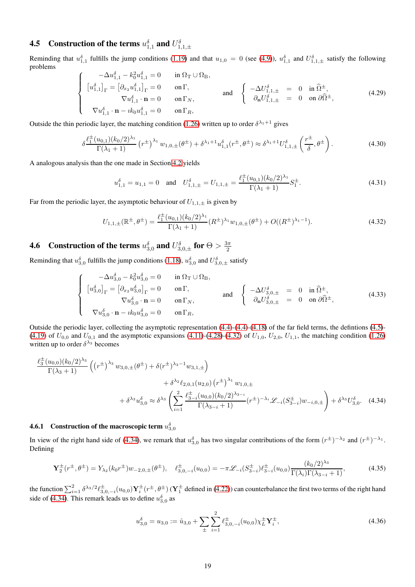# **4.5** Construction of the terms  $u_{1,1}^{\delta}$  and  $U_{1,1,\pm}^{\delta}$

Reminding that  $u_{1,1}^{\delta}$  fulfills the jump conditions [\(1.19\)](#page-5-3) and that  $u_{1,0} = 0$  (see [\(4.9\)](#page-14-1)),  $u_{1,1}^{\delta}$  and  $U_{1,1,\pm}^{\delta}$  satisfy the following problems

$$
\begin{cases}\n-\Delta u_{1,1}^{\delta} - k_0^2 u_{1,1}^{\delta} = 0 & \text{in } \Omega_{\mathcal{T}} \cup \Omega_{\mathcal{B}}, \\
\left[u_{1,1}^{\delta}\right]_{\mathcal{F}} = \left[\partial_{x_2} u_{1,1}^{\delta}\right]_{\mathcal{F}} = 0 & \text{on } \Gamma, \\
\nabla u_{1,1}^{\delta} \cdot \mathbf{n} = 0 & \text{on } \Gamma_{N}, \\
\nabla u_{1,1}^{\delta} \cdot \mathbf{n} - \iota k_0 u_{1,1}^{\delta} = 0 & \text{on } \Gamma_{R},\n\end{cases}\n\text{ and }\n\begin{cases}\n-\Delta U_{1,1,\pm}^{\delta} = 0 & \text{in } \widehat{\Omega}^{\pm}, \\
\partial_{\mathbf{n}} U_{1,1,\pm}^{\delta} = 0 & \text{on } \partial \widehat{\Omega}^{\pm}, \\
0 & \text{on } \partial \widehat{\Omega}^{\pm},\n\end{cases}\n\tag{4.29}
$$

Outside the thin periodic layer, the matching condition [\(1.26\)](#page-6-2) written up to order  $\delta^{\lambda_1+1}$  gives

$$
\delta \frac{\ell_1^{\pm}(u_{0,1})(k_0/2)^{\lambda_1}}{\Gamma(\lambda_1+1)} \left(r^{\pm}\right)^{\lambda_1} w_{1,0,\pm}(\theta^{\pm}) + \delta^{\lambda_1+1} u_{1,1}^{\delta} (r^{\pm}, \theta^{\pm}) \approx \delta^{\lambda_1+1} U_{1,1,\pm}^{\delta} \left(\frac{r^{\pm}}{\delta}, \theta^{\pm}\right). \tag{4.30}
$$

A analogous analysis than the one made in Section [4.2](#page-14-4) yields

<span id="page-18-0"></span>
$$
u_{1,1}^{\delta} = u_{1,1} = 0 \quad \text{and} \quad U_{1,1,\pm}^{\delta} = U_{1,1,\pm} = \frac{\ell_1^{\pm}(u_{0,1})(k_0/2)^{\lambda_1}}{\Gamma(\lambda_1 + 1)} S_1^{\pm}.
$$
 (4.31)

Far from the periodic layer, the asymptotic behaviour of  $U_{1,1,\pm}$  is given by

$$
U_{1,1,\pm}(\mathbb{R}^{\pm},\theta^{\pm}) = \frac{\ell_1^{\pm}(u_{0,1})(k_0/2)^{\lambda_1}}{\Gamma(\lambda_1+1)}(R^{\pm})^{\lambda_1}w_{1,0,\pm}(\theta^{\pm}) + O((R^{\pm})^{\lambda_1-1}).
$$
\n(4.32)

# 4.6 Construction of the terms  $u_{3,0}^{\delta}$  and  $U_{3,0,\pm}^{\delta}$  for  $\Theta > \frac{3\pi}{2}$

Reminding that  $u_{3,0}^{\delta}$  fulfills the jump conditions [\(1.18\)](#page-4-4),  $u_{3,0}^{\delta}$  and  $U_{3,0,\pm}^{\delta}$  satisfy

$$
\begin{cases}\n-\Delta u_{3,0}^{\delta} - k_0^2 u_{3,0}^{\delta} = 0 & \text{in } \Omega_{\mathcal{T}} \cup \Omega_{\mathcal{B}}, \\
\left[u_{3,0}^{\delta}\right]_{\Gamma} = \left[\partial_{x_2} u_{3,0}^{\delta}\right]_{\Gamma} = 0 & \text{on } \Gamma, \\
\nabla u_{3,0}^{\delta} \cdot \mathbf{n} = 0 & \text{on } \Gamma_{N}, \\
\nabla u_{3,0}^{\delta} \cdot \mathbf{n} - i k_0 u_{3,0}^{\delta} = 0 & \text{on } \Gamma_{R},\n\end{cases}\n\text{ and }\n\begin{cases}\n-\Delta U_{3,0,\pm}^{\delta} = 0 & \text{in } \Omega^{\pm}, \\
\partial_{\mathbf{n}} U_{3,0,\pm}^{\delta} = 0 & \text{on } \partial \Omega^{\pm}, \\
\partial_{\mathbf{n}} U_{3,0,\pm}^{\delta} = 0 & \text{on } \partial \Omega^{\pm},\n\end{cases}\n\tag{4.33}
$$

Outside the periodic layer, collecting the asymptotic representation [\(4.4\)](#page-13-3)-[\(4.4\)](#page-13-3)-[\(4.18\)](#page-16-0) of the far field terms, the defintions [\(4.5\)](#page-13-5)- [\(4.19\)](#page-16-1) of  $U_{0,0}$  and  $U_{0,1}$  and the asymptotic expansions [\(4.11\)](#page-14-3)-[\(4.28\)](#page-17-2)-[\(4.32\)](#page-18-0) of  $U_{1,0}$ ,  $U_{2,0}$ ,  $U_{1,1}$ , the matching condition [\(1.26\)](#page-6-2) written up to order  $\delta^{\lambda_3}$  becomes

$$
\frac{\ell_{3}^{\pm}(u_{0,0})(k_{0}/2)^{\lambda_{3}}}{\Gamma(\lambda_{3}+1)} \left( (r^{\pm})^{\lambda_{3}} w_{3,0,\pm}(\theta^{\pm}) + \delta(r^{\pm})^{\lambda_{3}-1} w_{3,1,\pm} \right) \n+ \delta^{\lambda_{2}} \ell_{2,0,1}(u_{2,0}) (r^{\pm})^{\lambda_{1}} w_{1,0,\pm} \n+ \delta^{\lambda_{3}} u_{3,0}^{\delta} \approx \delta^{\lambda_{3}} \left( \sum_{i=1}^{2} \frac{\ell_{3-i}^{\pm}(u_{0,0})(k_{0}/2)^{\lambda_{3-i}}}{\Gamma(\lambda_{3-i}+1)} (r^{\pm})^{-\lambda_{i}} \mathcal{L}_{-i}(S_{3-i}^{\pm}) w_{-i,0,\pm} \right) + \delta^{\lambda_{3}} U_{3,0}^{\delta}.
$$
\n(4.34)

## **4.6.1** Construction of the macroscopic term  $u_{3,0}^{\delta}$

In view of the right hand side of [\(4.34\)](#page-18-1), we remark that  $u_{3,0}^{\delta}$  has two singular contributions of the form  $(r^{\pm})^{-\lambda_2}$  and  $(r^{\pm})^{-\lambda_1}$ . Defining

$$
\mathbf{Y}_{2}^{\pm}(r^{\pm},\theta^{\pm})=Y_{\lambda_{2}}(k_{0}r^{\pm})w_{-2,0,\pm}(\theta^{\pm}),\quad\ell_{3,0,-i}^{\pm}(u_{0,0})=-\pi\mathcal{L}_{-i}(S_{3-i}^{\pm})\ell_{3-i}^{\pm}(u_{0,0})\frac{(k_{0}/2)^{\lambda_{3}}}{\Gamma(\lambda_{i})\Gamma(\lambda_{3-i}+1)},\tag{4.35}
$$

the function  $\sum_{i=1}^2\delta^{\lambda_3/2}\ell_{3,0,-i}^{\pm}(u_{0,0})\mathbf{Y}_i^{\pm} (r^{\pm},\theta^{\pm})$  ( $\mathbf{Y}_1^{\pm}$  defined in [\(4.22\)](#page-16-4)) can counterbalance the first two terms of the right hand side of [\(4.34\)](#page-18-1). This remark leads us to define  $u_{3,0}^{\delta}$  as

<span id="page-18-1"></span>
$$
u_{3,0}^{\delta} = u_{3,0} := \hat{u}_{3,0} + \sum_{\pm} \sum_{i=1}^{2} \ell_{3,0,-i}^{\pm}(u_{0,0}) \chi_L^{\pm} \mathbf{Y}_i^{\pm}, \tag{4.36}
$$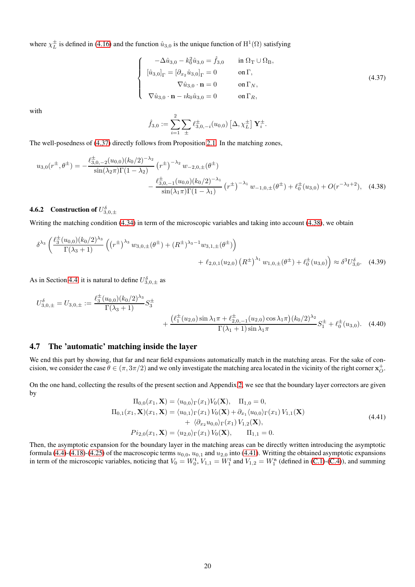where  $\chi_L^{\pm}$  is defined in [\(4.16\)](#page-15-3) and the function  $\hat{u}_{3,0}$  is the unique function of  $\mathrm{H}^1(\Omega)$  satisfying

<span id="page-19-1"></span>
$$
\begin{cases}\n-\Delta \hat{u}_{3,0} - k_0^2 \hat{u}_{3,0} = \hat{f}_{3,0} & \text{in } \Omega_{\text{T}} \cup \Omega_{\text{B}}, \\
[\hat{u}_{3,0}]_{\Gamma} = [\partial_{x_2} \hat{u}_{3,0}]_{\Gamma} = 0 & \text{on } \Gamma, \\
\nabla \hat{u}_{3,0} \cdot \mathbf{n} = 0 & \text{on } \Gamma_N, \\
\nabla \hat{u}_{3,0} \cdot \mathbf{n} - ik_0 \hat{u}_{3,0} = 0 & \text{on } \Gamma_R,\n\end{cases}
$$
\n(4.37)

with

<span id="page-19-2"></span>
$$
\hat{f}_{3,0} := \sum_{i=1}^{2} \sum_{\pm} \ell_{3,0,-i}^{\pm}(u_{0,0}) \left[ \Delta, \chi_L^{\pm} \right] \mathbf{Y}_i^{\pm}.
$$

The well-posedness of [\(4.37\)](#page-19-1) directly follows from Proposition [2.1.](#page-7-6) In the matching zones,

$$
u_{3,0}(r^{\pm},\theta^{\pm}) = -\frac{\ell_{3,0,-2}^{\pm}(u_{0,0})(k_0/2)^{-\lambda_2}}{\sin(\lambda_2\pi)\Gamma(1-\lambda_2)}(r^{\pm})^{-\lambda_2}w_{-2,0,\pm}(\theta^{\pm}) -\frac{\ell_{3,0,-1}^{\pm}(u_{0,0})(k_0/2)^{-\lambda_1}}{\sin(\lambda_1\pi)\Gamma(1-\lambda_1)}(r^{\pm})^{-\lambda_1}w_{-1,0,\pm}(\theta^{\pm}) + \ell_0^{\pm}(u_{3,0}) + O(r^{-\lambda_2+2}), \quad (4.38)
$$

## **4.6.2** Construction of  $U_{3,0,\pm}^{\delta}$

Writing the matching condition [\(4.34\)](#page-18-1) in term of the microscopic variables and taking into account [\(4.38\)](#page-19-2), we obtain

$$
\delta^{\lambda_3} \left( \frac{\ell_3^{\pm}(u_{0,0})(k_0/2)^{\lambda_3}}{\Gamma(\lambda_3+1)} \left( \left( r^{\pm} \right)^{\lambda_3} w_{3,0,\pm}(\theta^{\pm}) + (R^{\pm})^{\lambda_3-1} w_{3,1,\pm}(\theta^{\pm}) \right) + \ell_{2,0,1}(u_{2,0}) \left( R^{\pm} \right)^{\lambda_1} w_{1,0,\pm}(\theta^{\pm}) + \ell_0^{\pm}(u_{3,0}) \right) \approx \delta^3 U_{3,0}^{\delta}.
$$
 (4.39)

As in Section [4.4,](#page-16-5) it is natural to define  $U_{3,0,\pm}^{\delta}$  as

$$
U_{3,0,\pm}^{\delta} = U_{3,0,\pm} := \frac{\ell_3^{\pm}(u_{0,0})(k_0/2)^{\lambda_3}}{\Gamma(\lambda_3 + 1)} S_3^{\pm}
$$
  
+ 
$$
\frac{(\ell_1^{\pm}(u_{2,0})\sin \lambda_1 \pi + \ell_{2,0,-1}^{\pm}(u_{2,0})\cos \lambda_1 \pi)(k_0/2)^{\lambda_2}}{\Gamma(\lambda_1 + 1)\sin \lambda_1 \pi} S_1^{\pm} + \ell_0^{\pm}(u_{3,0}).
$$
 (4.40)

## <span id="page-19-0"></span>4.7 The 'automatic' matching inside the layer

We end this part by showing, that far and near field expansions automatically match in the matching areas. For the sake of concision, we consider the case  $\theta \in (\pi, 3\pi/2)$  and we only investigate the matching area located in the vicinity of the right corner  $x_0^+$ .

<span id="page-19-3"></span>On the one hand, collecting the results of the present section and Appendix [2,](#page-7-0) we see that the boundary layer correctors are given by

$$
\Pi_{0,0}(x_1, \mathbf{X}) = \langle u_{0,0} \rangle_{\Gamma}(x_1) V_0(\mathbf{X}), \quad \Pi_{1,0} = 0,
$$
\n
$$
\Pi_{0,1}(x_1, \mathbf{X})(x_1, \mathbf{X}) = \langle u_{0,1} \rangle_{\Gamma}(x_1) V_0(\mathbf{X}) + \partial_{x_1} \langle u_{0,0} \rangle_{\Gamma}(x_1) V_{1,1}(\mathbf{X}) + \langle \partial_{x_2} u_{0,0} \rangle_{\Gamma}(x_1) V_{1,2}(\mathbf{X}),
$$
\n
$$
Pi_{2,0}(x_1, \mathbf{X}) = \langle u_{2,0} \rangle_{\Gamma}(x_1) V_0(\mathbf{X}), \quad \Pi_{1,1} = 0.
$$
\n(4.41)

Then, the asymptotic expansion for the boundary layer in the matching areas can be directly written introducing the asymptotic formula [\(4.4\)](#page-13-3)-[\(4.18\)](#page-16-0)-[\(4.25\)](#page-17-1) of the macroscopic terms  $u_{0,0}$ ,  $u_{0,1}$  and  $u_{2,0}$  into [\(4.41\)](#page-19-3). Writting the obtained asymptotic expansions in term of the microscopic variables, noticing that  $V_0 = W_0^{\mathfrak{t}}$ ,  $V_{1,1} = W_1^{\mathfrak{t}}$  and  $V_{1,2} = W_1^{\mathfrak{n}}$  (defined in [\(C.1\)](#page-28-0)-[\(C.4\)](#page-29-1)), and summing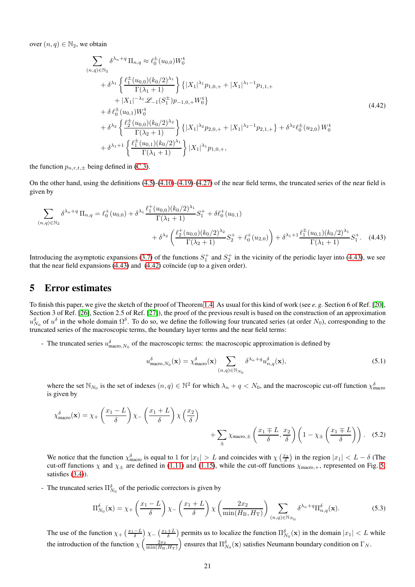over  $(n, q) \in \mathbb{N}_2$ , we obtain

<span id="page-20-2"></span>
$$
\sum_{(n,q)\in\mathbb{N}_2} \delta^{\lambda_n+q} \Pi_{n,q} \approx \ell_0^{\pm}(u_{0,0}) W_0^{\mathfrak{t}}
$$
\n
$$
+ \delta^{\lambda_1} \left\{ \frac{\ell_1^{\pm}(u_{0,0})(k_0/2)^{\lambda_1}}{\Gamma(\lambda_1+1)} \right\} \left\{ |X_1|^{\lambda_1} p_{1,0,+} + |X_1|^{\lambda_1-1} p_{1,1,+} + |X_1|^{-\lambda_1} \mathcal{L}_{-1}(S_1^{\pm}) p_{-1,0,+} W_0^{\mathfrak{t}} \right\}
$$
\n
$$
+ \delta \ell_0^{\pm}(u_{0,1}) W_0^{\mathfrak{t}}
$$
\n
$$
+ \delta^{\lambda_2} \left\{ \frac{\ell_2^{\pm}(u_{0,0})(k_0/2)^{\lambda_2}}{\Gamma(\lambda_2+1)} \right\} \left\{ |X_1|^{\lambda_2} p_{2,0,+} + |X_1|^{\lambda_2-1} p_{2,1,+} \right\} + \delta^{\lambda_2} \ell_0^{\pm}(u_{2,0}) W_0^{\mathfrak{t}}
$$
\n
$$
+ \delta^{\lambda_1+1} \left\{ \frac{\ell_1^{\pm}(u_{0,1})(k_0/2)^{\lambda_1}}{\Gamma(\lambda_1+1)} \right\} |X_1|^{\lambda_1} p_{1,0,+},
$$
\n(4.42)

the function  $p_{n,r,t,\pm}$  being defined in [\(C.3\)](#page-30-8).

On the other hand, using the definitions [\(4.5\)](#page-13-5)-[\(4.10\)](#page-14-5)-[\(4.19\)](#page-16-1)-[\(4.27\)](#page-17-3) of the near field terms, the truncated series of the near field is given by

$$
\sum_{(n,q)\in\mathbb{N}_2} \delta^{\lambda_n+q} \Pi_{n,q} = \ell_0^+(u_{0,0}) + \delta^{\lambda_1} \frac{\ell_1^+(u_{0,0})(k_0/2)^{\lambda_1}}{\Gamma(\lambda_1+1)} S_1^+ + \delta \ell_0^+(u_{0,1}) + \delta^{\lambda_2} \left(\frac{\ell_2^+(u_{0,0})(k_0/2)^{\lambda_2}}{\Gamma(\lambda_2+1)} S_2^+ + \ell_0^+(u_{2,0})\right) + \delta^{\lambda_1+1} \frac{\ell_1^+(u_{0,1})(k_0/2)^{\lambda_1}}{\Gamma(\lambda_1+1)} S_1^+.
$$
 (4.43)

Introducing the asymptotic expansions [\(3.7\)](#page-12-1) of the functions  $S_1^+$  and  $S_2^+$  in the vicinity of the periodic layer into [\(4.43\)](#page-20-1), we see that the near field expansions [\(4.43\)](#page-20-1) and [\(4.42\)](#page-20-2) coïncide (up to a given order).

# <span id="page-20-0"></span>5 Error estimates

To finish this paper, we give the sketch of the proof of Theorem [1.4.](#page-6-3) As usual for this kind of work (see *e. g.* Section 6 of Ref. [\[20\]](#page-31-12), Section 3 of Ref. [\[26\]](#page-31-7), Section 2.5 of Ref. [\[27\]](#page-31-20)), the proof of the previous result is based on the construction of an approximation  $u_{N_0}^{\delta}$  of  $u^{\delta}$  in the whole domain  $\Omega^{\delta}$ . To do so, we define the following four truncated series (at order  $N_0$ ), corresponding to the truncated series of the macroscopic terms, the boundary layer terms and the near field terms:

- The truncated series  $u_{\text{macro,}N_0}^{\delta}$  of the macroscopic terms: the macroscopic approximation is defined by

<span id="page-20-1"></span>
$$
u_{\text{macro},N_0}^{\delta}(\mathbf{x}) = \chi_{\text{macro}}^{\delta}(\mathbf{x}) \sum_{(n,q) \in \mathbb{N}_{N_0}} \delta^{\lambda_n + q} u_{n,q}^{\delta}(\mathbf{x}),\tag{5.1}
$$

where the set  $\mathbb{N}_{N_0}$  is the set of indexes  $(n, q) \in \mathbb{N}^2$  for which  $\lambda_n + q < N_0$ , and the macroscopic cut-off function  $\chi_{\text{macro}}^{\delta}$ is given by

$$
\chi_{\text{macro}}^{\delta}(\mathbf{x}) = \chi_{+}\left(\frac{x_{1} - L}{\delta}\right)\chi_{-}\left(\frac{x_{1} + L}{\delta}\right)\chi\left(\frac{x_{2}}{\delta}\right) + \sum_{\pm} \chi_{\text{macro},\pm}\left(\frac{x_{1} \mp L}{\delta},\frac{x_{2}}{\delta}\right)\left(1 - \chi_{\pm}\left(\frac{x_{1} \mp L}{\delta}\right)\right). \quad (5.2)
$$

We notice that the function  $\chi_{\text{macro}}^{\delta}$  is equal to 1 for  $|x_1| > L$  and coincides with  $\chi\left(\frac{x_2}{\delta}\right)$  in the region  $|x_1| < L - \delta$  (The cut-off functions  $\chi$  and  $\chi_{\pm}$  are defined in [\(1.11\)](#page-3-4) and [\(1.15\)](#page-4-5), while the cut-off functions  $\chi_{\text{macro},+}$ , represented on Fig. [5,](#page-12-0) satisfies  $(3.4)$ .

- The truncated series  $\Pi_{N_0}^{\delta}$  of the periodic correctors is given by

$$
\Pi_{N_0}^{\delta}(\mathbf{x}) = \chi_+\left(\frac{x_1 - L}{\delta}\right)\chi_-\left(\frac{x_1 + L}{\delta}\right)\chi\left(\frac{2x_2}{\min(H_B, H_T)}\right)\sum_{(n,q)\in\mathbb{N}_{N_0}} \delta^{\lambda_n + q} \Pi_{n,q}^{\delta}(\mathbf{x}).\tag{5.3}
$$

The use of the function  $\chi_+\left(\frac{x_1-L}{\delta}\right)\chi_-\left(\frac{x_1+L}{\delta}\right)$  permits us to localize the function  $\Pi_{N_0}^{\delta}(\mathbf{x})$  in the domain  $|x_1| < L$  while the introduction of the function  $\chi \left( \frac{2x_2}{\min(H_B, H_T)} \right)$ ) ensures that  $\Pi_{N_0}^{\delta}(\mathbf{x})$  satisfies Neumann boundary condition on  $\Gamma_N$ .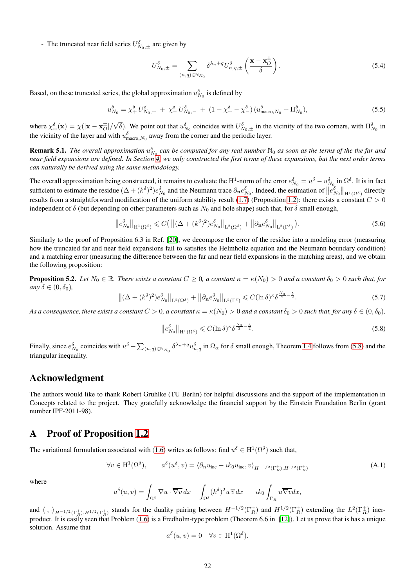- The truncated near field series  $U_{N_0,\pm}^{\delta}$  are given by

<span id="page-21-1"></span>
$$
U_{N_0,\pm}^{\delta} = \sum_{(n,q)\in\mathbb{N}_{N_0}} \delta^{\lambda_n+q} U_{n,q,\pm}^{\delta} \left(\frac{\mathbf{x}-\mathbf{x}_O^{\pm}}{\delta}\right).
$$
 (5.4)

Based, on these truncated series, the global approximation  $u_{N_0}^{\delta}$  is defined by

$$
u_{N_0}^{\delta} = \chi_+^{\delta} U_{N_0,+}^{\delta} + \chi_-^{\delta} U_{N_0,-}^{\delta} + (1 - \chi_+^{\delta} - \chi_-^{\delta}) \left( u_{\text{macro},N_0}^{\delta} + \Pi_{N_0}^{\delta} \right),\tag{5.5}
$$

where  $\chi_{\pm}^{\delta}(\mathbf{x}) = \chi(|\mathbf{x} - \mathbf{x}_{\mathcal{O}}^{\pm}|/\sqrt{\delta})$ . We point out that  $u_{N_0}^{\delta}$  coincides with  $U_{N_0,\pm}^{\delta}$  in the vicinity of the two corners, with  $\Pi_{N_0}^{\delta}$  in the vicinity of the layer and with  $u_{\text{macro},N_0}^{\delta}$  away from the corner and the periodic layer.

**Remark 5.1.** The overall approximation  $u_{N_0}^{\delta}$  can be computed for any real number  $\mathbb{N}_0$  as soon as the terms of the the far and *near field expansions are defined. In Section [4,](#page-13-0) we only constructed the first terms of these expansions, but the next order terms can naturally be derived using the same methodology.*

The overall approximation being constructed, it remains to evaluate the H<sup>1</sup>-norm of the error  $e_{N_0}^{\delta} = u^{\delta} - u_{N_0}^{\delta}$  in  $\Omega^{\delta}$ . It is in fact sufficient to estimate the residue  $(\Delta + (k^{\delta})^2)e_{N_0}^{\delta}$  and the Neumann trace  $\partial_{\mathbf{n}}e_{N_0}^{\delta}$ . Indeed, the estimation of  $||e_{N_0}^{\delta}||_{H^1(\Omega^{\delta})}$  directly results from a straightforward modification of the uniform stability result [\(1.7\)](#page-3-1) (Proposition [1.2\)](#page-3-5): there exists a constant  $C > 0$ independent of  $\delta$  (but depending on other parameters such as  $N_0$  and hole shape) such that, for  $\delta$  small enough,

$$
\left\|e_{N_0}^\delta\right\|_{\mathcal{H}^1(\Omega^\delta)} \leqslant C\left(\left\|(\Delta + (k^\delta)^2)e_{N_0}^\delta\right\|_{\mathcal{L}^2(\Omega^\delta)} + \left\|\partial_\mathbf{n}e_{N_0}^\delta\right\|_{\mathcal{L}^2(\Gamma^\delta)}\right).
$$
\n(5.6)

Similarly to the proof of Proposition 6.3 in Ref. [\[20\]](#page-31-12), we decompose the error of the residue into a modeling error (measuring how the truncated far and near field expansions fail to satisfies the Helmholtz equation and the Neumann boundary condition) and a matching error (measuring the difference between the far and near field expansions in the matching areas), and we obtain the following proposition:

**Proposition 5.2.** Let  $N_0 \in \mathbb{R}$ . There exists a constant  $C \ge 0$ , a constant  $\kappa = \kappa(N_0) > 0$  and a constant  $\delta_0 > 0$  such that, for  $any \delta \in (0, \delta_0)$ ,

$$
\left\| (\Delta + (k^{\delta})^2) e_{N_0}^{\delta} \right\|_{\mathcal{L}^2(\Omega^{\delta})} + \left\| \partial_{\mathbf{n}} e_{N_0}^{\delta} \right\|_{\mathcal{L}^2(\Gamma^{\delta})} \leqslant C (\ln \delta)^{\kappa} \delta^{\frac{N_0}{2} - \frac{5}{2}}.
$$

*As a consequence, there exists a constant*  $C > 0$ *, a constant*  $\kappa = \kappa(N_0) > 0$  *and a constant*  $\delta_0 > 0$  *such that, for any*  $\delta \in (0, \delta_0)$ *,* 

<span id="page-21-2"></span>
$$
\left\|e_{N_0}^{\delta}\right\|_{\mathcal{H}^1(\Omega^{\delta})} \leqslant C(\ln \delta)^{\kappa} \delta^{\frac{N_0}{2} - \frac{5}{2}}.
$$
\n
$$
(5.8)
$$

Finally, since  $e_{N_0}^{\delta}$  coincides with  $u^{\delta} - \sum_{(n,q) \in \mathbb{N}_{N_0}} \delta^{\lambda_n+q} u_{n,q}^{\delta}$  in  $\Omega_\alpha$  for  $\delta$  small enough, Theorem [1.4](#page-6-3) follows from [\(5.8\)](#page-21-2) and the triangular inequality.

## Acknowledgment

The authors would like to thank Robert Gruhlke (TU Berlin) for helpful discussions and the support of the implementation in Concepts related to the project. They gratefully acknowledge the financial support by the Einstein Foundation Berlin (grant number IPF-2011-98).

## <span id="page-21-0"></span>A Proof of Proposition [1.2](#page-3-5)

The variational formulation associated with [\(1.6\)](#page-2-0) writes as follows: find  $u^{\delta} \in H^1(\Omega^{\delta})$  such that,

$$
\forall v \in \mathcal{H}^1(\Omega^\delta), \qquad a^\delta(u^\delta, v) = \langle \partial_n u_{\text{inc}} - ik_0 u_{\text{inc}}, v \rangle_{H^{-1/2}(\Gamma_R^+), H^{1/2}(\Gamma_R^+)} \tag{A.1}
$$

where

$$
a^{\delta}(u,v) = \int_{\Omega^{\delta}} \nabla u \cdot \overline{\nabla v} \, dx - \int_{\Omega^{\delta}} (k^{\delta})^2 u \, \overline{v} \, dx - ik_0 \int_{\Gamma_R} u \overline{\nabla v} dx,
$$

and  $\langle \cdot, \cdot \rangle_{H^{-1/2}(\Gamma_R^+), H^{1/2}(\Gamma_R^+)}$  stands for the duality pairing between  $H^{-1/2}(\Gamma_R^+)$  and  $H^{1/2}(\Gamma_R^+)$  extending the  $L^2(\Gamma_R^+)$  inerproduct. It is easily seen that Problem [\(1.6\)](#page-2-0) is a Fredholm-type problem (Theorem 6.6 in [\[12\]](#page-31-15)). Let us prove that is has a unique solution. Assume that

$$
a^{\delta}(u,v) = 0 \quad \forall v \in \mathrm{H}^{1}(\Omega^{\delta}).
$$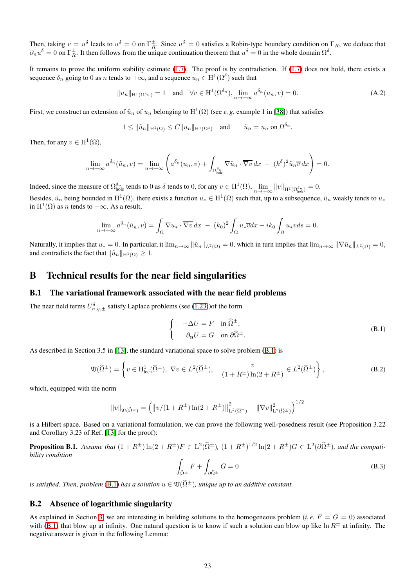Then, taking  $v = u^{\delta}$  leads to  $u^{\delta} = 0$  on  $\Gamma_R^{\pm}$ . Since  $u^{\delta} = 0$  satisfies a Robin-type boundary condition on  $\Gamma_R$ , we deduce that  $\partial_n u^{\delta} = 0$  on  $\Gamma_R^{\pm}$ . It then follows from the unique continuation theorem that  $u^{\delta} = 0$  in the whole domain  $\Omega^{\delta}$ .

It remains to prove the uniform stability estimate  $(1.7)$ . The proof is by contradiction. If  $(1.7)$  does not hold, there exists a sequence  $\delta_n$  going to 0 as n tends to  $+\infty$ , and a sequence  $u_n \in \mathrm{H}^1(\Omega^{\delta})$  such that

$$
||u_n||_{\mathcal{H}^1(\Omega^{\delta_n})} = 1 \quad \text{and} \quad \forall v \in \mathcal{H}^1(\Omega^{\delta_n}), \lim_{n \to +\infty} a^{\delta_n}(u_n, v) = 0. \tag{A.2}
$$

First, we construct an extension of  $\tilde{u}_n$  of  $u_n$  belonging to  $H^1(\Omega)$  (see *e. g.* example 1 in [\[38\]](#page-32-11)) that satisfies

$$
1 \leq \|\tilde{u}_n\|_{\mathcal{H}^1(\Omega)} \leq C \|u_n\|_{\mathcal{H}^1(\Omega^\delta)} \quad \text{and} \quad \tilde{u}_n = u_n \text{ on } \Omega^{\delta_n}.
$$

Then, for any  $v \in H^1(\Omega)$ ,

$$
\lim_{n \to +\infty} a^{\delta_n}(\tilde{u}_n, v) = \lim_{n \to +\infty} \left( a^{\delta_n}(u_n, v) + \int_{\Omega_{\text{hole}}^{\delta_n}} \nabla \tilde{u}_n \cdot \overline{\nabla v} \, dx - (k^{\delta})^2 \tilde{u}_n \overline{v} \, dx \right) = 0.
$$

Indeed, since the measure of  $\Omega_{\text{hole}}^{\delta_n}$  tends to 0 as  $\delta$  tends to 0, for any  $v \in H^1(\Omega)$ ,  $\lim_{n \to +\infty} ||v||_{H^1(\Omega_{\text{hole}}^{\delta_n})} = 0$ .

Besides,  $\tilde{u}_n$  being bounded in  $\mathrm{H}^1(\Omega)$ , there exists a function  $u_* \in \mathrm{H}^1(\Omega)$  such that, up to a subsequence,  $\tilde{u}_n$  weakly tends to  $u_*$ in  $\mathrm{H}^1(\Omega)$  as *n* tends to  $+\infty$ . As a result,

$$
\lim_{n \to +\infty} a^{\delta_n}(\tilde{u}_n, v) = \int_{\Omega} \nabla u_* \cdot \overline{\nabla v} \, dx - (k_0)^2 \int_{\Omega} u_* \overline{v} \, dx - ik_0 \int_{\Omega} u_* v \, ds = 0.
$$

Naturally, it implies that  $u_* = 0$ . In particular, it  $\lim_{n\to\infty} ||\tilde{u}_n||_{L^2(\Omega)} = 0$ , which in turn implies that  $\lim_{n\to\infty} ||\nabla \tilde{u}_n||_{L^2(\Omega)} = 0$ , and contradicts the fact that  $\|\tilde{u}_n\|_{H^1(\Omega)} \geq 1$ .

## <span id="page-22-0"></span>B Technical results for the near field singularities

### B.1 The variational framework associated with the near field problems

The near field terms  $U^{\delta}_{n,q,\pm}$  satisfy Laplace problems (see [\(1.23\)](#page-5-2))of the form

<span id="page-22-4"></span>
$$
\begin{cases}\n-\Delta U = F & \text{in } \hat{\Omega}^{\pm}, \\
\partial_{\mathbf{n}} U = G & \text{on } \partial \hat{\Omega}^{\pm}.\n\end{cases}
$$
\n(B.1)

As described in Section 3.5 in [\[13\]](#page-31-19), the standard variational space to solve problem [\(B.1\)](#page-22-4) is

$$
\mathfrak{V}(\widehat{\Omega}^{\pm}) = \left\{ v \in H_{loc}^1(\widehat{\Omega}^{\pm}), \ \nabla v \in L^2(\widehat{\Omega}^{\pm}), \ \frac{v}{(1 + R^{\pm})\ln(2 + R^{\pm})} \in L^2(\widehat{\Omega}^{\pm}) \right\},\tag{B.2}
$$

which, equipped with the norm

$$
||v||_{\mathfrak{V}(\widehat{\Omega}^{\pm})} = (||v/(1 + R^{\pm})\ln(2 + R^{\pm})||_{\mathbf{L}^{2}(\widehat{\Omega}^{\pm})}^{2} + ||\nabla v||_{\mathbf{L}^{2}(\widehat{\Omega}^{\pm})}^{2})^{1/2}
$$

is a Hilbert space. Based on a variational formulation, we can prove the following well-posedness result (see Proposition 3.22 and Corollary 3.23 of Ref. [\[13\]](#page-31-19) for the proof):

<span id="page-22-2"></span><span id="page-22-1"></span>**Proposition B.1.** Assume that  $(1 + R^{\pm}) \ln(2 + R^{\pm}) F \in L^2(\Omega^{\pm})$ ,  $(1 + R^{\pm})^{1/2} \ln(2 + R^{\pm}) G \in L^2(\partial \Omega^{\pm})$ , and the compati*bility condition*

$$
\int_{\widehat{\Omega}^{\pm}} F + \int_{\partial \widehat{\Omega}^{\pm}} G = 0
$$
\n(B.3)

*is satisfied. Then, problem* [\(B.1\)](#page-22-4) *has a solution*  $u \in \mathfrak{V}(\Omega^{\pm})$ *, unique up to an additive constant.* 

## <span id="page-22-3"></span>B.2 Absence of logarithmic singularity

As explained in Section [3,](#page-11-0) we are interesting in building solutions to the homogeneous problem (*i. e.*  $F = G = 0$ ) associated with [\(B.1\)](#page-22-4) that blow up at infinity. One natural question is to know if such a solution can blow up like  $\ln R^{\pm}$  at infinity. The negative answer is given in the following Lemma: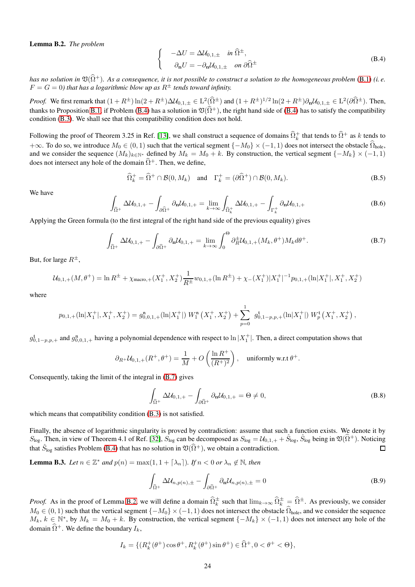### <span id="page-23-1"></span>Lemma B.2. *The problem*

<span id="page-23-2"></span>
$$
\begin{cases}\n-\Delta U = \Delta U_{0,1,\pm} & \text{in } \hat{\Omega}^{\pm}, \\
\partial_{\mathbf{n}} U = -\partial_{\mathbf{n}} U_{0,1,\pm} & \text{on } \partial \hat{\Omega}^{\pm}\n\end{cases}
$$
\n(B.4)

*has no solution in*  $\mathfrak{A}(\Omega^+)$ *. As a consequence, it is not possible to construct a solution to the homogeneous problem* [\(B.1\)](#page-22-4) *(i.e.*  $F = G = 0$ ) that has a logarithmic blow up as  $R^{\pm}$  tends toward infinity.

*Proof.* We first remark that  $(1 + R^{\pm}) \ln(2 + R^{\pm}) \Delta \mathcal{U}_{0,1,\pm} \in \mathcal{L}^2(\hat{\Omega}^{\pm})$  and  $(1 + R^{\pm})^{1/2} \ln(2 + R^{\pm}) \partial_{\mathbf{n}} \mathcal{U}_{0,1,\pm} \in \mathcal{L}^2(\partial \hat{\Omega}^{\pm})$ . Then, thanks to Proposition [B.1,](#page-22-1) if Problem [\(B.4\)](#page-23-2) has a solution in  $\mathfrak{V}(\hat{\Omega}^+)$ , the right hand side of (B.4) has to satisfy the compatibility condition [\(B.3\)](#page-22-2). We shall see that this compatibility condition does not hold.

Following the proof of Theorem 3.25 in Ref. [\[13\]](#page-31-19), we shall construct a sequence of domains  $\widehat{\Omega}_{k}^{+}$  that tends to  $\widehat{\Omega}^{+}$  as k tends to +∞. To do so, we introduce  $M_0 \in (0,1)$  such that the vertical segment  $\{-M_0\} \times (-1,1)$  does not intersect the obstacle  $\widehat{\Omega}_{\text{hole}}$ , and we consider the sequence  $(M_k)_{k \in \mathbb{N}^*}$  defined by  $M_k = M_0 + k$ . By construction, the vertical segment  $\{-M_k\} \times (-1, 1)$ does not intersect any hole of the domain  $\hat{\Omega}^+$ . Then, we define,

<span id="page-23-3"></span>
$$
\widehat{\Omega}_k^+ = \widehat{\Omega}^+ \cap \mathcal{B}(0, M_k) \quad \text{and} \quad \Gamma_k^+ = (\partial \widehat{\Omega}^+) \cap \mathcal{B}(0, M_k). \tag{B.5}
$$

We have

$$
\int_{\widehat{\Omega}^+} \Delta \mathcal{U}_{0,1,+} - \int_{\partial \widehat{\Omega}^+} \partial_{\mathbf{n}} \mathcal{U}_{0,1,+} = \lim_{k \to \infty} \int_{\widehat{\Omega}^+_{k}} \Delta \mathcal{U}_{0,1,+} - \int_{\Gamma^+_{k}} \partial_{\mathbf{n}} \mathcal{U}_{0,1,+}
$$
(B.6)

Applying the Green formula (to the first integral of the right hand side of the previous equality) gives

$$
\int_{\widehat{\Omega}^+} \Delta \mathcal{U}_{0,1,+} - \int_{\partial \widehat{\Omega}^+} \partial_{\mathbf{n}} \mathcal{U}_{0,1,+} = \lim_{k \to \infty} \int_0^{\Theta} \partial_R^{\pm} \mathcal{U}_{0,1,+} (M_k, \theta^+) M_k d\theta^+.
$$
 (B.7)

But, for large  $R^{\pm}$ ,

$$
\mathcal{U}_{0,1,+}(M,\theta^+) = \ln R^{\pm} + \chi_{\text{macro},+}(X_1^+, X_2^+) \frac{1}{R^{\pm}} w_{0,1,+}(\ln R^{\pm}) + \chi_{-}(X_1^+)|X_1^+|^{-1} p_{0,1,+}(\ln |X_1^+|, X_1^+, X_2^+)
$$

where

$$
p_{0,1,+}(\ln|X_1^+|,X_1^+,X_2^+)=g_{0,0,1,+}^{\mathfrak{n}}(\ln|X_1^+|)W_1^{\mathfrak{n}}(X_1^+,X_2^+)+\sum_{p=0}^1 g_{0,1-p,p,+}^{\mathfrak{t}}(\ln|X_1^+|)W_p^{\mathfrak{t}}(X_1^+,X_2^+),
$$

 $g_{0,1-p,p,+}^{\dagger}$  and  $g_{0,0,1,+}^{\dagger}$  having a polynomial dependence with respect to  $\ln |X_1^+|$ . Then, a direct computation shows that

$$
\partial_{R^+} \mathcal{U}_{0,1,+}(R^+, \theta^+) = \frac{1}{M} + O\left(\frac{\ln R^+}{(R^+)^2}\right), \quad \text{uniformly w.r.t } \theta^+.
$$

Consequently, taking the limit of the integral in [\(B.7\)](#page-23-3) gives

$$
\int_{\widehat{\Omega}^+} \Delta \mathcal{U}_{0,1,+} - \int_{\partial \widehat{\Omega}^+} \partial_{\mathbf{n}} \mathcal{U}_{0,1,+} = \Theta \neq 0, \tag{B.8}
$$

which means that compatibility condition  $(B.3)$  is not satisfied.

Finally, the absence of logarithmic singularity is proved by contradiction: assume that such a function exists. We denote it by  $S_{\text{log}}$ . Then, in view of Theorem 4.1 of Ref. [\[32\]](#page-32-6),  $S_{\text{log}}$  can be decomposed as  $S_{\text{log}} = U_{0,1,+} + \hat{S}_{\text{log}}$ ,  $\hat{S}_{\text{log}}$  being in  $\mathfrak{V}(\widehat{\Omega}^+)$ . Noticing that  $\hat{S}_{\text{log}}$  satisfies Problem [\(B.4\)](#page-23-2) that has no solution in  $\mathfrak{V}(\widehat{\Omega}^+)$ , we obtain a contradiction.  $\Box$ 

<span id="page-23-0"></span>**Lemma B.3.** *Let*  $n \in \mathbb{Z}^*$  *and*  $p(n) = \max(1, 1 + \lceil \lambda_n \rceil)$ *. If*  $n < 0$  *or*  $\lambda_n \notin \mathbb{N}$ *, then* 

$$
\int_{\widehat{\Omega}^+} \Delta \mathcal{U}_{n,p(n),\pm} - \int_{\partial \widehat{\Omega}^+} \partial_{\mathbf{n}} \mathcal{U}_{n,p(n),\pm} = 0
$$
\n(B.9)

*Proof.* As in the proof of Lemma [B.2,](#page-23-1) we will define a domain  $\widehat{\Omega}_k^{\pm}$  such that  $\lim_{k\to\infty} \widehat{\Omega}_k^{\pm} = \widehat{\Omega}^{\pm}$ . As previously, we consider  $M_0 \in (0,1)$  such that the vertical segment  $\{-M_0\} \times (-1,1)$  does not intersect the obstacle  $\hat{\Omega}_{hole}$ , and we consider the sequence  $M_k$ ,  $k \in \mathbb{N}^*$ , by  $M_k = M_0 + k$ . By construction, the vertical segment  $\{-M_k\} \times (-1,1)$  does not intersect any hole of the domain  $\Omega^+$ . We define the boundary  $I_k$ ,

$$
I_k = \{ (R_k^+(\theta^+) \cos \theta^+, R_k^+(\theta^+) \sin \theta^+) \in \Omega^+, 0 < \theta^+ < \Theta \},
$$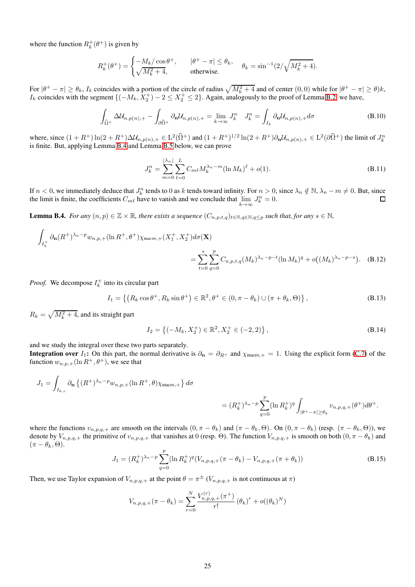where the function  $R_k^+ (\theta^+)$  is given by

$$
R_k^+(\theta^+) = \begin{cases} -M_k/\cos\theta^+, & |\theta^+ - \pi| \le \theta_k, \\ \sqrt{M_k^2 + 4}, & \text{otherwise.} \end{cases} \quad \theta_k = \sin^{-1}(2/\sqrt{M_k^2 + 4}).
$$

For  $|\theta^+ - \pi| \ge \theta_k$ ,  $I_k$  coincides with a portion of the circle of radius  $\sqrt{M_k^2 + 4}$  and of center  $(0,0)$  while for  $|\theta^+ - \pi| \ge \theta_k$ ,  $I_k$  coincides with the segment  $\{(-M_k, X_2^+) - 2 \le X_2^+ \le 2\}$ . Again, analogously to the proof of Lemma [B.2,](#page-23-1) we have,

$$
\int_{\widehat{\Omega}^+} \Delta \mathcal{U}_{n,p(n),+} - \int_{\partial \widehat{\Omega}^+} \partial_{\mathbf{n}} \mathcal{U}_{n,p(n),+} = \lim_{k \to \infty} J_k^n \quad J_k^n = \int_{I_k} \partial_{\mathbf{n}} \mathcal{U}_{n,p(n),+} d\sigma \tag{B.10}
$$

where, since  $(1 + R^+) \ln(2 + R^+) \Delta \mathcal{U}_{n,p(n),+} \in L^2(\hat{\Omega}^+)$  and  $(1 + R^+)^{1/2} \ln(2 + R^+) \partial_n \mathcal{U}_{n,p(n),+} \in L^2(\partial \hat{\Omega}^+)$  the limit of  $J_k^n$ is finite. But, applying Lemma [B.4](#page-24-0) and Lemma [B.5](#page-25-0) below, we can prove

$$
J_k^n = \sum_{m=0}^{\lfloor \lambda_n \rfloor} \sum_{\ell=0}^L C_{m\ell} M_k^{\lambda_n - m} (\ln M_k)^{\ell} + o(1).
$$
 (B.11)

If  $n < 0$ , we immediately deduce that  $J_k^n$  tends to 0 as k tends toward infinity. For  $n > 0$ , since  $\lambda_n \notin \mathbb{N}$ ,  $\lambda_n - m \neq 0$ . But, since the limit is finite, the coefficients  $C_{m\ell}$  have to vanish and we conclude that  $\lim_{k\to\infty} J_k^n = 0$ .

<span id="page-24-0"></span>**Lemma B.4.** *For any*  $(n, p) \in \mathbb{Z} \times \mathbb{R}$ *, there exists a sequence*  $(C_{n,p,t,q})_{t \in \mathbb{N}, q \in \mathbb{N}, q \leq p}$  *such that, for any*  $s \in \mathbb{N}$ *,* 

$$
\int_{I_k^+} \partial_{\mathbf{n}} (R^+)^{\lambda_n - p} w_{n, p, +}(\ln R^+, \theta^+) \chi_{\text{macro}, +} (X_1^+, X_2^+) d\sigma(\mathbf{X})
$$
\n
$$
= \sum_{t=0}^s \sum_{q=0}^p C_{n, p, t, q} (M_k)^{\lambda_n - p - t} (\ln M_k)^q + o((M_k)^{\lambda_n - p - s}). \quad (B.12)
$$

*Proof.* We decompose  $I_k^+$  into its circular part

$$
I_1 = \left\{ \left( R_k \cos \theta^+, R_k \sin \theta^+ \right) \in \mathbb{R}^2, \theta^+ \in (0, \pi - \theta_k) \cup (\pi + \theta_k, \Theta) \right\},\tag{B.13}
$$

 $R_k = \sqrt{M_k^2 + 4}$ , and its straight part

<span id="page-24-2"></span><span id="page-24-1"></span>
$$
I_2 = \left\{ (-M_k, X_2^+) \in \mathbb{R}^2, X_2^+ \in (-2, 2) \right\},\tag{B.14}
$$

and we study the integral over these two parts separately.

Integration over I<sub>1</sub>: On this part, the normal derivative is  $\partial_{\bf n} = \partial_{R^+}$  and  $\chi_{\text{macro},+} = 1$ . Using the explicit form [\(C.7\)](#page-29-2) of the function  $w_{n,p,+}(\ln R^+, \theta^+)$ , we see that

$$
J_1 = \int_{I_{k,c}} \partial_{\mathbf{n}} \left\{ (R^+)^{\lambda_n - p} w_{n,p,+} (\ln R^+, \theta) \chi_{\text{macro},+} \right\} d\sigma
$$
  

$$
= (R^+_k)^{\lambda_n - p} \sum_{q=0}^p (\ln R^+_k)^q \int_{|\theta^+ - \pi| \ge \theta_k} v_{n,p,q,+}(\theta^+) d\theta^+.
$$

where the functions  $v_{n,p,q,+}$  are smooth on the intervals  $(0, \pi - \theta_k)$  and  $(\pi - \theta_k, \Theta)$ . On  $(0, \pi - \theta_k)$  (resp.  $(\pi - \theta_k, \Theta)$ ), we denote by  $V_{n,p,q,+}$  the primitive of  $v_{n,p,q,+}$  that vanishes at 0 (resp.  $\Theta$ ). The function  $V_{n,p,q,+}$  is smooth on both  $(0, \pi - \theta_k)$  and  $(\pi - \theta_k, \Theta).$ 

$$
J_1 = (R_k^+)^{\lambda_n - p} \sum_{q=0}^p (\ln R_k^+)^q (V_{n,p,q,+}(\pi - \theta_k) - V_{n,p,q,+}(\pi + \theta_k))
$$
\n(B.15)

Then, we use Taylor expansion of  $V_{n,p,q,+}$  at the point  $\theta = \pi^{\pm}$  ( $V_{n,p,q,+}$  is not continuous at  $\pi$ )

$$
V_{n,p,q,+}(\pi - \theta_k) = \sum_{r=0}^{N} \frac{V_{n,p,q,+}^{(r)}(\pi^+)}{r!} (\theta_k)^r + o((\theta_k)^N)
$$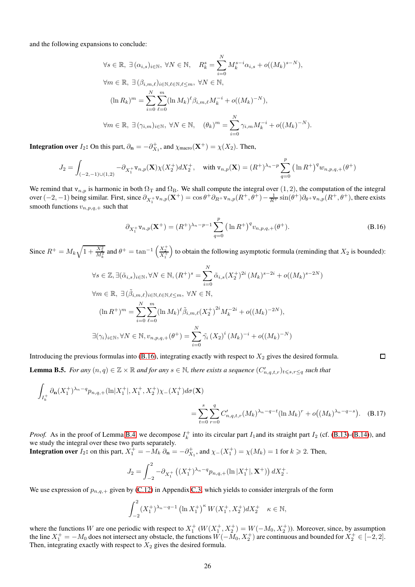and the following expansions to conclude:

$$
\forall s \in \mathbb{R}, \ \exists (\alpha_{i,s})_{i \in \mathbb{N}}, \ \forall N \in \mathbb{N}, \quad R_k^s = \sum_{i=0}^N M_k^{s-i} \alpha_{i,s} + o((M_k)^{s-N}),
$$

$$
\forall m \in \mathbb{R}, \ \exists (\beta_{i,m,\ell})_{i \in \mathbb{N}, \ell \in \mathbb{N}, \ell \leq m}, \ \forall N \in \mathbb{N},
$$

$$
(\ln R_k)^m = \sum_{i=0}^N \sum_{\ell=0}^m (\ln M_k)^{\ell} \beta_{i,m,\ell} M_k^{-i} + o((M_k)^{-N}),
$$

$$
\forall m \in \mathbb{R}, \ \exists (\gamma_{i,m})_{i \in \mathbb{N}}, \ \forall N \in \mathbb{N}, \quad (\theta_k)^m = \sum_{i=0}^N \gamma_{i,m} M_k^{-i} + o((M_k)^{-N}).
$$

**Integration over**  $I_2$ : On this part,  $\partial_{\mathbf{n}} = -\partial_{X_1}^+$ , and  $\chi_{\text{macro}}(\mathbf{X}^+) = \chi(X_2)$ . Then,

$$
J_2 = \int_{(-2,-1)\cup(1,2)} -\partial_{X_1^+} \mathbf{v}_{n,p}(\mathbf{X}) \chi(X_2^+) dX_2^+, \quad \text{with } \mathbf{v}_{n,p}(\mathbf{X}) = (R^+)^{\lambda_n-p} \sum_{q=0}^p \left( \ln R^+ \right)^q w_{n,p,q,+}(\theta^+)
$$

We remind that  $v_{n,p}$  is harmonic in both  $\Omega_T$  and  $\Omega_B$ . We shall compute the integral over  $(1, 2)$ , the computation of the integral over  $(-2, -1)$  being similar. First, since  $\partial_{X_1^+} v_{n,p}(X^+) = \cos \theta^+ \partial_{R^+} v_{n,p}(R^+, \theta^+) - \frac{1}{R^+} \sin(\theta^+) \partial_{\theta^+} v_{n,p}(R^+, \theta^+)$ , there exists smooth functions  $v_{n,p,q,+}$  such that

<span id="page-25-1"></span>
$$
\partial_{X_1^+} \mathbf{v}_{n,p}(\mathbf{X}^+) = (R^+)^{\lambda_n - p - 1} \sum_{q=0}^p (\ln R^+)^q v_{n,p,q,+}(\theta^+).
$$
 (B.16)

 $\Box$ 

Since  $R^+ = M_k \sqrt{1 + \frac{X_2^2}{M_k^2}}$  and  $\theta^+ = \tan^{-1} \left( \frac{X_2^+}{X_1^+} \right)$ ) to obtain the following asymptotic formula (reminding that  $X_2$  is bounded):

$$
\forall s \in \mathbb{Z}, \exists (\tilde{\alpha}_{i,s})_{i \in \mathbb{N}}, \forall N \in \mathbb{N}, (R^+)^s = \sum_{i=0}^N \tilde{\alpha}_{i,s} (X_2^+)^{2i} (M_k)^{s-2i} + o((M_k)^{s-2N})
$$
  

$$
\forall m \in \mathbb{R}, \exists (\tilde{\beta}_{i,m,\ell})_{i \in \mathbb{N}, \ell \in \mathbb{N}, \ell \leq m}, \forall N \in \mathbb{N},
$$
  

$$
(\ln R^+)^m = \sum_{i=0}^N \sum_{\ell=0}^m (\ln M_k)^{\ell} \tilde{\beta}_{i,m,\ell} (X_2^+)^{2i} M_k^{-2i} + o((M_k)^{-2N}),
$$
  

$$
\exists (\gamma_i)_{i \in \mathbb{N}}, \forall N \in \mathbb{N}, v_{n,p,q,+}(\theta^+) = \sum_{i=0}^N \tilde{\gamma}_i (X_2)^i (M_k)^{-i} + o((M_k)^{-N})
$$

Introducing the previous formulas into  $(B.16)$ , integrating exactly with respect to  $X_2$  gives the desired formula.

<span id="page-25-0"></span>**Lemma B.5.** *For any*  $(n,q) \in \mathbb{Z} \times \mathbb{R}$  *and for any*  $s \in \mathbb{N}$ *, there exists a sequence*  $(C'_{n,q,t,r})_{t \leq s,r \leq q}$  *such that* 

$$
\int_{I_k^+} \partial_{\mathbf{n}} (X_1^+)^{\lambda_n - q} p_{n,q,+}(\ln |X_1^+|, X_1^+, X_2^+) \chi_-(X_1^+) d\sigma(\mathbf{X})
$$
\n
$$
= \sum_{t=0}^s \sum_{r=0}^q C'_{n,q,t,r}(M_k)^{\lambda_n - q - t} (\ln M_k)^r + o\big((M_k)^{\lambda_n - q - s}\big). \quad (B.17)
$$

*Proof.* As in the proof of Lemma [B.4,](#page-24-0) we decompose  $I_k^+$  into its circular part  $I_1$  and its straight part  $I_2$  (cf. [\(B.13\)](#page-24-1)-[\(B.14\)](#page-24-2)), and we study the integral over these two parts separately.

**Integration over**  $I_2$ : on this part,  $X_1^+ = -M_k \partial_{\mathbf{n}} = -\partial_{X_1}^+$ , and  $\chi_-(X_1^+) = \chi(M_k) = 1$  for  $k \geq 2$ . Then,

$$
J_2 = \int_{-2}^2 -\partial_{X_1^+} ((X_1^+)^{\lambda_n-q} p_{n,q,+}(\ln |X_1^+|, \mathbf{X}^+)) dX_2^+.
$$

We use expression of  $p_{n,q,+}$  given by [\(C.12\)](#page-30-9) in Appendix [C.3,](#page-30-8) which yields to consider intergrals of the form

$$
\int_{-2}^{2} (X_1^+)^{\lambda_n - q - 1} \left( \ln X_1^+ \right)^{\kappa} W(X_1^+, X_2^+) dX_2^+ \quad \kappa \in \mathbb{N},
$$

where the functions W are one periodic with respect to  $X_1^+(W(X_1^+, X_2^+) = W(-M_0, X_2^+))$ . Moreover, since, by assumption the line  $X_1^+ = -M_0$  does not intersect any obstacle, the functions  $W(-M_0, X_2^+)$  are continuous and bounded for  $X_2^+ \in [-2, 2]$ . Then, integrating exactly with respect to  $X_2$  gives the desired formula.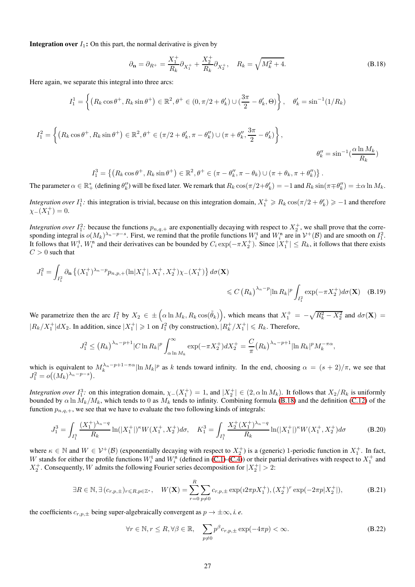**Integration over**  $I_1$ **:** On this part, the normal derivative is given by

<span id="page-26-0"></span>
$$
\partial_{\mathbf{n}} = \partial_{R^{+}} = \frac{X_{1}^{+}}{R_{k}} \partial_{X_{1}^{+}} + \frac{X_{2}^{+}}{R_{k}} \partial_{X_{2}^{+}}, \quad R_{k} = \sqrt{M_{k}^{2} + 4}.
$$
 (B.18)

Here again, we separate this integral into three arcs:

$$
I_1^1 = \left\{ (R_k \cos \theta^+, R_k \sin \theta^+) \in \mathbb{R}^2, \theta^+ \in (0, \pi/2 + \theta'_k) \cup (\frac{3\pi}{2} - \theta'_k, \Theta) \right\}, \quad \theta'_k = \sin^{-1}(1/R_k)
$$
  

$$
I_1^2 = \left\{ (R_k \cos \theta^+, R_k \sin \theta^+) \in \mathbb{R}^2, \theta^+ \in (\pi/2 + \theta'_k, \pi - \theta''_k) \cup (\pi + \theta''_k, \frac{3\pi}{2} - \theta'_k) \right\},
$$
  

$$
\theta''_k = \sin^{-1}(\frac{\alpha \ln M_k}{R_k})
$$

$$
I_1^3 = \left\{ \left( R_k \cos \theta^+, R_k \sin \theta^+ \right) \in \mathbb{R}^2, \theta^+ \in (\pi - \theta''_k, \pi - \theta_k) \cup (\pi + \theta_k, \pi + \theta''_k) \right\}.
$$

The parameter  $\alpha \in \mathbb{R}_+^*$  (defining  $\theta_k''$ ) will be fixed later. We remark that  $R_k \cos(\pi/2 + \theta_k') = -1$  and  $R_k \sin(\pi \mp \theta_k'') = \pm \alpha \ln M_k$ .

*Integration over*  $I_1^1$ : this integration is trivial, because on this integration domain,  $X_1^+ \ge R_k \cos(\pi/2 + \theta'_k) \ge -1$  and therefore  $\chi_{-}(X_{1}^{+})=0.$ 

*Integration over*  $I_1^2$ : because the functions  $p_{n,q,+}$  are exponentially decaying with respect to  $X_2^+$ , we shall prove that the corresponding integral is  $o(M_k)^{\lambda_n-p-s}$ . First, we remind that the profile functions  $W_i^t$  and  $W_i^n$  are in  $\mathcal{V}^+(B)$  and are smooth on  $I_1^2$ . It follows that  $W_i^{\text{t}}$ ,  $W_i^{\text{n}}$  and their derivatives can be bounded by  $C_i \exp(-\pi X_2^+)$ . Since  $|X_1^{\text{+}}| \leq R_k$ , it follows that there exists  $C > 0$  such that

$$
J_1^2 = \int_{I_1^2} \partial_{\mathbf{n}} \left\{ (X_1^+)^{\lambda_n - p} p_{n, p, +}(\ln |X_1^+|, X_1^+, X_2^+) \chi_-(X_1^+) \right\} d\sigma(\mathbf{X})
$$
  
\$\leqslant C (R\_k)^{\lambda\_n - p} \left| \ln R\_k \right|^p \int\_{I\_1^2} \exp(-\pi X\_2^+) d\sigma(\mathbf{X}) \quad (B.19)

We parametrize then the arc  $I_1^2$  by  $X_2 \in \pm \left( \alpha \ln M_k, R_k \cos(\tilde{\theta}_k) \right)$ , which means that  $X_1^+ = -\sqrt{R_k^2 - X_2^2}$  and  $d\sigma(\mathbf{X}) =$  $|R_k/X_1^+|dX_2$ . In addition, since  $|X_1^+| \geq 1$  on  $I_1^2$  (by construction),  $|R_k^+/X_1^+| \leq R_k$ . Therefore,

$$
J_1^2 \le (R_k)^{\lambda_n - p + 1} |C \ln R_k|^p \int_{\alpha \ln M_k}^{\infty} \exp(-\pi X_2^+) dX_2^+ = \frac{C}{\pi} (R_k)^{\lambda_n - p + 1} |\ln R_k|^p M_k^{-\pi \alpha},
$$

which is equivalent to  $M_k^{\lambda_n-p+1-\pi\alpha}|\ln M_k|^p$  as k tends toward infinity. In the end, choosing  $\alpha = (s+2)/\pi$ , we see that  $J_1^2 = o((\overline{M}_k)^{\lambda_n-p-s}).$ 

*Integration over*  $I_1^3$ : on this integration domain,  $\chi_-(X_1^+) = 1$ , and  $|X_2^+| \in (2, \alpha \ln M_k)$ . It follows that  $X_2/R_k$  is uniformly bounded by  $\alpha \ln M_k/M_k$ , which tends to 0 as  $M_k$  tends to infinity. Combining formula [\(B.18\)](#page-26-0) and the definition [\(C.12\)](#page-30-9) of the function  $p_{n,q,+}$ , we see that we have to evaluate the two following kinds of integrals:

$$
J_1^3 = \int_{I_1^3} \frac{(X_1^+)^{\lambda_n - q}}{R_k} \ln(|X_1^+|)^\kappa W(X_1^+, X_2^+) d\sigma, \quad K_1^3 = \int_{I_1^3} \frac{X_2^+(X_1^+)^{\lambda_n - q}}{R_k} \ln(|X_1^+|)^\kappa W(X_1^+, X_2^+) d\sigma \tag{B.20}
$$

where  $\kappa \in \mathbb{N}$  and  $W \in \mathcal{V}^+(\mathcal{B})$  (exponentially decaying with respect to  $X_2^+$ ) is a (generic) 1-periodic function in  $X_1^+$ . In fact, W stands for either the profile functions  $W_i^t$  and  $W_i^n$  (defined in [\(C.1\)](#page-28-0)-[\(C.4\)](#page-29-1)) or their partial derivatives with respect to  $X_1^+$  and  $X_2^+$ . Consequently, W admits the following Fourier series decomposition for  $|X_2^+| > 2$ :

$$
\exists R \in \mathbb{N}, \exists (c_{r,p,\pm})_{r \leq R, p \in \mathbb{Z}^*}, \quad W(\mathbf{X}) = \sum_{r=0}^{R} \sum_{p \neq 0} c_{r,p,\pm} \exp(i2\pi p X_1^+), (X_2^+)^r \exp(-2\pi p |X_2^+|), \tag{B.21}
$$

the coefficients  $c_{r,p,\pm}$  being super-algebraically convergent as  $p \to \pm \infty$ , *i.e.* 

<span id="page-26-3"></span><span id="page-26-2"></span><span id="page-26-1"></span>
$$
\forall r \in \mathbb{N}, r \le R, \forall \beta \in \mathbb{R}, \quad \sum_{p \neq 0} p^{\beta} c_{r, p, \pm} \exp(-4\pi p) < \infty. \tag{B.22}
$$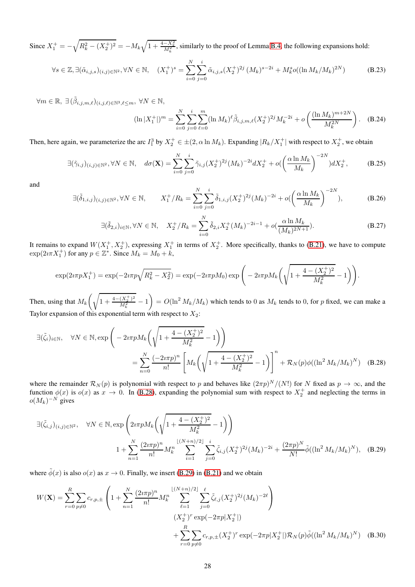Since  $X_1^+ = -\sqrt{R_k^2 - (X_2^+)^2} = -M_k\sqrt{1 + \frac{4-X_2^2}{M_k^2}}$ , similarly to the proof of Lemma [B.4,](#page-24-0) the following expansions hold:

$$
\forall s \in \mathbb{Z}, \exists (\tilde{\alpha}_{i,j,s})_{(i,j)\in\mathbb{N}^2}, \forall N \in \mathbb{N}, \quad (X_1^+)^s = \sum_{i=0}^N \sum_{j=0}^i \tilde{\alpha}_{i,j,s} (X_2^+)^{2j} (M_k)^{s-2i} + M_k^s o((\ln M_k/M_k)^{2N})
$$
(B.23)

 $\forall m \in \mathbb{R}, \ \exists (\tilde{\beta}_{i,j,m,\ell})_{(i,j,\ell)\in\mathbb{N}^3,\ell\leq m}, \ \forall N \in \mathbb{N},$ 

<span id="page-27-5"></span><span id="page-27-4"></span><span id="page-27-3"></span>
$$
(\ln |X_1^+|)^m = \sum_{i=0}^N \sum_{j=0}^i \sum_{\ell=0}^m (\ln M_k)^\ell \tilde{\beta}_{i,j,m,\ell}(X_2^+)^{2j} M_k^{-2i} + o\left(\frac{(\ln M_k)^{m+2N}}{M_k^{2N}}\right).
$$
 (B.24)

Then, here again, we parameterize the arc  $I_1^3$  by  $X_2^+ \in \pm (2, \alpha \ln M_k)$ . Expanding  $|R_k/X_1^+|$  with respect to  $X_2^+$ , we obtain

$$
\exists (\tilde{\gamma}_{i,j})_{(i,j)\in\mathbb{N}^2}, \forall N \in \mathbb{N}, \quad d\sigma(\mathbf{X}) = \sum_{i=0}^{N} \sum_{j=0}^{i} \tilde{\gamma}_{i,j} (X_2^+)^{2j} (M_k)^{-2i} dX_2^+ + o(\left(\frac{\alpha \ln M_k}{M_k}\right)^{-2N}) dX_2^+, \tag{B.25}
$$

<span id="page-27-7"></span><span id="page-27-6"></span>and

$$
\exists (\tilde{\delta}_{1,i,j})_{(i,j)\in\mathbb{N}^2}, \forall N \in \mathbb{N}, \qquad X_1^+/R_k = \sum_{i=0}^N \sum_{j=0}^i \tilde{\delta}_{1,i,j} (X_2^+)^{2j} (M_k)^{-2i} + o(\left(\frac{\alpha \ln M_k}{M_k}\right)^{-2N}), \tag{B.26}
$$

<span id="page-27-0"></span>
$$
\exists (\tilde{\delta}_{2,i})_{i \in \mathbb{N}}, \forall N \in \mathbb{N}, \quad X_2^+/R_k = \sum_{i=0}^N \tilde{\delta}_{2,i} X_2^+(M_k)^{-2i-1} + o(\frac{\alpha \ln M_k}{(M_k)^{2N+1}}). \tag{B.27}
$$

It remains to expand  $W(X_1^+, X_2^+)$ , expressing  $X_1^+$  in terms of  $X_2^+$ . More specifically, thanks to [\(B.21\)](#page-26-1), we have to compute  $\exp(2i\pi X_1^+)$  for any  $p \in \mathbb{Z}^*$ . Since  $M_k = M_0 + \overline{k}$ ,

$$
\exp(2i\pi pX_1^+) = \exp(-2i\pi p\sqrt{R_k^2 - X_2^2}) = \exp(-2i\pi pM_0) \exp\left(-2i\pi pM_k\left(\sqrt{1 + \frac{4 - (X_2^+)^2}{M_k^2}} - 1\right)\right).
$$

Then, using that  $M_k$  $\left(\sqrt{1+\frac{4-(X_2^+)^2}{M^2}}\right)$  $\frac{(A_2)^2}{M_k^2} - 1$  $= O(\ln^2 M_k/M_k)$  which tends to 0 as  $M_k$  tends to 0, for p fixed, we can make a Taylor expansion of this exponential term with respect to  $X_2$ :

$$
\exists (\tilde{\zeta}_i)_{i \in \mathbb{N}}, \quad \forall N \in \mathbb{N}, \exp\left(-2i\pi p M_k \left(\sqrt{1 + \frac{4 - (X_2^+)^2}{M_k^2}} - 1\right)\right)
$$
\n
$$
= \sum_{n=0}^N \frac{(-2i\pi p)^n}{n!} \left[M_k \left(\sqrt{1 + \frac{4 - (X_2^+)^2}{M_k^2}} - 1\right)\right]^n + \mathcal{R}_N(p)\phi((\ln^2 M_k / M_k)^N) \quad \text{(B.28)}
$$

where the remainder  $\mathcal{R}_N(p)$  is polynomial with respect to p and behaves like  $(2\pi p)^N/(N!)$  for N fixed as  $p \to \infty$ , and the function  $\phi(x)$  is  $o(x)$  as  $x \to 0$ . In [\(B.28\)](#page-27-0), expanding the polynomial sum with respect to  $X_2^+$  and neglecting the terms in  $o(M_k)^{-N}$  gives

<span id="page-27-1"></span>
$$
\exists (\tilde{\zeta}_{i,j})_{(i,j)\in\mathbb{N}^2}, \quad \forall N \in \mathbb{N}, \exp\left(2i\pi p M_k \left(\sqrt{1 + \frac{4 - (X_2^+)^2}{M_k^2}} - 1\right)\right)
$$
  

$$
1 + \sum_{n=1}^N \frac{(2i\pi p)^n}{n!} M_k^n \sum_{i=1}^{\lfloor (N+n)/2 \rfloor} \sum_{j=0}^i \tilde{\zeta}_{i,j} (X_2^+)^{2j} (M_k)^{-2i} + \frac{(2\pi p)^N}{N!} \tilde{\phi}((\ln^2 M_k / M_k)^N), \quad \text{(B.29)}
$$

where  $\tilde{\phi}(x)$  is also  $o(x)$  as  $x \to 0$ . Finally, we insert [\(B.29\)](#page-27-1) in [\(B.21\)](#page-26-1) and we obtain

<span id="page-27-2"></span>
$$
W(\mathbf{X}) = \sum_{r=0}^{R} \sum_{p \neq 0} c_{r,p,\pm} \left( 1 + \sum_{n=1}^{N} \frac{(2i\pi p)^n}{n!} M_k^n \sum_{\ell=1}^{\lfloor (N+n)/2 \rfloor} \sum_{j=0}^{\ell} \tilde{\zeta}_{\ell,j} (X_2^+)^{2j} (M_k)^{-2\ell} \right) + \sum_{r=0}^{R} \sum_{p \neq 0} c_{r,p,\pm} (X_2^+)^r \exp(-2\pi p |X_2^+|) \mathcal{R}_N(p) \tilde{\phi}((\ln^2 M_k / M_k)^N)
$$
(B.30)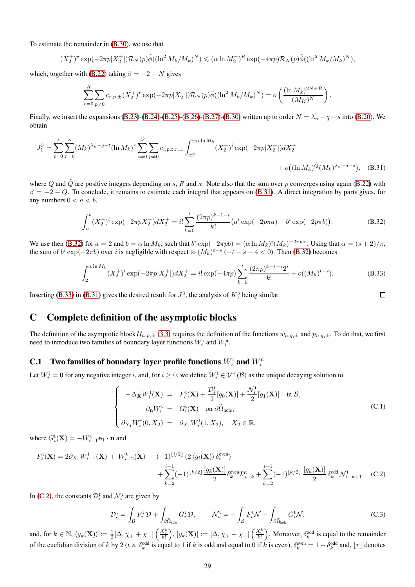To estimate the remainder in [\(B.30\)](#page-27-2), we use that

$$
(X_2^+)^r \exp(-2\pi p |X_2^+|) \mathcal{R}_N(p) \tilde{\phi}((\ln^2 M_k/M_k)^N) \leq (\alpha \ln M_2^+)^R \exp(-4\pi p) \mathcal{R}_N(p) \tilde{\phi}((\ln^2 M_k/M_k)^N),
$$

which, together with [\(B.22\)](#page-26-2) taking  $\beta = -2 - N$  gives

$$
\sum_{r=0}^{R} \sum_{p \neq 0} c_{r,p,\pm} (X_2^+)^r \exp(-2\pi p |X_2^+|) \mathcal{R}_N(p) \tilde{\phi}((\ln^2 M_k/M_k)^N) = o\left(\frac{(\ln M_k)^{2N+R}}{(M_K)^N}\right).
$$

Finally, we insert the expansions [\(B.23\)](#page-27-3)-[\(B.24\)](#page-27-4)-[\(B.25\)](#page-27-5)-[\(B.26\)](#page-27-6)-[\(B.27\)](#page-27-7)-[\(B.30\)](#page-27-2) written up to order  $N = \lambda_n - q - s$  into [\(B.20\)](#page-26-3). We obtain

$$
J_1^3 = \sum_{t=0}^s \sum_{r=0}^\kappa (M_k)^{\lambda_n - q - t} (\ln M_k)^r \sum_{i=0}^Q \sum_{p \neq 0} c_{i, p, t, r, \pm} \int_{\pm 2}^{\pm \alpha \ln M_k} (X_2^+)^i \exp(-2\pi p |X_2^+|) dX_2^+ + o((\ln M_k)^{\tilde{Q}} (M_k)^{\lambda_n - q - s}), \quad (B.31)
$$

where Q and  $\tilde{Q}$  are positive integers depending on s, R and  $\kappa$ . Note also that the sum over p converges using again [\(B.22\)](#page-26-2) with  $\beta = -2 - Q$ . To conclude, it remains to estimate each integral that appears on [\(B.31\)](#page-28-1). A direct integration by parts gives, for any numbers  $0 < a < b$ ,

<span id="page-28-2"></span>
$$
\int_{a}^{b} (X_{2}^{+})^{i} \exp(-2\pi p X_{2}^{+}) dX_{2}^{+} = i! \sum_{k=0}^{i} \frac{(2\pi p)^{k-1-i}}{k!} (a^{i} \exp(-2p\pi a) - b^{i} \exp(-2p\pi b)).
$$
 (B.32)

We use then [\(B.32\)](#page-28-2) for  $a = 2$  and  $b = \alpha \ln M_k$ , such that  $b^i \exp(-2\pi pb) = (\alpha \ln M_k)^i (M_k)^{-2\pi p\alpha}$ . Using that  $\alpha = (s+2)/\pi$ , the sum of  $b^i \exp(-2\pi b)$  over i is negligible with respect to  $(M_k)^{t-s}$  (- $t-s-4 < 0$ ). Then [\(B.32\)](#page-28-2) becomes

$$
\int_{2}^{\alpha \ln M_{k}} (X_{2}^{+})^{i} \exp(-2\pi p |X_{2}^{+}|) dX_{2}^{+} = i! \exp(-4\pi p) \sum_{k=0}^{i} \frac{(2\pi p)^{k-1-i} 2^{i}}{k!} + o((M_{k})^{t-s}).
$$
 (B.33)

Inserting [\(B.33\)](#page-28-3) in [\(B.31\)](#page-28-1) gives the desired result for  $J_1^3$ , the analysis of  $K_1^3$  being similar.

# C Complete definition of the asymptotic blocks

The definition of the asymptotic block  $\mathcal{U}_{n,p,\pm}$  [\(3.3\)](#page-11-3) requires the definition of the functions  $w_{n,q,\pm}$  and  $p_{n,q,\pm}$ . To do that, we first need to introduce two families of boundary layer functions  $W_i^{\dagger}$  and  $W_i^{\dagger}$ .

# C.1 Two families of boundary layer profile functions  $W_i^{\text{t}}$  and  $W_i^n$

Let  $W_i^{\mathfrak{t}} = 0$  for any negative integer i, and, for  $i \geq 0$ , we define  $W_i^{\mathfrak{t}} \in \mathcal{V}^+(\mathcal{B})$  as the unique decaying solution to

$$
\begin{cases}\n-\Delta_{\mathbf{X}}W_{i}^{t}(\mathbf{X}) = F_{i}^{t}(\mathbf{X}) + \frac{\mathcal{D}_{i}^{t}}{2}[g_{0}(\mathbf{X})] + \frac{\mathcal{N}_{i}^{t}}{2}[g_{1}(\mathbf{X})] & \text{in } \mathcal{B}, \\
\partial_{\mathbf{n}}W_{i}^{t} = G_{i}^{t}(\mathbf{X}) & \text{on } \partial\hat{\Omega}_{\text{hole}}, \\
\partial_{X_{1}}W_{i}^{t}(0, X_{2}) = \partial_{X_{1}}W_{i}^{t}(1, X_{2}), & X_{2} \in \mathbb{R},\n\end{cases} (C.1)
$$

<span id="page-28-4"></span><span id="page-28-3"></span><span id="page-28-1"></span><span id="page-28-0"></span> $\Box$ 

where  $G_i^{\mathfrak{t}}(\mathbf{X}) = -W_{i-1}^{\mathfrak{t}} \mathbf{e}_1 \cdot \mathbf{n}$  and

$$
F_i^{\mathbf{t}}(\mathbf{X}) = 2\partial_{X_1} W_{i-1}^{\mathbf{t}}(\mathbf{X}) + W_{i-2}^{\mathbf{t}}(\mathbf{X}) + (-1)^{\lfloor i/2 \rfloor} \left( 2 \left\langle g_i(\mathbf{X}) \right\rangle \delta_i^{\text{even}} \right) + \sum_{k=2}^{i-1} (-1)^{\lfloor k/2 \rfloor} \frac{\lfloor g_k(\mathbf{X}) \rfloor}{2} \delta_k^{\text{even}} \mathcal{D}_{i-k}^{\mathbf{t}} + \sum_{k=2}^{i-1} (-1)^{\lfloor k/2 \rfloor} \frac{\lfloor g_k(\mathbf{X}) \rfloor}{2} \delta_k^{\text{odd}} \mathcal{N}_{i-k+1}^{\mathbf{t}}.
$$
 (C.2)

<span id="page-28-5"></span>In [\(C.2\)](#page-28-4), the constants  $\mathcal{D}_i^{\dagger}$  and  $\mathcal{N}_i^{\dagger}$  are given by

$$
\mathcal{D}_i^{\mathfrak{t}} = \int_{\mathcal{B}} F_i^{\mathfrak{t}} \mathcal{D} + \int_{\partial \widehat{\Omega}_{\text{hole}}} G_i^{\mathfrak{t}} \mathcal{D}, \qquad \mathcal{N}_i^{\mathfrak{t}} = -\int_{\mathcal{B}} F_i^{\mathfrak{t}} \mathcal{N} - \int_{\partial \widehat{\Omega}_{\text{hole}}} G_i^{\mathfrak{t}} \mathcal{N}. \tag{C.3}
$$

and, for  $k \in \mathbb{N}$ ,  $\langle g_k(\mathbf{X}) \rangle := \frac{1}{2} [\Delta, \chi_+ + \chi_-] \left( \frac{X_2^k}{k!} \right)$  $\Big),\, [g_k(\mathbf{X})]:=[\Delta,\chi_+-\chi_-]\left(\frac{X_2^k}{k!}\right)$ ). Moreover,  $\delta_k^{\text{odd}}$  is equal to the remainder of the euclidian division of k by 2 (*i. e.*  $\delta_k^{\text{odd}}$  is equal to 1 if k is odd and equal to 0 if k is even),  $\delta_k^{\text{even}} = 1 - \delta_k^{\text{odd}}$  and,  $\lfloor r \rfloor$  denotes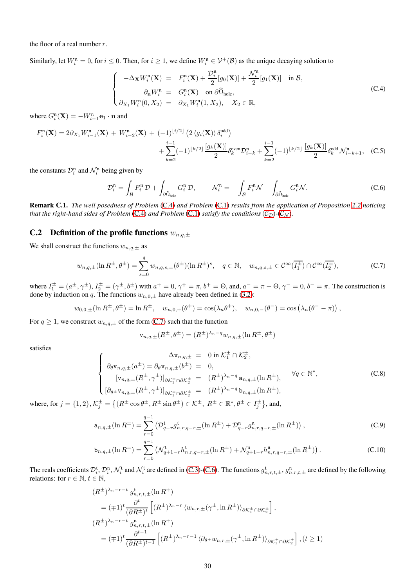the floor of a real number  $r$ .

Similarly, let  $W_i^n = 0$ , for  $i \le 0$ . Then, for  $i \ge 1$ , we define  $W_i^n \in \mathcal{V}^+(\mathcal{B})$  as the unique decaying solution to

<span id="page-29-1"></span>
$$
\begin{cases}\n-\Delta_{\mathbf{X}} W_i^n(\mathbf{X}) = F_i^n(\mathbf{X}) + \frac{\mathcal{D}_i^n}{2} [g_0(\mathbf{X})] + \frac{\mathcal{N}_i^n}{2} [g_1(\mathbf{X})] & \text{in } \mathcal{B}, \\
\partial_{\mathbf{n}} W_i^n = G_i^n(\mathbf{X}) & \text{on } \partial \widehat{\Omega}_{\text{hole}}, \\
\partial_{X_1} W_i^n(0, X_2) = \partial_{X_1} W_i^n(1, X_2), & X_2 \in \mathbb{R},\n\end{cases} (C.4)
$$

where  $G_i^n(\mathbf{X}) = -W_{i-1}^n \mathbf{e}_1 \cdot \mathbf{n}$  and

$$
F_i^{\mathbf{n}}(\mathbf{X}) = 2\partial_{X_1} W_{i-1}^{\mathbf{n}}(\mathbf{X}) + W_{i-2}^{\mathbf{n}}(\mathbf{X}) + (-1)^{\lfloor i/2 \rfloor} \left( 2 \langle g_i(\mathbf{X}) \rangle \delta_i^{\text{odd}} \right) + \sum_{k=2}^{i-1} (-1)^{\lfloor k/2 \rfloor} \frac{\lfloor g_k(\mathbf{X}) \rfloor}{2} \delta_k^{\text{even}} \mathcal{D}_{i-k}^{\mathbf{n}} + \sum_{k=2}^{i-1} (-1)^{\lfloor k/2 \rfloor} \frac{\lfloor g_k(\mathbf{X}) \rfloor}{2} \delta_k^{\text{odd}} \mathcal{N}_{i-k+1}^{\mathbf{n}}, \quad (C.5)
$$

the constants  $\mathcal{D}_i^{\mathfrak{n}}$  and  $\mathcal{N}_i^{\mathfrak{n}}$  being given by

<span id="page-29-3"></span>
$$
\mathcal{D}_{i}^{\mathfrak{n}} = \int_{\mathcal{B}} F_{i}^{\mathfrak{n}} \mathcal{D} + \int_{\partial \widehat{\Omega}_{\text{hole}}} G_{i}^{\mathfrak{n}} \mathcal{D}, \qquad \mathcal{N}_{i}^{\mathfrak{n}} = -\int_{\mathcal{B}} F_{i}^{\mathfrak{n}} \mathcal{N} - \int_{\partial \widehat{\Omega}_{\text{hole}}} G_{i}^{\mathfrak{n}} \mathcal{N}. \tag{C.6}
$$

Remark C.1. *The well posedness of Problem* [\(C.4\)](#page-29-1) *and Problem* [\(C.1\)](#page-28-0) *results from the application of Proposition [2.2](#page-8-2) noticing that the right-hand sides of Problem* [\(C.4\)](#page-29-1) *and Problem* [\(C.1\)](#page-28-0) *satisfy the conditions* ( $\mathcal{C}_D$  $\mathcal{C}_D$ )-( $\mathcal{C}_{\mathcal{N}}$  $\mathcal{C}_{\mathcal{N}}$  $\mathcal{C}_{\mathcal{N}}$ ).

## <span id="page-29-0"></span>C.2 Definition of the profile functions  $w_{n,q,\pm}$

We shall construct the functions  $w_{n,q,\pm}$  as

<span id="page-29-2"></span>
$$
w_{n,q,\pm}(\ln R^{\pm},\theta^{\pm})=\sum_{s=0}^{q}w_{n,q,s,\pm}(\theta^{\pm})(\ln R^{\pm})^{s}, \quad q \in \mathbb{N}, \quad w_{n,q,s,\pm} \in \mathcal{C}^{\infty}(\overline{I_{1}^{\pm}}) \cap \mathcal{C}^{\infty}(\overline{I_{2}^{\pm}}), \tag{C.7}
$$

where  $I_1^{\pm} = (a^{\pm}, \gamma^{\pm}), I_2^{\pm} = (\gamma^{\pm}, b^{\pm})$  with  $a^+ = 0, \gamma^+ = \pi, b^+ = \Theta$ , and,  $a^- = \pi - \Theta, \gamma^- = 0, b^- = \pi$ . The construction is done by induction on q. The functions  $w_{n,0,\pm}$  have already been defined in [\(3.2\)](#page-11-4):

$$
w_{0,0,\pm}(\ln R^{\pm},\theta^{\pm}) = \ln R^{\pm}, w_{n,0,+}(\theta^+) = \cos(\lambda_n \theta^+), w_{n,0,-}(\theta^-) = \cos(\lambda_n (\theta^- - \pi)),
$$

For  $q \ge 1$ , we construct  $w_{n,q,\pm}$  of the form [\(C.7\)](#page-29-2) such that the function

$$
\mathbf{v}_{n,q,\pm}(R^{\pm},\theta^{\pm}) = (R^{\pm})^{\lambda_n-q} w_{n,q,\pm}(\ln R^{\pm},\theta^{\pm})
$$

satisfies

$$
\begin{cases}\n\Delta \mathbf{v}_{n,q,\pm} = 0 \text{ in } \mathcal{K}_{1}^{\pm} \cap \mathcal{K}_{2}^{\pm}, \\
\partial_{\theta} \mathbf{v}_{n,q,\pm}(a^{\pm}) = \partial_{\theta} \mathbf{v}_{n,q,\pm}(b^{\pm}) = 0, \\
[\mathbf{v}_{n,q,\pm}(R^{\pm}, \gamma^{\pm})]_{\partial \mathcal{K}_{1}^{\pm} \cap \partial \mathcal{K}_{2}^{\pm}} = (R^{\pm})^{\lambda_{n}-q} \mathbf{a}_{n,q,\pm}(\ln R^{\pm}), \qquad \forall q \in \mathbb{N}^{*}, \\
[\partial_{\theta^{\pm}} \mathbf{v}_{n,q,\pm}(R^{\pm}, \gamma^{\pm})]_{\partial \mathcal{K}_{1}^{\pm} \cap \partial \mathcal{K}_{2}^{\pm}} = (R^{\pm})^{\lambda_{n}-q} \mathbf{b}_{n,q,\pm}(\ln R^{\pm}),\n\end{cases} (C.8)
$$

where, for  $j = \{1, 2\}$ ,  $\mathcal{K}_j^{\pm} = \{(R^{\pm} \cos \theta^{\pm}, R^{\pm} \sin \theta^{\pm}) \in \mathcal{K}^{\pm}, R^{\pm} \in \mathbb{R}^*, \theta^{\pm} \in I_j^{\pm}\}$ , and,

$$
\mathbf{a}_{n,q,\pm}(\ln R^{\pm}) = \sum_{r=0}^{q-1} \left( \mathcal{D}_{q-r}^{\dagger} g_{n,r,q-r,\pm}^{\dagger}(\ln R^{\pm}) + \mathcal{D}_{q-r}^{\mathfrak{n}} g_{n,r,q-r,\pm}^{\dagger}(\ln R^{\pm}) \right),\tag{C.9}
$$

$$
\mathbf{b}_{n,q,\pm}(\ln R^{\pm}) = \sum_{r=0}^{q-1} \left( \mathcal{N}_{q+1-r}^{\mathfrak{t}} h_{n,r,q-r,\pm}^{\mathfrak{t}}(\ln R^{\pm}) + \mathcal{N}_{q+1-r}^{\mathfrak{n}} h_{n,r,q-r,\pm}^{\mathfrak{n}}(\ln R^{\pm}) \right).
$$
 (C.10)

The reals coefficients  $\mathcal{D}_i^{\text{t}}$ ,  $\mathcal{D}_i^{\text{n}}$ ,  $\mathcal{N}_i^{\text{t}}$  and  $\mathcal{N}_i^{\text{t}}$  are defined in [\(C.3\)](#page-28-5)-[\(C.6\)](#page-29-3). The functions  $g_{n,r,t,\pm}^{\text{t}}$ ,  $g_{n,r,t,\pm}^{\text{n}}$  are defined by the following relations: for  $r \in \mathbb{N}$ ,  $t \in \mathbb{N}$ ,

$$
(R^{\pm})^{\lambda_n-r-t} g_{n,r,t,\pm}^{\dagger}(\ln R^+)
$$
  
\n
$$
= (\mp 1)^t \frac{\partial^t}{(\partial R^{\pm})^t} \left[ (R^{\pm})^{\lambda_n-r} \langle w_{n,r,\pm}(\gamma^{\pm}, \ln R^{\pm}) \rangle_{\partial K_1^{\pm} \cap \partial K_2^{\pm}} \right],
$$
  
\n
$$
(R^{\pm})^{\lambda_n-r-t} g_{n,r,t,\pm}^{\mathfrak{n}}(\ln R^+)
$$
  
\n
$$
= (\mp 1)^t \frac{\partial^{t-1}}{(\partial R^{\pm})^{t-1}} \left[ (R^{\pm})^{\lambda_n-r-1} \langle \partial_{\theta^{\pm}} w_{n,r,\pm}(\gamma^{\pm}, \ln R^{\pm}) \rangle_{\partial K_1^{\pm} \cap \partial K_2^{\pm}} \right], (t \ge 1)
$$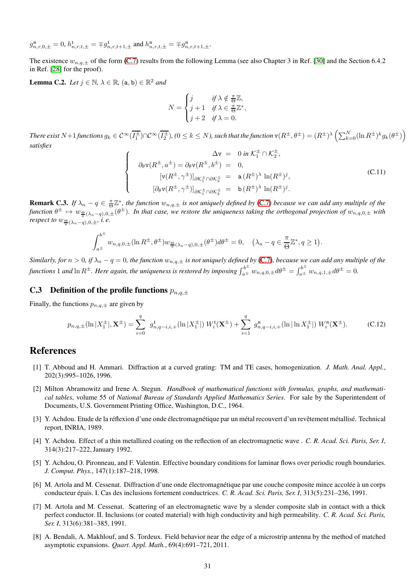$g_{n,r,0,\pm}^{\mathfrak{n}} = 0$ ,  $h_{n,r,t,\pm}^{\mathfrak{t}} = \mp g_{n,r,t+1,\pm}^{\mathfrak{t}}$  and  $h_{n,r,t,\pm}^{\mathfrak{n}} = \mp g_{n,r,t+1,\pm}^{\mathfrak{n}}$ .

The existence  $w_{n,q,\pm}$  of the form [\(C.7\)](#page-29-2) results from the following Lemma (see also Chapter 3 in Ref. [\[30\]](#page-31-21) and the Section 6.4.2 in Ref. [\[28\]](#page-31-22) for the proof).

**Lemma C.2.** *Let*  $j \in \mathbb{N}$ ,  $\lambda \in \mathbb{R}$ ,  $(a, b) \in \mathbb{R}^2$  *and* 

$$
N = \begin{cases} j & \text{if } \lambda \notin \frac{\pi}{\Theta} \mathbb{Z}, \\ j+1 & \text{if } \lambda \in \frac{\pi}{\Theta} \mathbb{Z}^*, \\ j+2 & \text{if } \lambda = 0. \end{cases}
$$

 $\emph{There exist $N+1$ functions $g_k\in \mathcal{C}^\infty(\overline{I_1^\pm})\cap \mathcal{C}^\infty(\overline{I_2^\pm})$, $ (0\leq k\leq N)$, such that the function $\mathtt{v}(R^\pm,\theta^\pm)=(R^\pm)^\lambda\left(\sum_{k=0}^N(\ln R^\pm)^kg_k(\theta^\pm)\right)$,}$ *satisfies*

$$
\begin{cases}\n\Delta \mathbf{v} = 0 \text{ in } \mathcal{K}_1^{\pm} \cap \mathcal{K}_2^{\pm}, \\
\partial_{\theta} \mathbf{v}(R^{\pm}, a^{\pm}) = \partial_{\theta} \mathbf{v}(R^{\pm}, b^{\pm}) = 0, \\
[\mathbf{v}(R^{\pm}, \gamma^{\pm})]_{\partial \mathcal{K}_1^{\pm} \cap \partial \mathcal{K}_2^{\pm}} = \mathbf{a}(R^{\pm})^{\lambda} \ln(R^{\pm})^j, \\
[\partial_{\theta} \mathbf{v}(R^{\pm}, \gamma^{\pm})]_{\partial \mathcal{K}_1^{\pm} \cap \partial \mathcal{K}_2^{\pm}} = \mathbf{b}(R^{\pm})^{\lambda} \ln(R^{\pm})^j.\n\end{cases} (C.11)
$$

**Remark C.3.** If  $\lambda_n - q \in \frac{\pi}{\Theta} \mathbb{Z}^*$ , the function  $w_{n,q,\pm}$  is not uniquely defined by [\(C.7\)](#page-29-2) because we can add any multiple of the  $f$ unction  $\theta^{\pm} \mapsto w_{\frac{\Theta}{\pi}(\lambda_n-q),0,\pm}(\theta^{\pm})$ . In that case, we restore the uniqueness taking the orthogonal projection of  $w_{n,q,0,\pm}$  with *respect to*  $w_{\frac{\Theta}{\pi}(\lambda_n-q),0,\pm}$ *, i.e.* 

$$
\int_{a^{\pm}}^{b^{\pm}} w_{n,q,0,\pm}(\ln R^{\pm},\theta^{\pm})w_{\frac{\Theta}{\pi}(\lambda_n-q),0,\pm}(\theta^{\pm})d\theta^{\pm}=0, \quad (\lambda_n-q\in\frac{\pi}{\Theta}\mathbb{Z}^*,q\geq 1).
$$

*Similarly, for*  $n > 0$ , if  $\lambda_n - q = 0$ , the function  $w_{n,q,\pm}$  is not uniquely defined by [\(C.7\)](#page-29-2), because we can add any multiple of the *functions* 1 *and* ln  $R^{\pm}$ *. Here again, the uniqueness is restored by imposing*  $\int_{a^{\pm}}^{b^{\pm}} w_{n,q,0,\pm} d\theta^{\pm} = \int_{a^{\pm}}^{b^{\pm}} w_{n,q,1,\pm} d\theta^{\pm} = 0$ .

### <span id="page-30-8"></span>**C.3** Definition of the profile functions  $p_{n,q,\pm}$

Finally, the functions  $p_{n,q,\pm}$  are given by

<span id="page-30-9"></span>
$$
p_{n,q,\pm}(\ln|X_1^{\pm}|,\mathbf{X}^{\pm}) = \sum_{i=0}^{q} g_{n,q-i,i,+}^{t}(\ln|X_1^{\pm}|) W_i^{\dagger}(\mathbf{X}^{\pm}) + \sum_{i=1}^{q} g_{n,q-i,i,+}^{n}(\ln|\ln X_1^{\pm}|) W_i^n(\mathbf{X}^{\pm}).
$$
 (C.12)

## <span id="page-30-6"></span>References

- [1] T. Abboud and H. Ammari. Diffraction at a curved grating: TM and TE cases, homogenization. *J. Math. Anal. Appl.*, 202(3):995–1026, 1996.
- <span id="page-30-7"></span>[2] Milton Abramowitz and Irene A. Stegun. *Handbook of mathematical functions with formulas, graphs, and mathematical tables*, volume 55 of *National Bureau of Standards Applied Mathematics Series*. For sale by the Superintendent of Documents, U.S. Government Printing Office, Washington, D.C., 1964.
- <span id="page-30-0"></span>[3] Y. Achdou. Etude de la réflexion d'une onde électromagnétique par un métal recouvert d'un revêtement métallisé. Technical report, INRIA, 1989.
- <span id="page-30-1"></span>[4] Y. Achdou. Effect of a thin metallized coating on the reflection of an electromagnetic wave . *C. R. Acad. Sci. Paris, Ser. I*, 314(3):217–222, January 1992.
- <span id="page-30-4"></span>[5] Y. Achdou, O. Pironneau, and F. Valentin. Effective boundary conditions for laminar flows over periodic rough boundaries. *J. Comput. Phys.*, 147(1):187–218, 1998.
- <span id="page-30-2"></span>[6] M. Artola and M. Cessenat. Diffraction d'une onde électromagnétique par une couche composite mince accolée à un corps conducteur épais. I. Cas des inclusions fortement conductrices. *C. R. Acad. Sci. Paris, Ser. I*, 313(5):231–236, 1991.
- <span id="page-30-3"></span>[7] M. Artola and M. Cessenat. Scattering of an electromagnetic wave by a slender composite slab in contact with a thick perfect conductor. II. Inclusions (or coated material) with high conductivity and high permeability. *C. R. Acad. Sci. Paris, Ser. I*, 313(6):381–385, 1991.
- <span id="page-30-5"></span>[8] A. Bendali, A. Makhlouf, and S. Tordeux. Field behavior near the edge of a microstrip antenna by the method of matched asymptotic expansions. *Quart. Appl. Math.*, 69(4):691–721, 2011.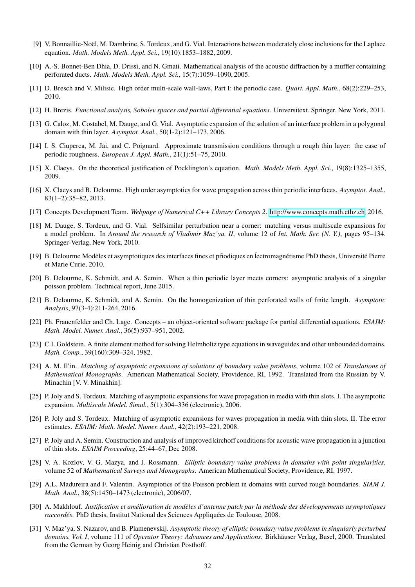- <span id="page-31-10"></span><span id="page-31-4"></span>[9] V. Bonnaillie-Noël, M. Dambrine, S. Tordeux, and G. Vial. Interactions between moderately close inclusions for the Laplace equation. *Math. Models Meth. Appl. Sci.*, 19(10):1853–1882, 2009.
- <span id="page-31-2"></span>[10] A.-S. Bonnet-Ben Dhia, D. Drissi, and N. Gmati. Mathematical analysis of the acoustic diffraction by a muffler containing perforated ducts. *Math. Models Meth. Appl. Sci.*, 15(7):1059–1090, 2005.
- <span id="page-31-15"></span>[11] D. Bresch and V. Milisic. High order multi-scale wall-laws, Part I: the periodic case. *Quart. Appl. Math.*, 68(2):229–253, 2010.
- <span id="page-31-19"></span>[12] H. Brezis. *Functional analysis, Sobolev spaces and partial differential equations*. Universitext. Springer, New York, 2011.
- [13] G. Caloz, M. Costabel, M. Dauge, and G. Vial. Asymptotic expansion of the solution of an interface problem in a polygonal domain with thin layer. *Asymptot. Anal.*, 50(1-2):121–173, 2006.
- <span id="page-31-9"></span><span id="page-31-1"></span>[14] I. S. Ciuperca, M. Jai, and C. Poignard. Approximate transmission conditions through a rough thin layer: the case of periodic roughness. *European J. Appl. Math.*, 21(1):51–75, 2010.
- <span id="page-31-8"></span>[15] X. Claeys. On the theoretical justification of Pocklington's equation. *Math. Models Meth. Appl. Sci.*, 19(8):1325–1355, 2009.
- <span id="page-31-16"></span>[16] X. Claeys and B. Delourme. High order asymptotics for wave propagation across thin periodic interfaces. *Asymptot. Anal.*, 83(1–2):35–82, 2013.
- <span id="page-31-5"></span>[17] Concepts Development Team. *Webpage of Numerical C++ Library Concepts 2*. [http://www.concepts.math.ethz.ch,](http://www.concepts.math.ethz.ch) 2016.
- [18] M. Dauge, S. Tordeux, and G. Vial. Selfsimilar perturbation near a corner: matching versus multiscale expansions for a model problem. In *Around the research of Vladimir Maz'ya. II*, volume 12 of *Int. Math. Ser. (N. Y.)*, pages 95–134. Springer-Verlag, New York, 2010.
- <span id="page-31-18"></span>[19] B. Delourme Modèles et asymptotiques des interfaces fines et p´riodiques en ´lectromagnétisme PhD thesis, Université Pierre et Marie Curie, 2010.
- <span id="page-31-12"></span>[20] B. Delourme, K. Schmidt, and A. Semin. When a thin periodic layer meets corners: asymptotic analysis of a singular poisson problem. Technical report, June 2015.
- <span id="page-31-13"></span>[21] B. Delourme, K. Schmidt, and A. Semin. On the homogenization of thin perforated walls of finite length. *Asymptotic Analysis*, 97(3-4):211-264, 2016.
- <span id="page-31-17"></span><span id="page-31-14"></span>[22] Ph. Frauenfelder and Ch. Lage. Concepts – an object-oriented software package for partial differential equations. *ESAIM: Math. Model. Numer. Anal.*, 36(5):937–951, 2002.
- [23] C.I. Goldstein. A finite element method for solving Helmholtz type equations in waveguides and other unbounded domains. *Math. Comp.*, 39(160):309–324, 1982.
- <span id="page-31-11"></span>[24] A. M. Il′ in. *Matching of asymptotic expansions of solutions of boundary value problems*, volume 102 of *Translations of Mathematical Monographs*. American Mathematical Society, Providence, RI, 1992. Translated from the Russian by V. Minachin [V. V. Minakhin].
- <span id="page-31-6"></span>[25] P. Joly and S. Tordeux. Matching of asymptotic expansions for wave propagation in media with thin slots. I. The asymptotic expansion. *Multiscale Model. Simul.*, 5(1):304–336 (electronic), 2006.
- <span id="page-31-7"></span>[26] P. Joly and S. Tordeux. Matching of asymptotic expansions for waves propagation in media with thin slots. II. The error estimates. *ESAIM: Math. Model. Numer. Anal.*, 42(2):193–221, 2008.
- <span id="page-31-20"></span>[27] P. Joly and A. Semin. Construction and analysis of improved kirchoff conditions for acoustic wave propagation in a junction of thin slots. *ESAIM Proceeding*, 25:44–67, Dec 2008.
- <span id="page-31-22"></span>[28] V. A. Kozlov, V. G. Mazya, and J. Rossmann. *Elliptic boundary value problems in domains with point singularities*, volume 52 of *Mathematical Surveys and Monographs*. American Mathematical Society, Providence, RI, 1997.
- <span id="page-31-0"></span>[29] A.L. Madureira and F. Valentin. Asymptotics of the Poisson problem in domains with curved rough boundaries. *SIAM J. Math. Anal.*, 38(5):1450–1473 (electronic), 2006/07.
- <span id="page-31-21"></span>[30] A. Makhlouf. *Justification et amélioration de modèles d'antenne patch par la méthode des développements asymptotiques raccordés*. PhD thesis, Institut National des Sciences Appliquées de Toulouse, 2008.
- <span id="page-31-3"></span>[31] V. Maz'ya, S. Nazarov, and B. Plamenevskij. *Asymptotic theory of elliptic boundary value problems in singularly perturbed domains. Vol. I*, volume 111 of *Operator Theory: Advances and Applications*. Birkhäuser Verlag, Basel, 2000. Translated from the German by Georg Heinig and Christian Posthoff.